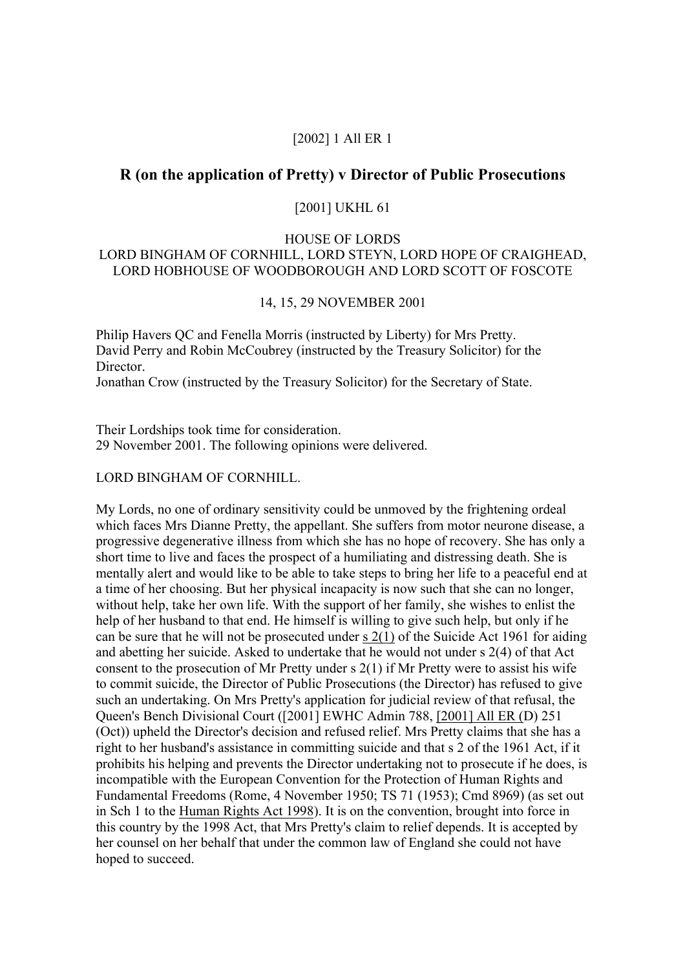#### [2002] 1 All ER 1

## **R (on the application of Pretty) v Director of Public Prosecutions**

### [2001] UKHL 61

#### HOUSE OF LORDS LORD BINGHAM OF CORNHILL, LORD STEYN, LORD HOPE OF CRAIGHEAD, LORD HOBHOUSE OF WOODBOROUGH AND LORD SCOTT OF FOSCOTE

#### 14, 15, 29 NOVEMBER 2001

Philip Havers QC and Fenella Morris (instructed by Liberty) for Mrs Pretty. David Perry and Robin McCoubrey (instructed by the Treasury Solicitor) for the Director

Jonathan Crow (instructed by the Treasury Solicitor) for the Secretary of State.

Their Lordships took time for consideration. 29 November 2001. The following opinions were delivered.

#### LORD BINGHAM OF CORNHILL.

My Lords, no one of ordinary sensitivity could be unmoved by the frightening ordeal which faces Mrs Dianne Pretty, the appellant. She suffers from motor neurone disease, a progressive degenerative illness from which she has no hope of recovery. She has only a short time to live and faces the prospect of a humiliating and distressing death. She is mentally alert and would like to be able to take steps to bring her life to a peaceful end at a time of her choosing. But her physical incapacity is now such that she can no longer, without help, take her own life. With the support of her family, she wishes to enlist the help of her husband to that end. He himself is willing to give such help, but only if he can be sure that he will not be prosecuted under s 2(1) of the Suicide Act 1961 for aiding and abetting her suicide. Asked to undertake that he would not under s 2(4) of that Act consent to the prosecution of Mr Pretty under s 2(1) if Mr Pretty were to assist his wife to commit suicide, the Director of Public Prosecutions (the Director) has refused to give such an undertaking. On Mrs Pretty's application for judicial review of that refusal, the Queen's Bench Divisional Court ([2001] EWHC Admin 788, [2001] All ER (D) 251 (Oct)) upheld the Director's decision and refused relief. Mrs Pretty claims that she has a right to her husband's assistance in committing suicide and that s 2 of the 1961 Act, if it prohibits his helping and prevents the Director undertaking not to prosecute if he does, is incompatible with the European Convention for the Protection of Human Rights and Fundamental Freedoms (Rome, 4 November 1950; TS 71 (1953); Cmd 8969) (as set out in Sch 1 to the Human Rights Act 1998). It is on the convention, brought into force in this country by the 1998 Act, that Mrs Pretty's claim to relief depends. It is accepted by her counsel on her behalf that under the common law of England she could not have hoped to succeed.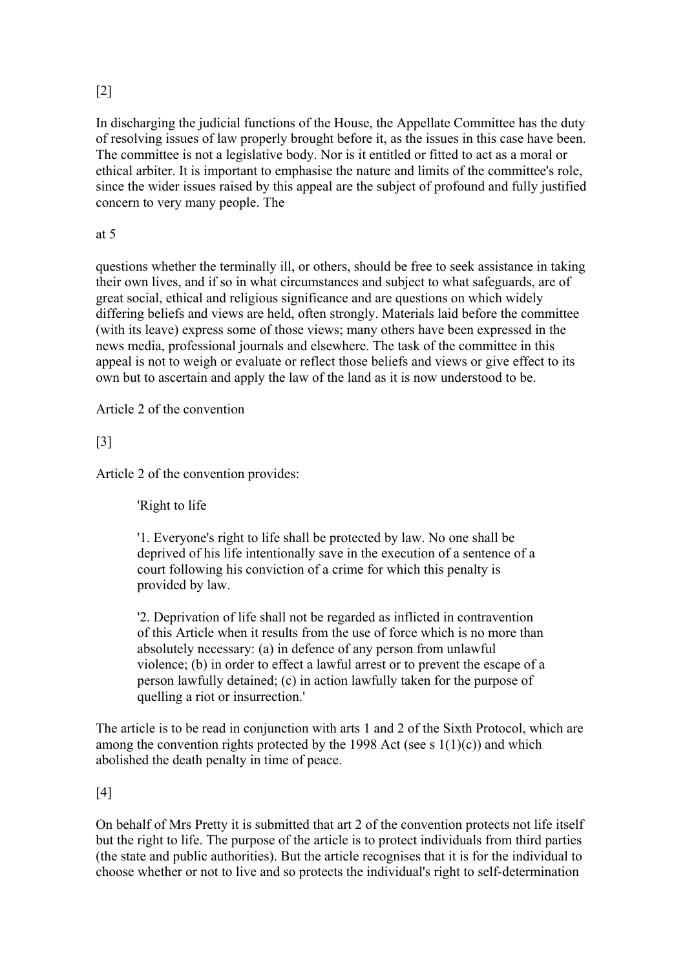# [2]

In discharging the judicial functions of the House, the Appellate Committee has the duty of resolving issues of law properly brought before it, as the issues in this case have been. The committee is not a legislative body. Nor is it entitled or fitted to act as a moral or ethical arbiter. It is important to emphasise the nature and limits of the committee's role, since the wider issues raised by this appeal are the subject of profound and fully justified concern to very many people. The

# at 5

questions whether the terminally ill, or others, should be free to seek assistance in taking their own lives, and if so in what circumstances and subject to what safeguards, are of great social, ethical and religious significance and are questions on which widely differing beliefs and views are held, often strongly. Materials laid before the committee (with its leave) express some of those views; many others have been expressed in the news media, professional journals and elsewhere. The task of the committee in this appeal is not to weigh or evaluate or reflect those beliefs and views or give effect to its own but to ascertain and apply the law of the land as it is now understood to be.

Article 2 of the convention

# [3]

Article 2 of the convention provides:

'Right to life

'1. Everyone's right to life shall be protected by law. No one shall be deprived of his life intentionally save in the execution of a sentence of a court following his conviction of a crime for which this penalty is provided by law.

'2. Deprivation of life shall not be regarded as inflicted in contravention of this Article when it results from the use of force which is no more than absolutely necessary: (a) in defence of any person from unlawful violence; (b) in order to effect a lawful arrest or to prevent the escape of a person lawfully detained; (c) in action lawfully taken for the purpose of quelling a riot or insurrection.'

The article is to be read in conjunction with arts 1 and 2 of the Sixth Protocol, which are among the convention rights protected by the 1998 Act (see s  $1(1)(c)$ ) and which abolished the death penalty in time of peace.

# [4]

On behalf of Mrs Pretty it is submitted that art 2 of the convention protects not life itself but the right to life. The purpose of the article is to protect individuals from third parties (the state and public authorities). But the article recognises that it is for the individual to choose whether or not to live and so protects the individual's right to self-determination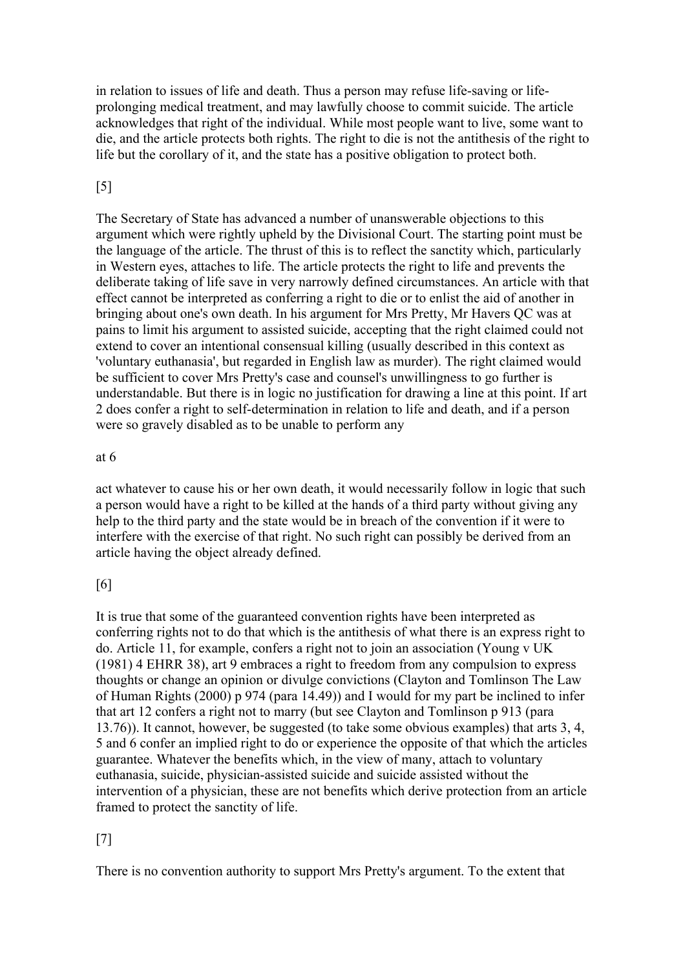in relation to issues of life and death. Thus a person may refuse life-saving or lifeprolonging medical treatment, and may lawfully choose to commit suicide. The article acknowledges that right of the individual. While most people want to live, some want to die, and the article protects both rights. The right to die is not the antithesis of the right to life but the corollary of it, and the state has a positive obligation to protect both.

## [5]

The Secretary of State has advanced a number of unanswerable objections to this argument which were rightly upheld by the Divisional Court. The starting point must be the language of the article. The thrust of this is to reflect the sanctity which, particularly in Western eyes, attaches to life. The article protects the right to life and prevents the deliberate taking of life save in very narrowly defined circumstances. An article with that effect cannot be interpreted as conferring a right to die or to enlist the aid of another in bringing about one's own death. In his argument for Mrs Pretty, Mr Havers QC was at pains to limit his argument to assisted suicide, accepting that the right claimed could not extend to cover an intentional consensual killing (usually described in this context as 'voluntary euthanasia', but regarded in English law as murder). The right claimed would be sufficient to cover Mrs Pretty's case and counsel's unwillingness to go further is understandable. But there is in logic no justification for drawing a line at this point. If art 2 does confer a right to self-determination in relation to life and death, and if a person were so gravely disabled as to be unable to perform any

#### at 6

act whatever to cause his or her own death, it would necessarily follow in logic that such a person would have a right to be killed at the hands of a third party without giving any help to the third party and the state would be in breach of the convention if it were to interfere with the exercise of that right. No such right can possibly be derived from an article having the object already defined.

#### [6]

It is true that some of the guaranteed convention rights have been interpreted as conferring rights not to do that which is the antithesis of what there is an express right to do. Article 11, for example, confers a right not to join an association (Young v UK (1981) 4 EHRR 38), art 9 embraces a right to freedom from any compulsion to express thoughts or change an opinion or divulge convictions (Clayton and Tomlinson The Law of Human Rights (2000) p 974 (para 14.49)) and I would for my part be inclined to infer that art 12 confers a right not to marry (but see Clayton and Tomlinson p 913 (para 13.76)). It cannot, however, be suggested (to take some obvious examples) that arts 3, 4, 5 and 6 confer an implied right to do or experience the opposite of that which the articles guarantee. Whatever the benefits which, in the view of many, attach to voluntary euthanasia, suicide, physician-assisted suicide and suicide assisted without the intervention of a physician, these are not benefits which derive protection from an article framed to protect the sanctity of life.

## [7]

There is no convention authority to support Mrs Pretty's argument. To the extent that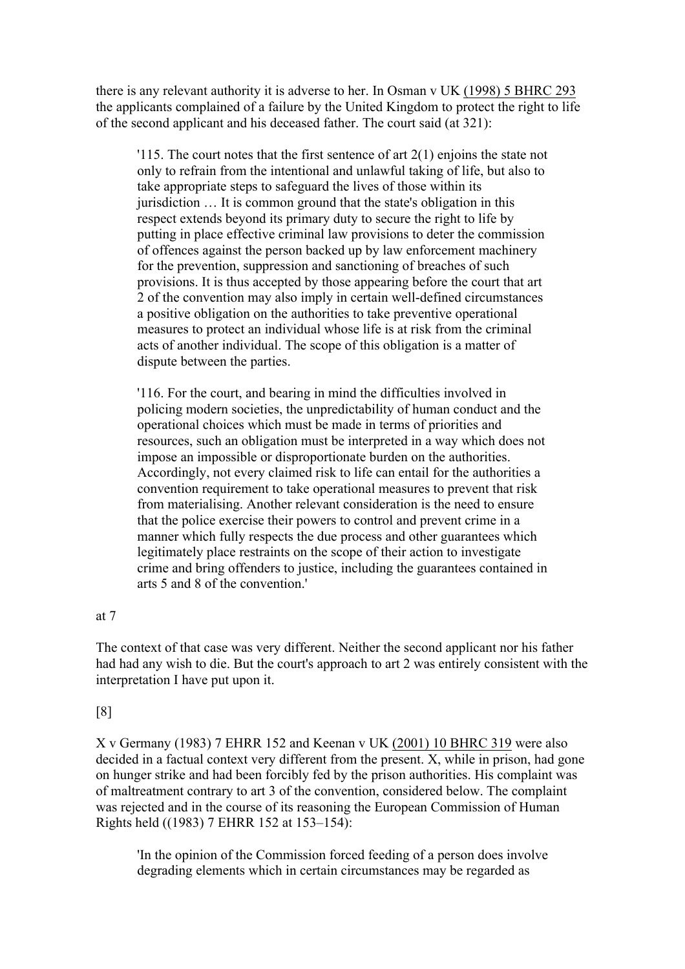there is any relevant authority it is adverse to her. In Osman v UK (1998) 5 BHRC 293 the applicants complained of a failure by the United Kingdom to protect the right to life of the second applicant and his deceased father. The court said (at 321):

'115. The court notes that the first sentence of art 2(1) enjoins the state not only to refrain from the intentional and unlawful taking of life, but also to take appropriate steps to safeguard the lives of those within its jurisdiction … It is common ground that the state's obligation in this respect extends beyond its primary duty to secure the right to life by putting in place effective criminal law provisions to deter the commission of offences against the person backed up by law enforcement machinery for the prevention, suppression and sanctioning of breaches of such provisions. It is thus accepted by those appearing before the court that art 2 of the convention may also imply in certain well-defined circumstances a positive obligation on the authorities to take preventive operational measures to protect an individual whose life is at risk from the criminal acts of another individual. The scope of this obligation is a matter of dispute between the parties.

'116. For the court, and bearing in mind the difficulties involved in policing modern societies, the unpredictability of human conduct and the operational choices which must be made in terms of priorities and resources, such an obligation must be interpreted in a way which does not impose an impossible or disproportionate burden on the authorities. Accordingly, not every claimed risk to life can entail for the authorities a convention requirement to take operational measures to prevent that risk from materialising. Another relevant consideration is the need to ensure that the police exercise their powers to control and prevent crime in a manner which fully respects the due process and other guarantees which legitimately place restraints on the scope of their action to investigate crime and bring offenders to justice, including the guarantees contained in arts 5 and 8 of the convention.'

#### at 7

The context of that case was very different. Neither the second applicant nor his father had had any wish to die. But the court's approach to art 2 was entirely consistent with the interpretation I have put upon it.

#### [8]

X v Germany (1983) 7 EHRR 152 and Keenan v UK (2001) 10 BHRC 319 were also decided in a factual context very different from the present. X, while in prison, had gone on hunger strike and had been forcibly fed by the prison authorities. His complaint was of maltreatment contrary to art 3 of the convention, considered below. The complaint was rejected and in the course of its reasoning the European Commission of Human Rights held ((1983) 7 EHRR 152 at 153–154):

'In the opinion of the Commission forced feeding of a person does involve degrading elements which in certain circumstances may be regarded as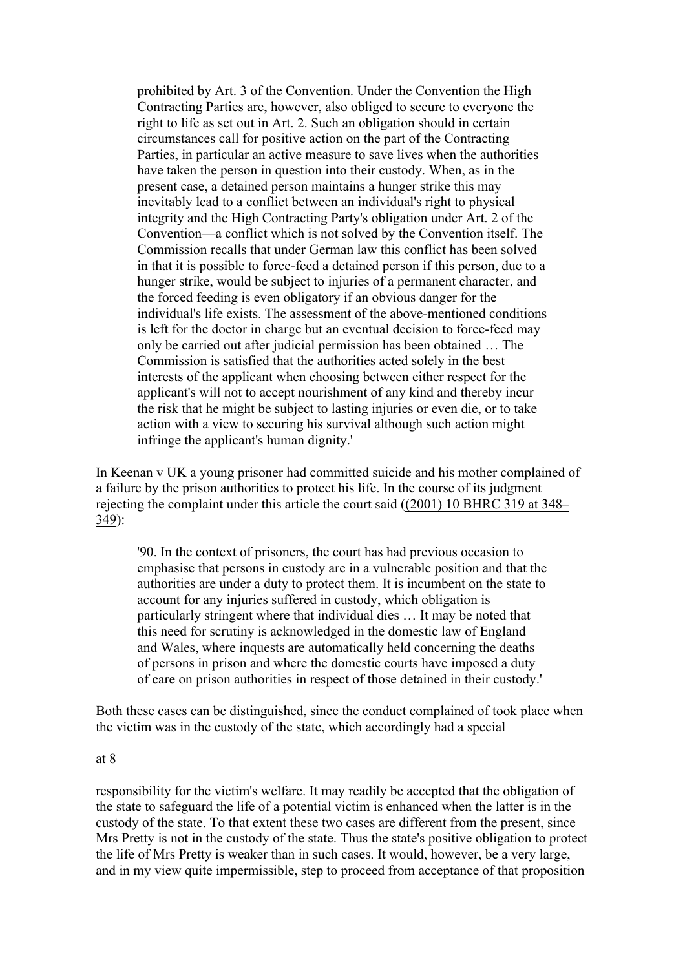prohibited by Art. 3 of the Convention. Under the Convention the High Contracting Parties are, however, also obliged to secure to everyone the right to life as set out in Art. 2. Such an obligation should in certain circumstances call for positive action on the part of the Contracting Parties, in particular an active measure to save lives when the authorities have taken the person in question into their custody. When, as in the present case, a detained person maintains a hunger strike this may inevitably lead to a conflict between an individual's right to physical integrity and the High Contracting Party's obligation under Art. 2 of the Convention—a conflict which is not solved by the Convention itself. The Commission recalls that under German law this conflict has been solved in that it is possible to force-feed a detained person if this person, due to a hunger strike, would be subject to injuries of a permanent character, and the forced feeding is even obligatory if an obvious danger for the individual's life exists. The assessment of the above-mentioned conditions is left for the doctor in charge but an eventual decision to force-feed may only be carried out after judicial permission has been obtained … The Commission is satisfied that the authorities acted solely in the best interests of the applicant when choosing between either respect for the applicant's will not to accept nourishment of any kind and thereby incur the risk that he might be subject to lasting injuries or even die, or to take action with a view to securing his survival although such action might infringe the applicant's human dignity.'

In Keenan v UK a young prisoner had committed suicide and his mother complained of a failure by the prison authorities to protect his life. In the course of its judgment rejecting the complaint under this article the court said ((2001) 10 BHRC 319 at 348– 349):

'90. In the context of prisoners, the court has had previous occasion to emphasise that persons in custody are in a vulnerable position and that the authorities are under a duty to protect them. It is incumbent on the state to account for any injuries suffered in custody, which obligation is particularly stringent where that individual dies … It may be noted that this need for scrutiny is acknowledged in the domestic law of England and Wales, where inquests are automatically held concerning the deaths of persons in prison and where the domestic courts have imposed a duty of care on prison authorities in respect of those detained in their custody.'

Both these cases can be distinguished, since the conduct complained of took place when the victim was in the custody of the state, which accordingly had a special

#### at 8

responsibility for the victim's welfare. It may readily be accepted that the obligation of the state to safeguard the life of a potential victim is enhanced when the latter is in the custody of the state. To that extent these two cases are different from the present, since Mrs Pretty is not in the custody of the state. Thus the state's positive obligation to protect the life of Mrs Pretty is weaker than in such cases. It would, however, be a very large, and in my view quite impermissible, step to proceed from acceptance of that proposition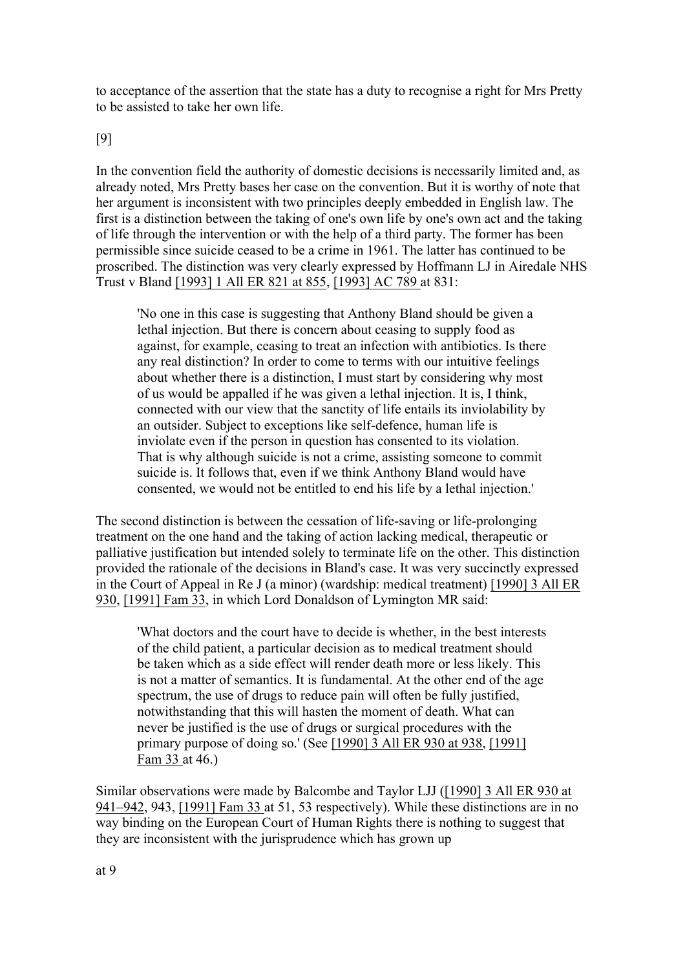to acceptance of the assertion that the state has a duty to recognise a right for Mrs Pretty to be assisted to take her own life.

[9]

In the convention field the authority of domestic decisions is necessarily limited and, as already noted, Mrs Pretty bases her case on the convention. But it is worthy of note that her argument is inconsistent with two principles deeply embedded in English law. The first is a distinction between the taking of one's own life by one's own act and the taking of life through the intervention or with the help of a third party. The former has been permissible since suicide ceased to be a crime in 1961. The latter has continued to be proscribed. The distinction was very clearly expressed by Hoffmann LJ in Airedale NHS Trust v Bland [1993] 1 All ER 821 at 855, [1993] AC 789 at 831:

'No one in this case is suggesting that Anthony Bland should be given a lethal injection. But there is concern about ceasing to supply food as against, for example, ceasing to treat an infection with antibiotics. Is there any real distinction? In order to come to terms with our intuitive feelings about whether there is a distinction, I must start by considering why most of us would be appalled if he was given a lethal injection. It is, I think, connected with our view that the sanctity of life entails its inviolability by an outsider. Subject to exceptions like self-defence, human life is inviolate even if the person in question has consented to its violation. That is why although suicide is not a crime, assisting someone to commit suicide is. It follows that, even if we think Anthony Bland would have consented, we would not be entitled to end his life by a lethal injection.'

The second distinction is between the cessation of life-saving or life-prolonging treatment on the one hand and the taking of action lacking medical, therapeutic or palliative justification but intended solely to terminate life on the other. This distinction provided the rationale of the decisions in Bland's case. It was very succinctly expressed in the Court of Appeal in Re J (a minor) (wardship: medical treatment) [1990] 3 All ER 930, [1991] Fam 33, in which Lord Donaldson of Lymington MR said:

'What doctors and the court have to decide is whether, in the best interests of the child patient, a particular decision as to medical treatment should be taken which as a side effect will render death more or less likely. This is not a matter of semantics. It is fundamental. At the other end of the age spectrum, the use of drugs to reduce pain will often be fully justified, notwithstanding that this will hasten the moment of death. What can never be justified is the use of drugs or surgical procedures with the primary purpose of doing so.' (See [1990] 3 All ER 930 at 938, [1991] Fam 33 at 46.)

Similar observations were made by Balcombe and Taylor LJJ ([1990] 3 All ER 930 at 941–942, 943, [1991] Fam 33 at 51, 53 respectively). While these distinctions are in no way binding on the European Court of Human Rights there is nothing to suggest that they are inconsistent with the jurisprudence which has grown up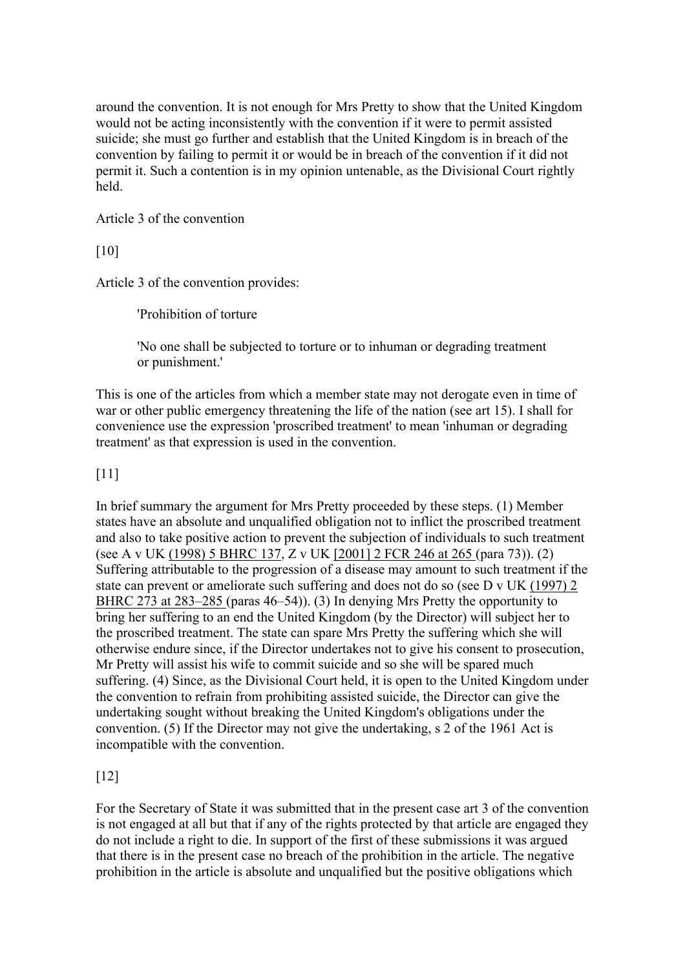around the convention. It is not enough for Mrs Pretty to show that the United Kingdom would not be acting inconsistently with the convention if it were to permit assisted suicide; she must go further and establish that the United Kingdom is in breach of the convention by failing to permit it or would be in breach of the convention if it did not permit it. Such a contention is in my opinion untenable, as the Divisional Court rightly held.

Article 3 of the convention

[10]

Article 3 of the convention provides:

'Prohibition of torture

'No one shall be subjected to torture or to inhuman or degrading treatment or punishment.'

This is one of the articles from which a member state may not derogate even in time of war or other public emergency threatening the life of the nation (see art 15). I shall for convenience use the expression 'proscribed treatment' to mean 'inhuman or degrading treatment' as that expression is used in the convention.

# [11]

In brief summary the argument for Mrs Pretty proceeded by these steps. (1) Member states have an absolute and unqualified obligation not to inflict the proscribed treatment and also to take positive action to prevent the subjection of individuals to such treatment (see A v UK (1998) 5 BHRC 137, Z v UK [2001] 2 FCR 246 at 265 (para 73)). (2) Suffering attributable to the progression of a disease may amount to such treatment if the state can prevent or ameliorate such suffering and does not do so (see D v UK (1997) 2 BHRC 273 at 283–285 (paras 46–54)). (3) In denying Mrs Pretty the opportunity to bring her suffering to an end the United Kingdom (by the Director) will subject her to the proscribed treatment. The state can spare Mrs Pretty the suffering which she will otherwise endure since, if the Director undertakes not to give his consent to prosecution, Mr Pretty will assist his wife to commit suicide and so she will be spared much suffering. (4) Since, as the Divisional Court held, it is open to the United Kingdom under the convention to refrain from prohibiting assisted suicide, the Director can give the undertaking sought without breaking the United Kingdom's obligations under the convention. (5) If the Director may not give the undertaking, s 2 of the 1961 Act is incompatible with the convention.

# [12]

For the Secretary of State it was submitted that in the present case art 3 of the convention is not engaged at all but that if any of the rights protected by that article are engaged they do not include a right to die. In support of the first of these submissions it was argued that there is in the present case no breach of the prohibition in the article. The negative prohibition in the article is absolute and unqualified but the positive obligations which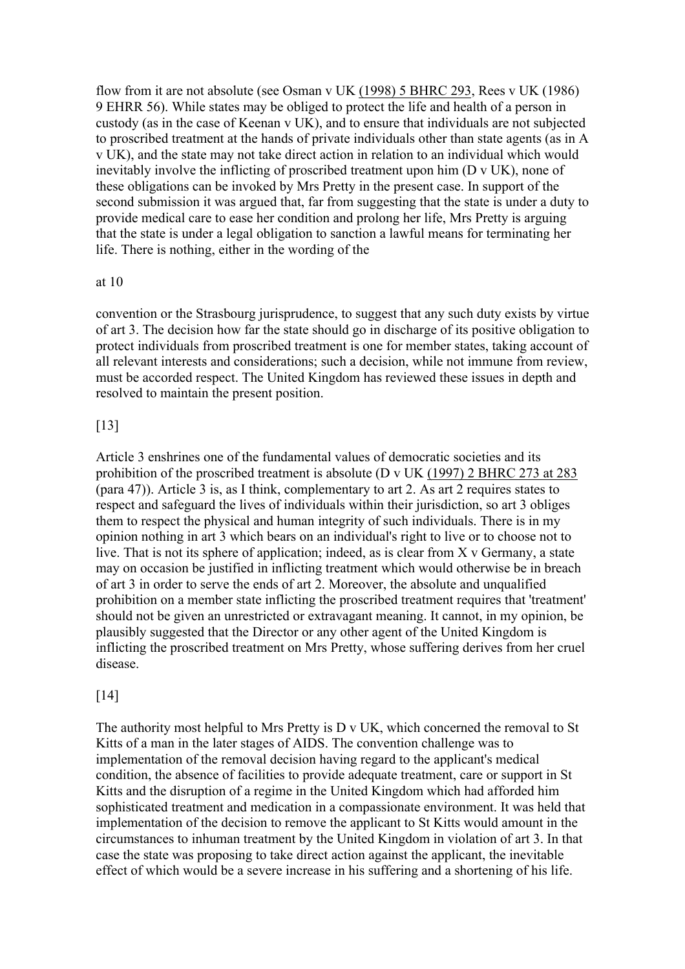flow from it are not absolute (see Osman v UK (1998) 5 BHRC 293, Rees v UK (1986) 9 EHRR 56). While states may be obliged to protect the life and health of a person in custody (as in the case of Keenan v UK), and to ensure that individuals are not subjected to proscribed treatment at the hands of private individuals other than state agents (as in A v UK), and the state may not take direct action in relation to an individual which would inevitably involve the inflicting of proscribed treatment upon him (D v UK), none of these obligations can be invoked by Mrs Pretty in the present case. In support of the second submission it was argued that, far from suggesting that the state is under a duty to provide medical care to ease her condition and prolong her life, Mrs Pretty is arguing that the state is under a legal obligation to sanction a lawful means for terminating her life. There is nothing, either in the wording of the

#### at 10

convention or the Strasbourg jurisprudence, to suggest that any such duty exists by virtue of art 3. The decision how far the state should go in discharge of its positive obligation to protect individuals from proscribed treatment is one for member states, taking account of all relevant interests and considerations; such a decision, while not immune from review, must be accorded respect. The United Kingdom has reviewed these issues in depth and resolved to maintain the present position.

## [13]

Article 3 enshrines one of the fundamental values of democratic societies and its prohibition of the proscribed treatment is absolute (D v UK (1997) 2 BHRC 273 at 283 (para 47)). Article 3 is, as I think, complementary to art 2. As art 2 requires states to respect and safeguard the lives of individuals within their jurisdiction, so art 3 obliges them to respect the physical and human integrity of such individuals. There is in my opinion nothing in art 3 which bears on an individual's right to live or to choose not to live. That is not its sphere of application; indeed, as is clear from X v Germany, a state may on occasion be justified in inflicting treatment which would otherwise be in breach of art 3 in order to serve the ends of art 2. Moreover, the absolute and unqualified prohibition on a member state inflicting the proscribed treatment requires that 'treatment' should not be given an unrestricted or extravagant meaning. It cannot, in my opinion, be plausibly suggested that the Director or any other agent of the United Kingdom is inflicting the proscribed treatment on Mrs Pretty, whose suffering derives from her cruel disease.

## [14]

The authority most helpful to Mrs Pretty is D v UK, which concerned the removal to St Kitts of a man in the later stages of AIDS. The convention challenge was to implementation of the removal decision having regard to the applicant's medical condition, the absence of facilities to provide adequate treatment, care or support in St Kitts and the disruption of a regime in the United Kingdom which had afforded him sophisticated treatment and medication in a compassionate environment. It was held that implementation of the decision to remove the applicant to St Kitts would amount in the circumstances to inhuman treatment by the United Kingdom in violation of art 3. In that case the state was proposing to take direct action against the applicant, the inevitable effect of which would be a severe increase in his suffering and a shortening of his life.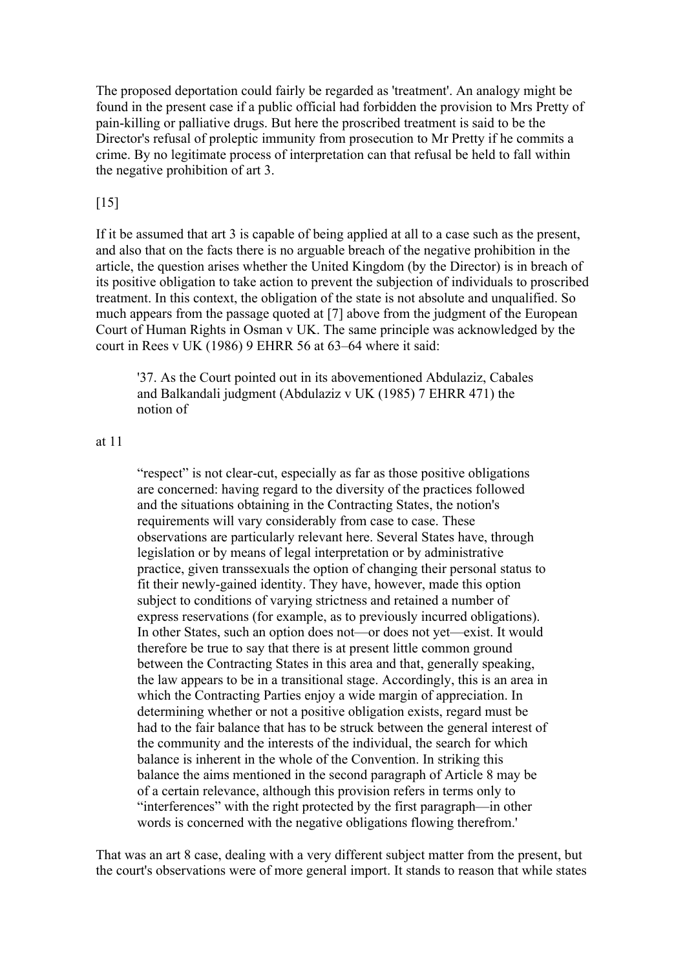The proposed deportation could fairly be regarded as 'treatment'. An analogy might be found in the present case if a public official had forbidden the provision to Mrs Pretty of pain-killing or palliative drugs. But here the proscribed treatment is said to be the Director's refusal of proleptic immunity from prosecution to Mr Pretty if he commits a crime. By no legitimate process of interpretation can that refusal be held to fall within the negative prohibition of art 3.

#### [15]

If it be assumed that art 3 is capable of being applied at all to a case such as the present, and also that on the facts there is no arguable breach of the negative prohibition in the article, the question arises whether the United Kingdom (by the Director) is in breach of its positive obligation to take action to prevent the subjection of individuals to proscribed treatment. In this context, the obligation of the state is not absolute and unqualified. So much appears from the passage quoted at [7] above from the judgment of the European Court of Human Rights in Osman v UK. The same principle was acknowledged by the court in Rees v UK (1986) 9 EHRR 56 at 63–64 where it said:

'37. As the Court pointed out in its abovementioned Abdulaziz, Cabales and Balkandali judgment (Abdulaziz v UK (1985) 7 EHRR 471) the notion of

### at 11

"respect" is not clear-cut, especially as far as those positive obligations are concerned: having regard to the diversity of the practices followed and the situations obtaining in the Contracting States, the notion's requirements will vary considerably from case to case. These observations are particularly relevant here. Several States have, through legislation or by means of legal interpretation or by administrative practice, given transsexuals the option of changing their personal status to fit their newly-gained identity. They have, however, made this option subject to conditions of varying strictness and retained a number of express reservations (for example, as to previously incurred obligations). In other States, such an option does not—or does not yet—exist. It would therefore be true to say that there is at present little common ground between the Contracting States in this area and that, generally speaking, the law appears to be in a transitional stage. Accordingly, this is an area in which the Contracting Parties enjoy a wide margin of appreciation. In determining whether or not a positive obligation exists, regard must be had to the fair balance that has to be struck between the general interest of the community and the interests of the individual, the search for which balance is inherent in the whole of the Convention. In striking this balance the aims mentioned in the second paragraph of Article 8 may be of a certain relevance, although this provision refers in terms only to "interferences" with the right protected by the first paragraph—in other words is concerned with the negative obligations flowing therefrom.'

That was an art 8 case, dealing with a very different subject matter from the present, but the court's observations were of more general import. It stands to reason that while states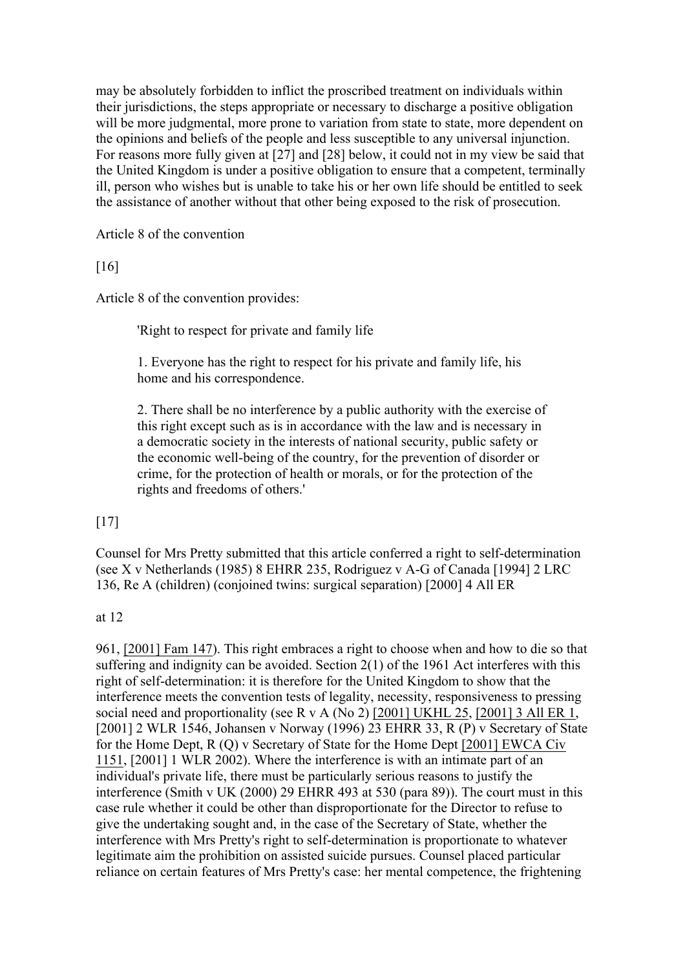may be absolutely forbidden to inflict the proscribed treatment on individuals within their jurisdictions, the steps appropriate or necessary to discharge a positive obligation will be more judgmental, more prone to variation from state to state, more dependent on the opinions and beliefs of the people and less susceptible to any universal injunction. For reasons more fully given at [27] and [28] below, it could not in my view be said that the United Kingdom is under a positive obligation to ensure that a competent, terminally ill, person who wishes but is unable to take his or her own life should be entitled to seek the assistance of another without that other being exposed to the risk of prosecution.

Article 8 of the convention

[16]

Article 8 of the convention provides:

'Right to respect for private and family life

1. Everyone has the right to respect for his private and family life, his home and his correspondence.

2. There shall be no interference by a public authority with the exercise of this right except such as is in accordance with the law and is necessary in a democratic society in the interests of national security, public safety or the economic well-being of the country, for the prevention of disorder or crime, for the protection of health or morals, or for the protection of the rights and freedoms of others.'

## [17]

Counsel for Mrs Pretty submitted that this article conferred a right to self-determination (see X v Netherlands (1985) 8 EHRR 235, Rodriguez v A-G of Canada [1994] 2 LRC 136, Re A (children) (conjoined twins: surgical separation) [2000] 4 All ER

#### at 12

961, [2001] Fam 147). This right embraces a right to choose when and how to die so that suffering and indignity can be avoided. Section 2(1) of the 1961 Act interferes with this right of self-determination: it is therefore for the United Kingdom to show that the interference meets the convention tests of legality, necessity, responsiveness to pressing social need and proportionality (see R v A (No 2)  $[2001]$  UKHL 25,  $[2001]$  3 All ER 1, [2001] 2 WLR 1546, Johansen v Norway (1996) 23 EHRR 33, R (P) v Secretary of State for the Home Dept, R (Q) v Secretary of State for the Home Dept [2001] EWCA Civ 1151, [2001] 1 WLR 2002). Where the interference is with an intimate part of an individual's private life, there must be particularly serious reasons to justify the interference (Smith v UK (2000) 29 EHRR 493 at 530 (para 89)). The court must in this case rule whether it could be other than disproportionate for the Director to refuse to give the undertaking sought and, in the case of the Secretary of State, whether the interference with Mrs Pretty's right to self-determination is proportionate to whatever legitimate aim the prohibition on assisted suicide pursues. Counsel placed particular reliance on certain features of Mrs Pretty's case: her mental competence, the frightening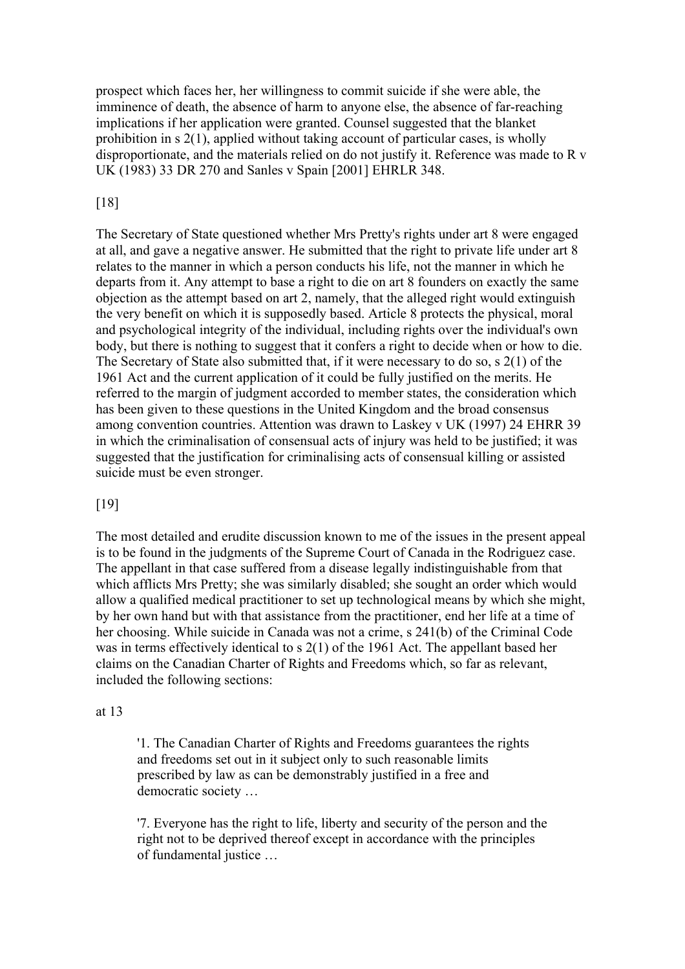prospect which faces her, her willingness to commit suicide if she were able, the imminence of death, the absence of harm to anyone else, the absence of far-reaching implications if her application were granted. Counsel suggested that the blanket prohibition in s 2(1), applied without taking account of particular cases, is wholly disproportionate, and the materials relied on do not justify it. Reference was made to R v UK (1983) 33 DR 270 and Sanles v Spain [2001] EHRLR 348.

#### [18]

The Secretary of State questioned whether Mrs Pretty's rights under art 8 were engaged at all, and gave a negative answer. He submitted that the right to private life under art 8 relates to the manner in which a person conducts his life, not the manner in which he departs from it. Any attempt to base a right to die on art 8 founders on exactly the same objection as the attempt based on art 2, namely, that the alleged right would extinguish the very benefit on which it is supposedly based. Article 8 protects the physical, moral and psychological integrity of the individual, including rights over the individual's own body, but there is nothing to suggest that it confers a right to decide when or how to die. The Secretary of State also submitted that, if it were necessary to do so, s 2(1) of the 1961 Act and the current application of it could be fully justified on the merits. He referred to the margin of judgment accorded to member states, the consideration which has been given to these questions in the United Kingdom and the broad consensus among convention countries. Attention was drawn to Laskey v UK (1997) 24 EHRR 39 in which the criminalisation of consensual acts of injury was held to be justified; it was suggested that the justification for criminalising acts of consensual killing or assisted suicide must be even stronger.

#### [19]

The most detailed and erudite discussion known to me of the issues in the present appeal is to be found in the judgments of the Supreme Court of Canada in the Rodriguez case. The appellant in that case suffered from a disease legally indistinguishable from that which afflicts Mrs Pretty; she was similarly disabled; she sought an order which would allow a qualified medical practitioner to set up technological means by which she might, by her own hand but with that assistance from the practitioner, end her life at a time of her choosing. While suicide in Canada was not a crime, s 241(b) of the Criminal Code was in terms effectively identical to s 2(1) of the 1961 Act. The appellant based her claims on the Canadian Charter of Rights and Freedoms which, so far as relevant, included the following sections:

### at 13

'1. The Canadian Charter of Rights and Freedoms guarantees the rights and freedoms set out in it subject only to such reasonable limits prescribed by law as can be demonstrably justified in a free and democratic society …

'7. Everyone has the right to life, liberty and security of the person and the right not to be deprived thereof except in accordance with the principles of fundamental justice …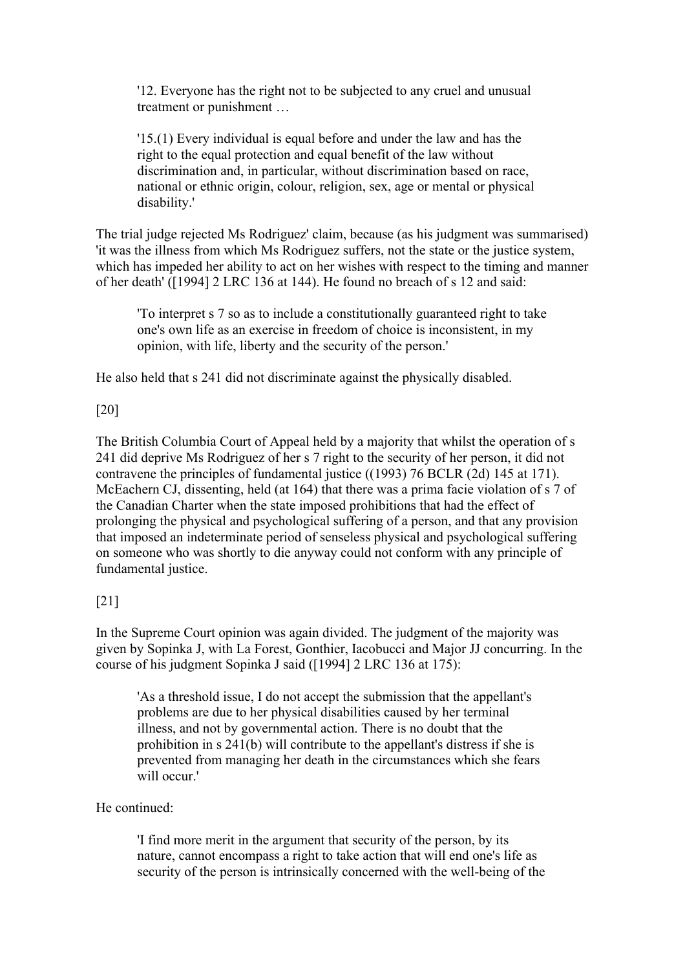'12. Everyone has the right not to be subjected to any cruel and unusual treatment or punishment …

'15.(1) Every individual is equal before and under the law and has the right to the equal protection and equal benefit of the law without discrimination and, in particular, without discrimination based on race, national or ethnic origin, colour, religion, sex, age or mental or physical disability.'

The trial judge rejected Ms Rodriguez' claim, because (as his judgment was summarised) 'it was the illness from which Ms Rodriguez suffers, not the state or the justice system, which has impeded her ability to act on her wishes with respect to the timing and manner of her death' ([1994] 2 LRC 136 at 144). He found no breach of s 12 and said:

'To interpret s 7 so as to include a constitutionally guaranteed right to take one's own life as an exercise in freedom of choice is inconsistent, in my opinion, with life, liberty and the security of the person.'

He also held that s 241 did not discriminate against the physically disabled.

# [20]

The British Columbia Court of Appeal held by a majority that whilst the operation of s 241 did deprive Ms Rodriguez of her s 7 right to the security of her person, it did not contravene the principles of fundamental justice ((1993) 76 BCLR (2d) 145 at 171). McEachern CJ, dissenting, held (at 164) that there was a prima facie violation of s 7 of the Canadian Charter when the state imposed prohibitions that had the effect of prolonging the physical and psychological suffering of a person, and that any provision that imposed an indeterminate period of senseless physical and psychological suffering on someone who was shortly to die anyway could not conform with any principle of fundamental justice.

# [21]

In the Supreme Court opinion was again divided. The judgment of the majority was given by Sopinka J, with La Forest, Gonthier, Iacobucci and Major JJ concurring. In the course of his judgment Sopinka J said ([1994] 2 LRC 136 at 175):

'As a threshold issue, I do not accept the submission that the appellant's problems are due to her physical disabilities caused by her terminal illness, and not by governmental action. There is no doubt that the prohibition in s 241(b) will contribute to the appellant's distress if she is prevented from managing her death in the circumstances which she fears will occur'

# He continued:

'I find more merit in the argument that security of the person, by its nature, cannot encompass a right to take action that will end one's life as security of the person is intrinsically concerned with the well-being of the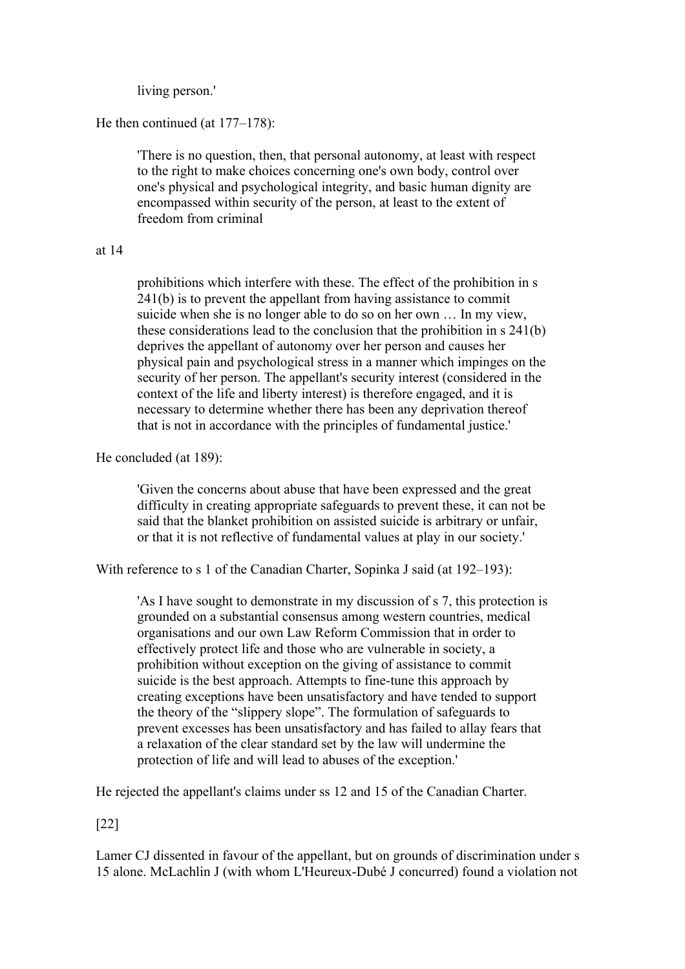living person.'

He then continued (at 177–178):

'There is no question, then, that personal autonomy, at least with respect to the right to make choices concerning one's own body, control over one's physical and psychological integrity, and basic human dignity are encompassed within security of the person, at least to the extent of freedom from criminal

#### at 14

prohibitions which interfere with these. The effect of the prohibition in s 241(b) is to prevent the appellant from having assistance to commit suicide when she is no longer able to do so on her own … In my view, these considerations lead to the conclusion that the prohibition in s 241(b) deprives the appellant of autonomy over her person and causes her physical pain and psychological stress in a manner which impinges on the security of her person. The appellant's security interest (considered in the context of the life and liberty interest) is therefore engaged, and it is necessary to determine whether there has been any deprivation thereof that is not in accordance with the principles of fundamental justice.'

He concluded (at 189):

'Given the concerns about abuse that have been expressed and the great difficulty in creating appropriate safeguards to prevent these, it can not be said that the blanket prohibition on assisted suicide is arbitrary or unfair, or that it is not reflective of fundamental values at play in our society.'

With reference to s 1 of the Canadian Charter, Sopinka J said (at 192–193):

'As I have sought to demonstrate in my discussion of s 7, this protection is grounded on a substantial consensus among western countries, medical organisations and our own Law Reform Commission that in order to effectively protect life and those who are vulnerable in society, a prohibition without exception on the giving of assistance to commit suicide is the best approach. Attempts to fine-tune this approach by creating exceptions have been unsatisfactory and have tended to support the theory of the "slippery slope". The formulation of safeguards to prevent excesses has been unsatisfactory and has failed to allay fears that a relaxation of the clear standard set by the law will undermine the protection of life and will lead to abuses of the exception.'

He rejected the appellant's claims under ss 12 and 15 of the Canadian Charter.

## [22]

Lamer CJ dissented in favour of the appellant, but on grounds of discrimination under s 15 alone. McLachlin J (with whom L'Heureux-Dubé J concurred) found a violation not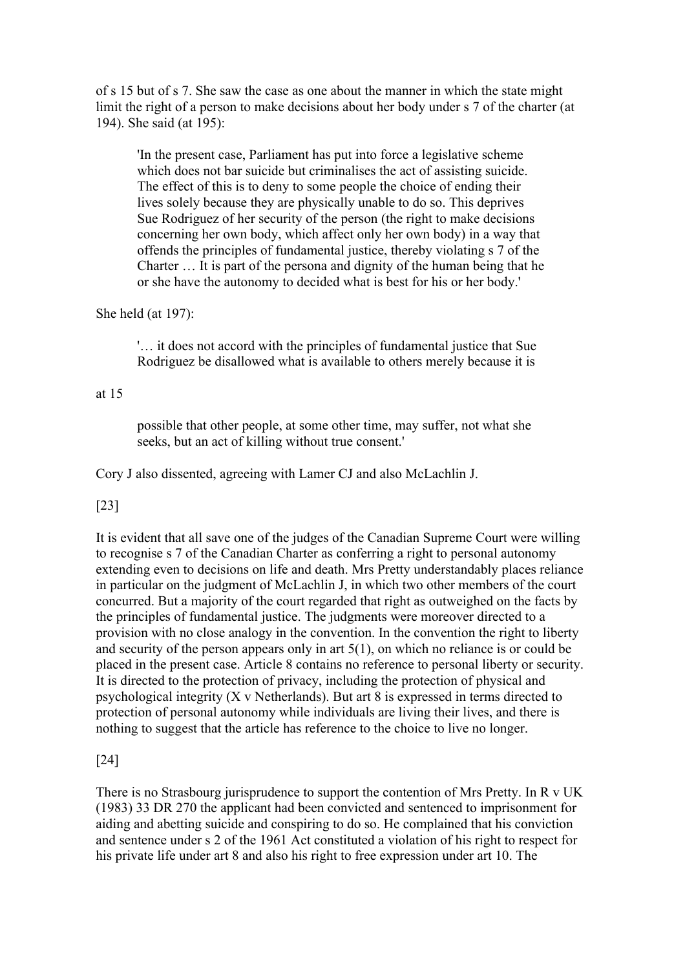of s 15 but of s 7. She saw the case as one about the manner in which the state might limit the right of a person to make decisions about her body under s 7 of the charter (at 194). She said (at 195):

'In the present case, Parliament has put into force a legislative scheme which does not bar suicide but criminalises the act of assisting suicide. The effect of this is to deny to some people the choice of ending their lives solely because they are physically unable to do so. This deprives Sue Rodriguez of her security of the person (the right to make decisions concerning her own body, which affect only her own body) in a way that offends the principles of fundamental justice, thereby violating s 7 of the Charter … It is part of the persona and dignity of the human being that he or she have the autonomy to decided what is best for his or her body.'

#### She held (at 197):

'… it does not accord with the principles of fundamental justice that Sue Rodriguez be disallowed what is available to others merely because it is

#### at 15

possible that other people, at some other time, may suffer, not what she seeks, but an act of killing without true consent.'

Cory J also dissented, agreeing with Lamer CJ and also McLachlin J.

#### [23]

It is evident that all save one of the judges of the Canadian Supreme Court were willing to recognise s 7 of the Canadian Charter as conferring a right to personal autonomy extending even to decisions on life and death. Mrs Pretty understandably places reliance in particular on the judgment of McLachlin J, in which two other members of the court concurred. But a majority of the court regarded that right as outweighed on the facts by the principles of fundamental justice. The judgments were moreover directed to a provision with no close analogy in the convention. In the convention the right to liberty and security of the person appears only in art  $5(1)$ , on which no reliance is or could be placed in the present case. Article 8 contains no reference to personal liberty or security. It is directed to the protection of privacy, including the protection of physical and psychological integrity (X v Netherlands). But art 8 is expressed in terms directed to protection of personal autonomy while individuals are living their lives, and there is nothing to suggest that the article has reference to the choice to live no longer.

#### [24]

There is no Strasbourg jurisprudence to support the contention of Mrs Pretty. In R v UK (1983) 33 DR 270 the applicant had been convicted and sentenced to imprisonment for aiding and abetting suicide and conspiring to do so. He complained that his conviction and sentence under s 2 of the 1961 Act constituted a violation of his right to respect for his private life under art 8 and also his right to free expression under art 10. The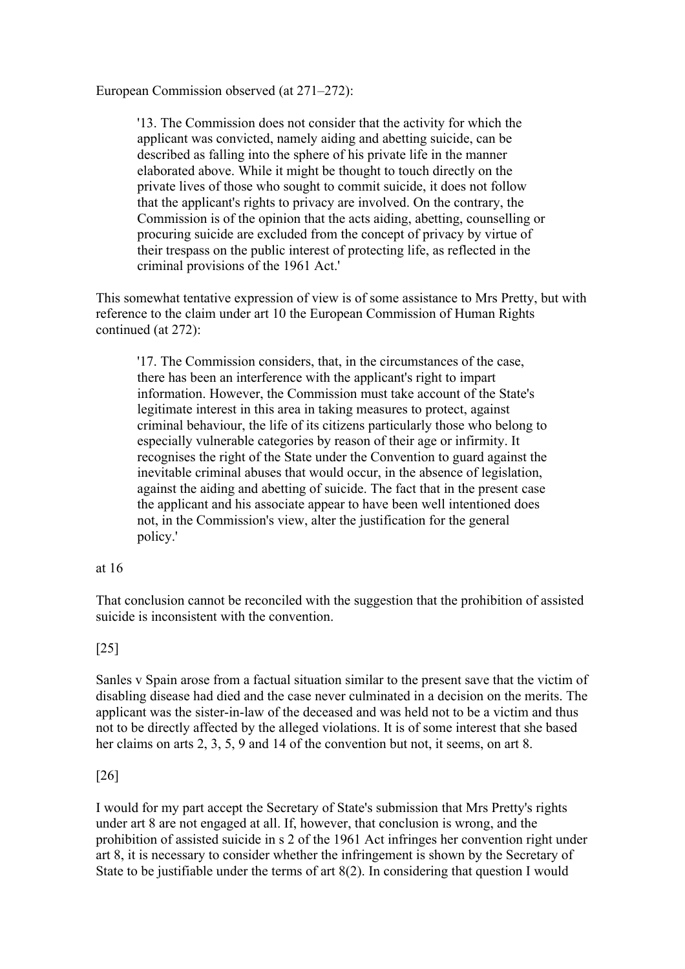European Commission observed (at 271–272):

'13. The Commission does not consider that the activity for which the applicant was convicted, namely aiding and abetting suicide, can be described as falling into the sphere of his private life in the manner elaborated above. While it might be thought to touch directly on the private lives of those who sought to commit suicide, it does not follow that the applicant's rights to privacy are involved. On the contrary, the Commission is of the opinion that the acts aiding, abetting, counselling or procuring suicide are excluded from the concept of privacy by virtue of their trespass on the public interest of protecting life, as reflected in the criminal provisions of the 1961 Act.'

This somewhat tentative expression of view is of some assistance to Mrs Pretty, but with reference to the claim under art 10 the European Commission of Human Rights continued (at 272):

'17. The Commission considers, that, in the circumstances of the case, there has been an interference with the applicant's right to impart information. However, the Commission must take account of the State's legitimate interest in this area in taking measures to protect, against criminal behaviour, the life of its citizens particularly those who belong to especially vulnerable categories by reason of their age or infirmity. It recognises the right of the State under the Convention to guard against the inevitable criminal abuses that would occur, in the absence of legislation, against the aiding and abetting of suicide. The fact that in the present case the applicant and his associate appear to have been well intentioned does not, in the Commission's view, alter the justification for the general policy.'

#### at 16

That conclusion cannot be reconciled with the suggestion that the prohibition of assisted suicide is inconsistent with the convention.

## [25]

Sanles v Spain arose from a factual situation similar to the present save that the victim of disabling disease had died and the case never culminated in a decision on the merits. The applicant was the sister-in-law of the deceased and was held not to be a victim and thus not to be directly affected by the alleged violations. It is of some interest that she based her claims on arts 2, 3, 5, 9 and 14 of the convention but not, it seems, on art 8.

## [26]

I would for my part accept the Secretary of State's submission that Mrs Pretty's rights under art 8 are not engaged at all. If, however, that conclusion is wrong, and the prohibition of assisted suicide in s 2 of the 1961 Act infringes her convention right under art 8, it is necessary to consider whether the infringement is shown by the Secretary of State to be justifiable under the terms of art 8(2). In considering that question I would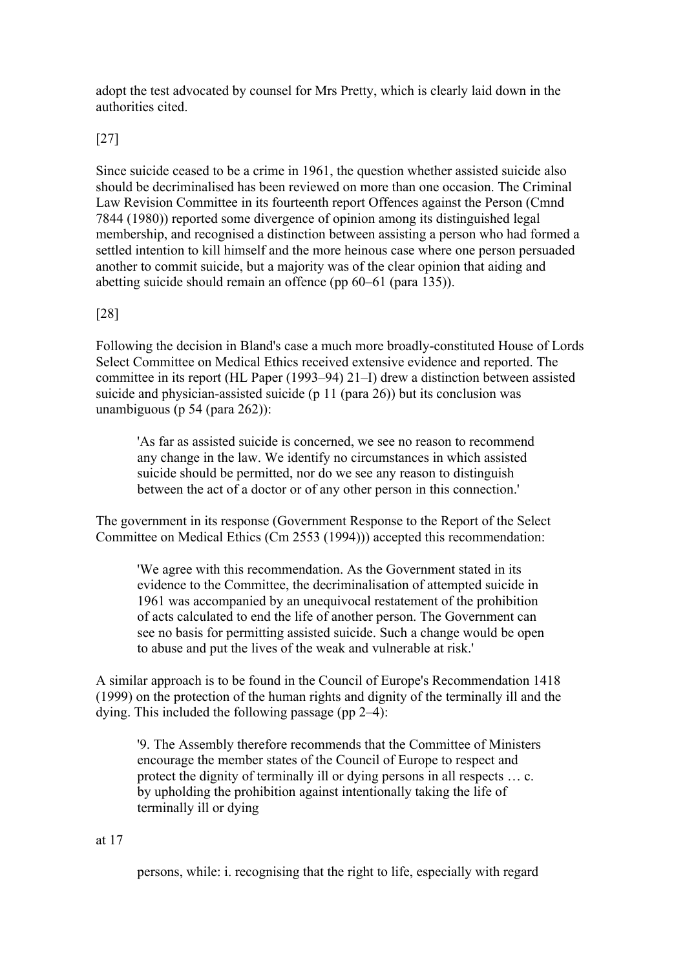adopt the test advocated by counsel for Mrs Pretty, which is clearly laid down in the authorities cited.

### [27]

Since suicide ceased to be a crime in 1961, the question whether assisted suicide also should be decriminalised has been reviewed on more than one occasion. The Criminal Law Revision Committee in its fourteenth report Offences against the Person (Cmnd 7844 (1980)) reported some divergence of opinion among its distinguished legal membership, and recognised a distinction between assisting a person who had formed a settled intention to kill himself and the more heinous case where one person persuaded another to commit suicide, but a majority was of the clear opinion that aiding and abetting suicide should remain an offence (pp 60–61 (para 135)).

### [28]

Following the decision in Bland's case a much more broadly-constituted House of Lords Select Committee on Medical Ethics received extensive evidence and reported. The committee in its report (HL Paper (1993–94) 21–I) drew a distinction between assisted suicide and physician-assisted suicide (p 11 (para 26)) but its conclusion was unambiguous (p 54 (para 262)):

'As far as assisted suicide is concerned, we see no reason to recommend any change in the law. We identify no circumstances in which assisted suicide should be permitted, nor do we see any reason to distinguish between the act of a doctor or of any other person in this connection.'

The government in its response (Government Response to the Report of the Select Committee on Medical Ethics (Cm 2553 (1994))) accepted this recommendation:

'We agree with this recommendation. As the Government stated in its evidence to the Committee, the decriminalisation of attempted suicide in 1961 was accompanied by an unequivocal restatement of the prohibition of acts calculated to end the life of another person. The Government can see no basis for permitting assisted suicide. Such a change would be open to abuse and put the lives of the weak and vulnerable at risk.'

A similar approach is to be found in the Council of Europe's Recommendation 1418 (1999) on the protection of the human rights and dignity of the terminally ill and the dying. This included the following passage (pp 2–4):

'9. The Assembly therefore recommends that the Committee of Ministers encourage the member states of the Council of Europe to respect and protect the dignity of terminally ill or dying persons in all respects … c. by upholding the prohibition against intentionally taking the life of terminally ill or dying

#### at 17

persons, while: i. recognising that the right to life, especially with regard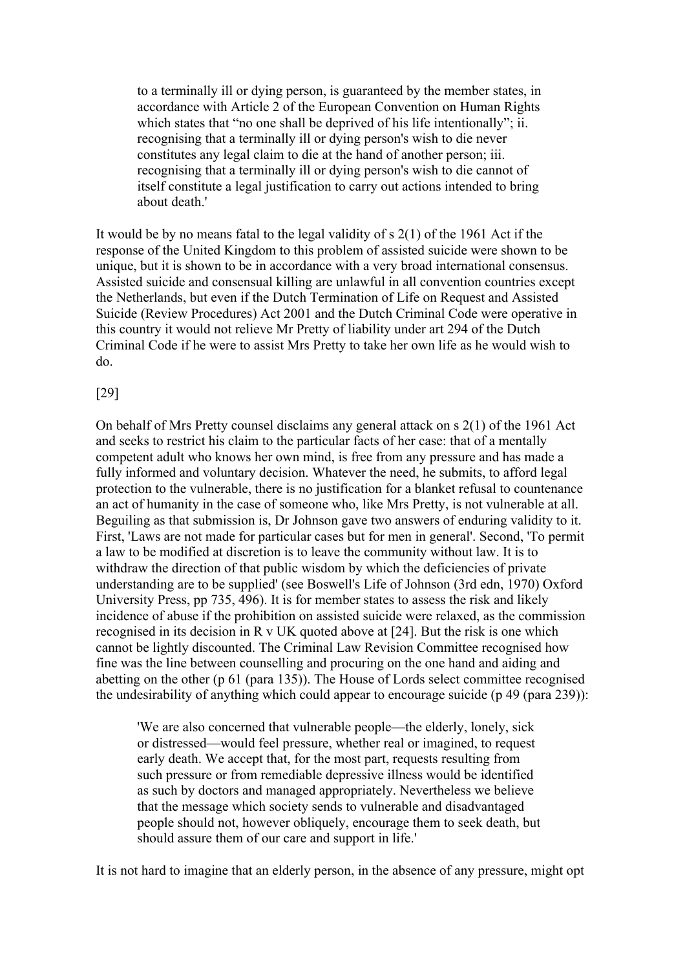to a terminally ill or dying person, is guaranteed by the member states, in accordance with Article 2 of the European Convention on Human Rights which states that "no one shall be deprived of his life intentionally"; ii. recognising that a terminally ill or dying person's wish to die never constitutes any legal claim to die at the hand of another person; iii. recognising that a terminally ill or dying person's wish to die cannot of itself constitute a legal justification to carry out actions intended to bring about death.'

It would be by no means fatal to the legal validity of s 2(1) of the 1961 Act if the response of the United Kingdom to this problem of assisted suicide were shown to be unique, but it is shown to be in accordance with a very broad international consensus. Assisted suicide and consensual killing are unlawful in all convention countries except the Netherlands, but even if the Dutch Termination of Life on Request and Assisted Suicide (Review Procedures) Act 2001 and the Dutch Criminal Code were operative in this country it would not relieve Mr Pretty of liability under art 294 of the Dutch Criminal Code if he were to assist Mrs Pretty to take her own life as he would wish to do.

#### [29]

On behalf of Mrs Pretty counsel disclaims any general attack on s 2(1) of the 1961 Act and seeks to restrict his claim to the particular facts of her case: that of a mentally competent adult who knows her own mind, is free from any pressure and has made a fully informed and voluntary decision. Whatever the need, he submits, to afford legal protection to the vulnerable, there is no justification for a blanket refusal to countenance an act of humanity in the case of someone who, like Mrs Pretty, is not vulnerable at all. Beguiling as that submission is, Dr Johnson gave two answers of enduring validity to it. First, 'Laws are not made for particular cases but for men in general'. Second, 'To permit a law to be modified at discretion is to leave the community without law. It is to withdraw the direction of that public wisdom by which the deficiencies of private understanding are to be supplied' (see Boswell's Life of Johnson (3rd edn, 1970) Oxford University Press, pp 735, 496). It is for member states to assess the risk and likely incidence of abuse if the prohibition on assisted suicide were relaxed, as the commission recognised in its decision in R v UK quoted above at [24]. But the risk is one which cannot be lightly discounted. The Criminal Law Revision Committee recognised how fine was the line between counselling and procuring on the one hand and aiding and abetting on the other (p 61 (para 135)). The House of Lords select committee recognised the undesirability of anything which could appear to encourage suicide (p 49 (para 239)):

'We are also concerned that vulnerable people—the elderly, lonely, sick or distressed—would feel pressure, whether real or imagined, to request early death. We accept that, for the most part, requests resulting from such pressure or from remediable depressive illness would be identified as such by doctors and managed appropriately. Nevertheless we believe that the message which society sends to vulnerable and disadvantaged people should not, however obliquely, encourage them to seek death, but should assure them of our care and support in life.'

It is not hard to imagine that an elderly person, in the absence of any pressure, might opt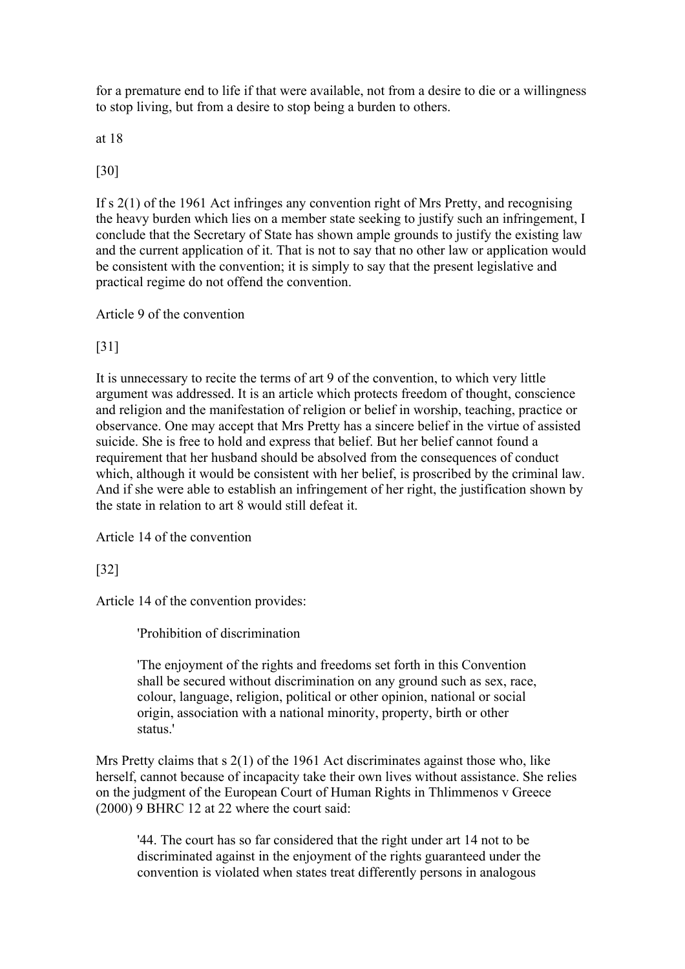for a premature end to life if that were available, not from a desire to die or a willingness to stop living, but from a desire to stop being a burden to others.

at 18

[30]

If s 2(1) of the 1961 Act infringes any convention right of Mrs Pretty, and recognising the heavy burden which lies on a member state seeking to justify such an infringement, I conclude that the Secretary of State has shown ample grounds to justify the existing law and the current application of it. That is not to say that no other law or application would be consistent with the convention; it is simply to say that the present legislative and practical regime do not offend the convention.

Article 9 of the convention

[31]

It is unnecessary to recite the terms of art 9 of the convention, to which very little argument was addressed. It is an article which protects freedom of thought, conscience and religion and the manifestation of religion or belief in worship, teaching, practice or observance. One may accept that Mrs Pretty has a sincere belief in the virtue of assisted suicide. She is free to hold and express that belief. But her belief cannot found a requirement that her husband should be absolved from the consequences of conduct which, although it would be consistent with her belief, is proscribed by the criminal law. And if she were able to establish an infringement of her right, the justification shown by the state in relation to art 8 would still defeat it.

Article 14 of the convention

[32]

Article 14 of the convention provides:

'Prohibition of discrimination

'The enjoyment of the rights and freedoms set forth in this Convention shall be secured without discrimination on any ground such as sex, race, colour, language, religion, political or other opinion, national or social origin, association with a national minority, property, birth or other status<sup>'</sup>

Mrs Pretty claims that s 2(1) of the 1961 Act discriminates against those who, like herself, cannot because of incapacity take their own lives without assistance. She relies on the judgment of the European Court of Human Rights in Thlimmenos v Greece (2000) 9 BHRC 12 at 22 where the court said:

'44. The court has so far considered that the right under art 14 not to be discriminated against in the enjoyment of the rights guaranteed under the convention is violated when states treat differently persons in analogous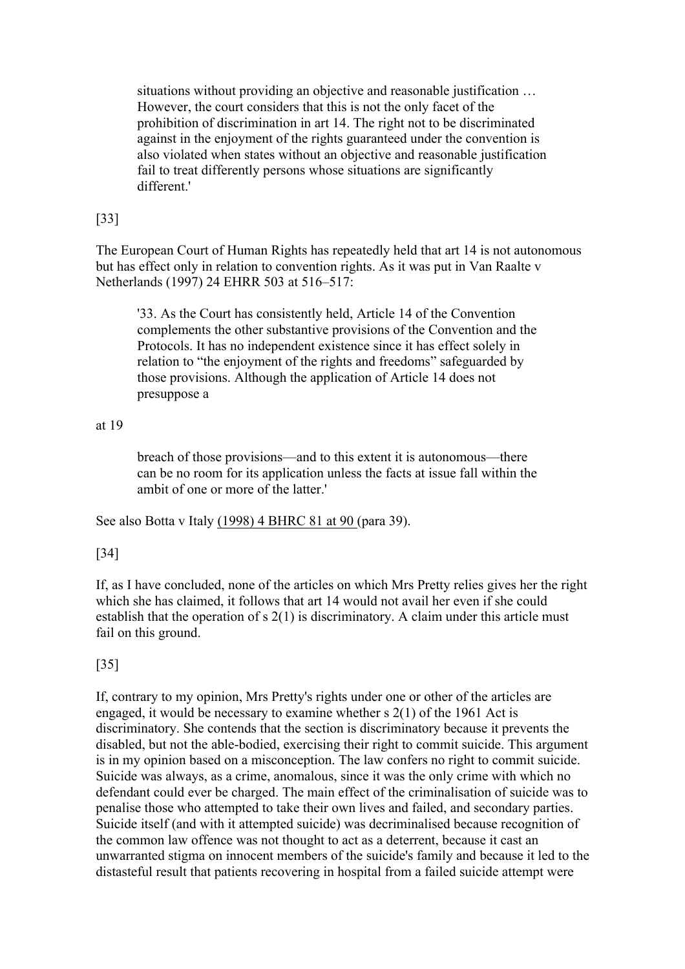situations without providing an objective and reasonable justification … However, the court considers that this is not the only facet of the prohibition of discrimination in art 14. The right not to be discriminated against in the enjoyment of the rights guaranteed under the convention is also violated when states without an objective and reasonable justification fail to treat differently persons whose situations are significantly different.'

## [33]

The European Court of Human Rights has repeatedly held that art 14 is not autonomous but has effect only in relation to convention rights. As it was put in Van Raalte v Netherlands (1997) 24 EHRR 503 at 516–517:

'33. As the Court has consistently held, Article 14 of the Convention complements the other substantive provisions of the Convention and the Protocols. It has no independent existence since it has effect solely in relation to "the enjoyment of the rights and freedoms" safeguarded by those provisions. Although the application of Article 14 does not presuppose a

## at 19

breach of those provisions—and to this extent it is autonomous—there can be no room for its application unless the facts at issue fall within the ambit of one or more of the latter.'

See also Botta v Italy (1998) 4 BHRC 81 at 90 (para 39).

# [34]

If, as I have concluded, none of the articles on which Mrs Pretty relies gives her the right which she has claimed, it follows that art 14 would not avail her even if she could establish that the operation of s 2(1) is discriminatory. A claim under this article must fail on this ground.

# [35]

If, contrary to my opinion, Mrs Pretty's rights under one or other of the articles are engaged, it would be necessary to examine whether s 2(1) of the 1961 Act is discriminatory. She contends that the section is discriminatory because it prevents the disabled, but not the able-bodied, exercising their right to commit suicide. This argument is in my opinion based on a misconception. The law confers no right to commit suicide. Suicide was always, as a crime, anomalous, since it was the only crime with which no defendant could ever be charged. The main effect of the criminalisation of suicide was to penalise those who attempted to take their own lives and failed, and secondary parties. Suicide itself (and with it attempted suicide) was decriminalised because recognition of the common law offence was not thought to act as a deterrent, because it cast an unwarranted stigma on innocent members of the suicide's family and because it led to the distasteful result that patients recovering in hospital from a failed suicide attempt were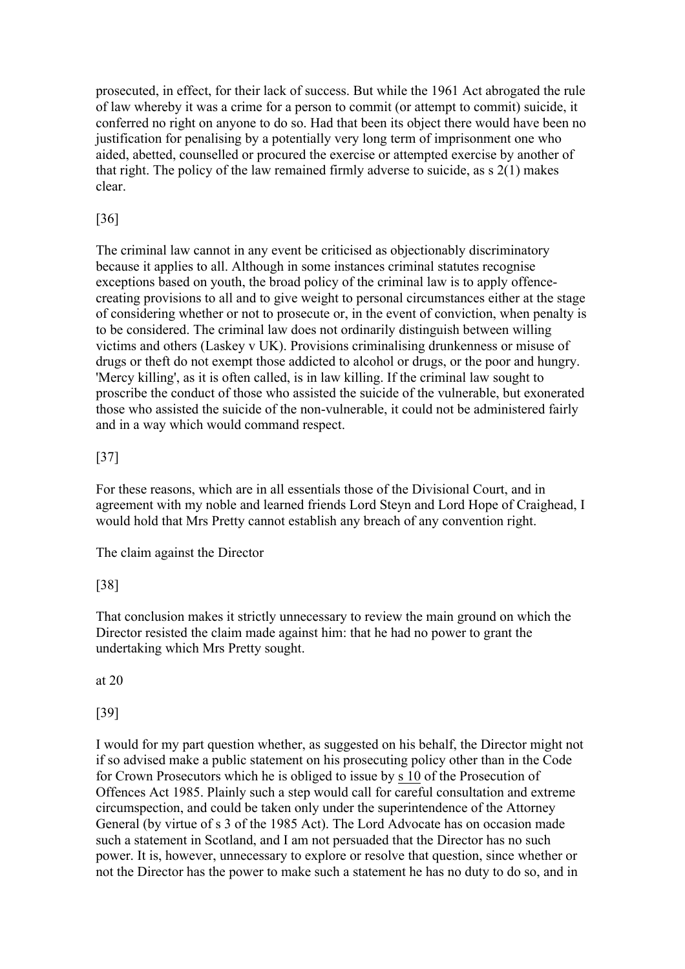prosecuted, in effect, for their lack of success. But while the 1961 Act abrogated the rule of law whereby it was a crime for a person to commit (or attempt to commit) suicide, it conferred no right on anyone to do so. Had that been its object there would have been no justification for penalising by a potentially very long term of imprisonment one who aided, abetted, counselled or procured the exercise or attempted exercise by another of that right. The policy of the law remained firmly adverse to suicide, as s 2(1) makes clear.

# [36]

The criminal law cannot in any event be criticised as objectionably discriminatory because it applies to all. Although in some instances criminal statutes recognise exceptions based on youth, the broad policy of the criminal law is to apply offencecreating provisions to all and to give weight to personal circumstances either at the stage of considering whether or not to prosecute or, in the event of conviction, when penalty is to be considered. The criminal law does not ordinarily distinguish between willing victims and others (Laskey v UK). Provisions criminalising drunkenness or misuse of drugs or theft do not exempt those addicted to alcohol or drugs, or the poor and hungry. 'Mercy killing', as it is often called, is in law killing. If the criminal law sought to proscribe the conduct of those who assisted the suicide of the vulnerable, but exonerated those who assisted the suicide of the non-vulnerable, it could not be administered fairly and in a way which would command respect.

# [37]

For these reasons, which are in all essentials those of the Divisional Court, and in agreement with my noble and learned friends Lord Steyn and Lord Hope of Craighead, I would hold that Mrs Pretty cannot establish any breach of any convention right.

The claim against the Director

# [38]

That conclusion makes it strictly unnecessary to review the main ground on which the Director resisted the claim made against him: that he had no power to grant the undertaking which Mrs Pretty sought.

at 20

[39]

I would for my part question whether, as suggested on his behalf, the Director might not if so advised make a public statement on his prosecuting policy other than in the Code for Crown Prosecutors which he is obliged to issue by s 10 of the Prosecution of Offences Act 1985. Plainly such a step would call for careful consultation and extreme circumspection, and could be taken only under the superintendence of the Attorney General (by virtue of s 3 of the 1985 Act). The Lord Advocate has on occasion made such a statement in Scotland, and I am not persuaded that the Director has no such power. It is, however, unnecessary to explore or resolve that question, since whether or not the Director has the power to make such a statement he has no duty to do so, and in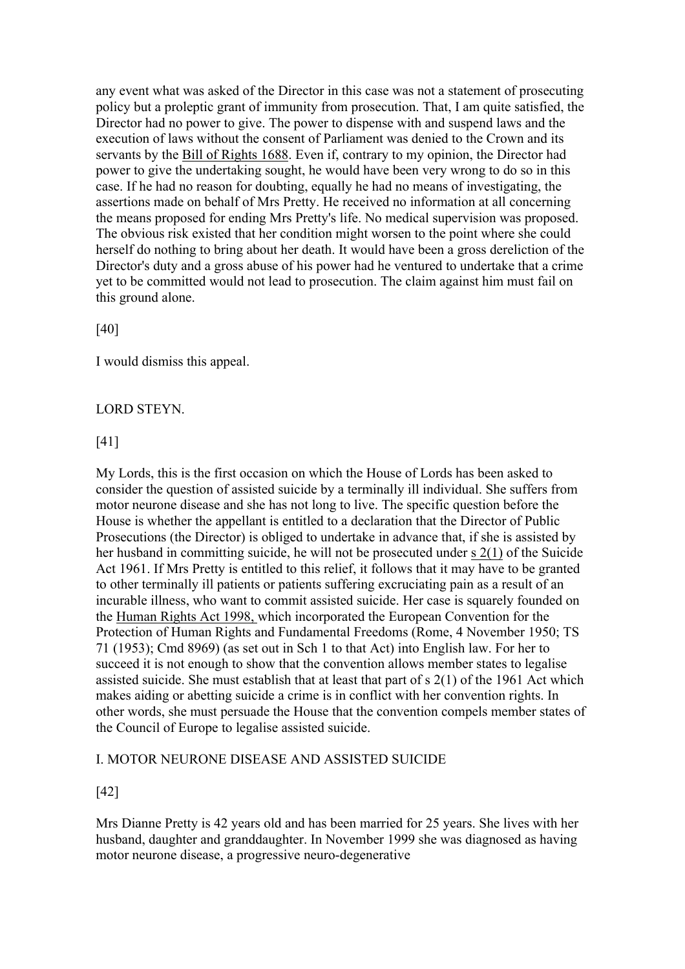any event what was asked of the Director in this case was not a statement of prosecuting policy but a proleptic grant of immunity from prosecution. That, I am quite satisfied, the Director had no power to give. The power to dispense with and suspend laws and the execution of laws without the consent of Parliament was denied to the Crown and its servants by the Bill of Rights 1688. Even if, contrary to my opinion, the Director had power to give the undertaking sought, he would have been very wrong to do so in this case. If he had no reason for doubting, equally he had no means of investigating, the assertions made on behalf of Mrs Pretty. He received no information at all concerning the means proposed for ending Mrs Pretty's life. No medical supervision was proposed. The obvious risk existed that her condition might worsen to the point where she could herself do nothing to bring about her death. It would have been a gross dereliction of the Director's duty and a gross abuse of his power had he ventured to undertake that a crime yet to be committed would not lead to prosecution. The claim against him must fail on this ground alone.

#### [40]

I would dismiss this appeal.

### LORD STEYN.

### [41]

My Lords, this is the first occasion on which the House of Lords has been asked to consider the question of assisted suicide by a terminally ill individual. She suffers from motor neurone disease and she has not long to live. The specific question before the House is whether the appellant is entitled to a declaration that the Director of Public Prosecutions (the Director) is obliged to undertake in advance that, if she is assisted by her husband in committing suicide, he will not be prosecuted under s 2(1) of the Suicide Act 1961. If Mrs Pretty is entitled to this relief, it follows that it may have to be granted to other terminally ill patients or patients suffering excruciating pain as a result of an incurable illness, who want to commit assisted suicide. Her case is squarely founded on the Human Rights Act 1998, which incorporated the European Convention for the Protection of Human Rights and Fundamental Freedoms (Rome, 4 November 1950; TS 71 (1953); Cmd 8969) (as set out in Sch 1 to that Act) into English law. For her to succeed it is not enough to show that the convention allows member states to legalise assisted suicide. She must establish that at least that part of s 2(1) of the 1961 Act which makes aiding or abetting suicide a crime is in conflict with her convention rights. In other words, she must persuade the House that the convention compels member states of the Council of Europe to legalise assisted suicide.

## I. MOTOR NEURONE DISEASE AND ASSISTED SUICIDE

## [42]

Mrs Dianne Pretty is 42 years old and has been married for 25 years. She lives with her husband, daughter and granddaughter. In November 1999 she was diagnosed as having motor neurone disease, a progressive neuro-degenerative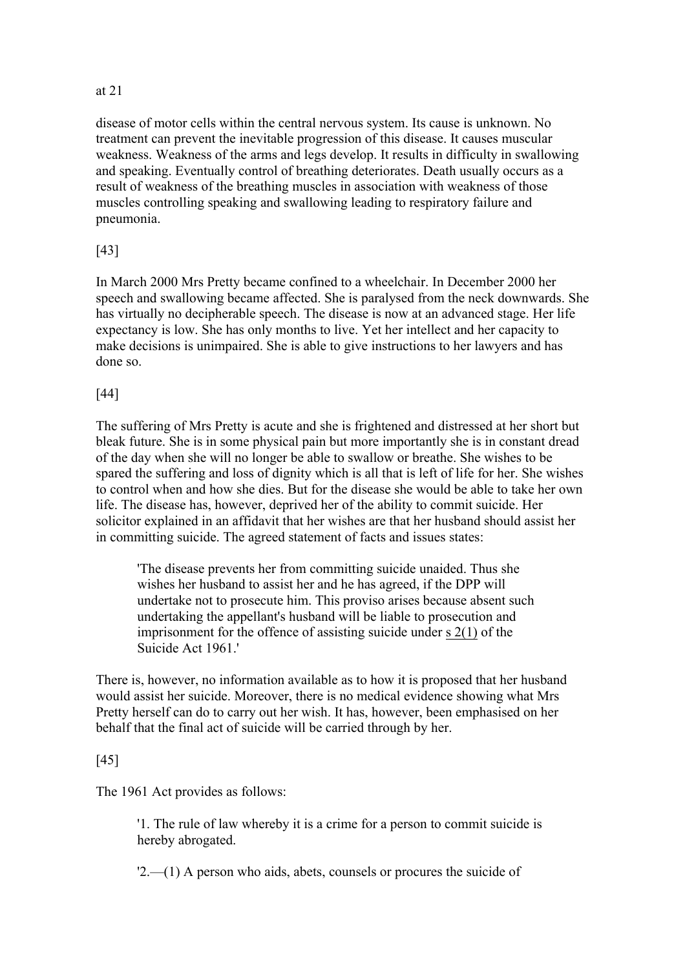### at 21

disease of motor cells within the central nervous system. Its cause is unknown. No treatment can prevent the inevitable progression of this disease. It causes muscular weakness. Weakness of the arms and legs develop. It results in difficulty in swallowing and speaking. Eventually control of breathing deteriorates. Death usually occurs as a result of weakness of the breathing muscles in association with weakness of those muscles controlling speaking and swallowing leading to respiratory failure and pneumonia.

# [43]

In March 2000 Mrs Pretty became confined to a wheelchair. In December 2000 her speech and swallowing became affected. She is paralysed from the neck downwards. She has virtually no decipherable speech. The disease is now at an advanced stage. Her life expectancy is low. She has only months to live. Yet her intellect and her capacity to make decisions is unimpaired. She is able to give instructions to her lawyers and has done so.

# [44]

The suffering of Mrs Pretty is acute and she is frightened and distressed at her short but bleak future. She is in some physical pain but more importantly she is in constant dread of the day when she will no longer be able to swallow or breathe. She wishes to be spared the suffering and loss of dignity which is all that is left of life for her. She wishes to control when and how she dies. But for the disease she would be able to take her own life. The disease has, however, deprived her of the ability to commit suicide. Her solicitor explained in an affidavit that her wishes are that her husband should assist her in committing suicide. The agreed statement of facts and issues states:

'The disease prevents her from committing suicide unaided. Thus she wishes her husband to assist her and he has agreed, if the DPP will undertake not to prosecute him. This proviso arises because absent such undertaking the appellant's husband will be liable to prosecution and imprisonment for the offence of assisting suicide under s 2(1) of the Suicide Act 1961.'

There is, however, no information available as to how it is proposed that her husband would assist her suicide. Moreover, there is no medical evidence showing what Mrs Pretty herself can do to carry out her wish. It has, however, been emphasised on her behalf that the final act of suicide will be carried through by her.

## [45]

The 1961 Act provides as follows:

'1. The rule of law whereby it is a crime for a person to commit suicide is hereby abrogated.

'2.—(1) A person who aids, abets, counsels or procures the suicide of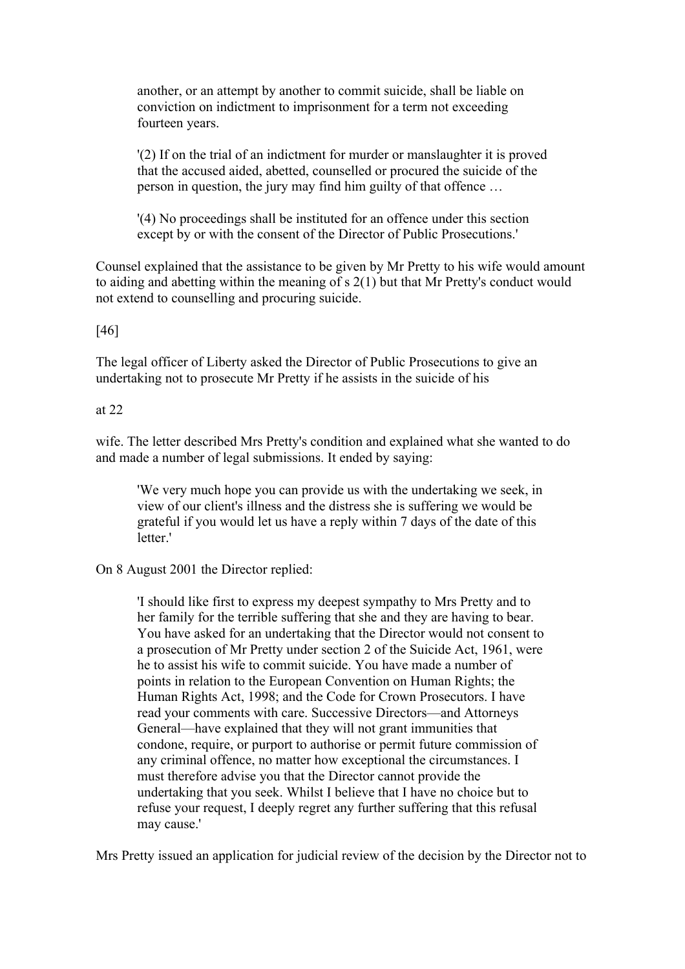another, or an attempt by another to commit suicide, shall be liable on conviction on indictment to imprisonment for a term not exceeding fourteen years.

'(2) If on the trial of an indictment for murder or manslaughter it is proved that the accused aided, abetted, counselled or procured the suicide of the person in question, the jury may find him guilty of that offence …

'(4) No proceedings shall be instituted for an offence under this section except by or with the consent of the Director of Public Prosecutions.'

Counsel explained that the assistance to be given by Mr Pretty to his wife would amount to aiding and abetting within the meaning of s 2(1) but that Mr Pretty's conduct would not extend to counselling and procuring suicide.

[46]

The legal officer of Liberty asked the Director of Public Prosecutions to give an undertaking not to prosecute Mr Pretty if he assists in the suicide of his

#### at 22

wife. The letter described Mrs Pretty's condition and explained what she wanted to do and made a number of legal submissions. It ended by saying:

'We very much hope you can provide us with the undertaking we seek, in view of our client's illness and the distress she is suffering we would be grateful if you would let us have a reply within 7 days of the date of this letter<sup>'</sup>

On 8 August 2001 the Director replied:

'I should like first to express my deepest sympathy to Mrs Pretty and to her family for the terrible suffering that she and they are having to bear. You have asked for an undertaking that the Director would not consent to a prosecution of Mr Pretty under section 2 of the Suicide Act, 1961, were he to assist his wife to commit suicide. You have made a number of points in relation to the European Convention on Human Rights; the Human Rights Act, 1998; and the Code for Crown Prosecutors. I have read your comments with care. Successive Directors—and Attorneys General—have explained that they will not grant immunities that condone, require, or purport to authorise or permit future commission of any criminal offence, no matter how exceptional the circumstances. I must therefore advise you that the Director cannot provide the undertaking that you seek. Whilst I believe that I have no choice but to refuse your request, I deeply regret any further suffering that this refusal may cause.'

Mrs Pretty issued an application for judicial review of the decision by the Director not to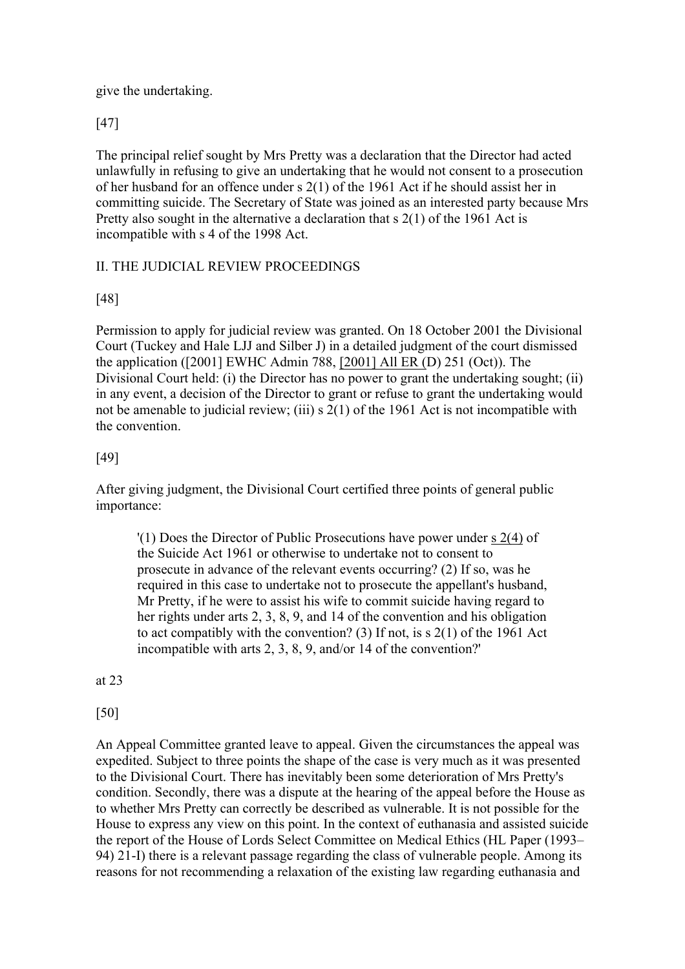## give the undertaking.

[47]

The principal relief sought by Mrs Pretty was a declaration that the Director had acted unlawfully in refusing to give an undertaking that he would not consent to a prosecution of her husband for an offence under s 2(1) of the 1961 Act if he should assist her in committing suicide. The Secretary of State was joined as an interested party because Mrs Pretty also sought in the alternative a declaration that s 2(1) of the 1961 Act is incompatible with s 4 of the 1998 Act.

# II. THE JUDICIAL REVIEW PROCEEDINGS

# [48]

Permission to apply for judicial review was granted. On 18 October 2001 the Divisional Court (Tuckey and Hale LJJ and Silber J) in a detailed judgment of the court dismissed the application ([2001] EWHC Admin 788, [2001] All ER (D) 251 (Oct)). The Divisional Court held: (i) the Director has no power to grant the undertaking sought; (ii) in any event, a decision of the Director to grant or refuse to grant the undertaking would not be amenable to judicial review; (iii) s 2(1) of the 1961 Act is not incompatible with the convention.

# [49]

After giving judgment, the Divisional Court certified three points of general public importance:

'(1) Does the Director of Public Prosecutions have power under s 2(4) of the Suicide Act 1961 or otherwise to undertake not to consent to prosecute in advance of the relevant events occurring? (2) If so, was he required in this case to undertake not to prosecute the appellant's husband, Mr Pretty, if he were to assist his wife to commit suicide having regard to her rights under arts 2, 3, 8, 9, and 14 of the convention and his obligation to act compatibly with the convention? (3) If not, is s 2(1) of the 1961 Act incompatible with arts 2, 3, 8, 9, and/or 14 of the convention?'

at 23

[50]

An Appeal Committee granted leave to appeal. Given the circumstances the appeal was expedited. Subject to three points the shape of the case is very much as it was presented to the Divisional Court. There has inevitably been some deterioration of Mrs Pretty's condition. Secondly, there was a dispute at the hearing of the appeal before the House as to whether Mrs Pretty can correctly be described as vulnerable. It is not possible for the House to express any view on this point. In the context of euthanasia and assisted suicide the report of the House of Lords Select Committee on Medical Ethics (HL Paper (1993– 94) 21-I) there is a relevant passage regarding the class of vulnerable people. Among its reasons for not recommending a relaxation of the existing law regarding euthanasia and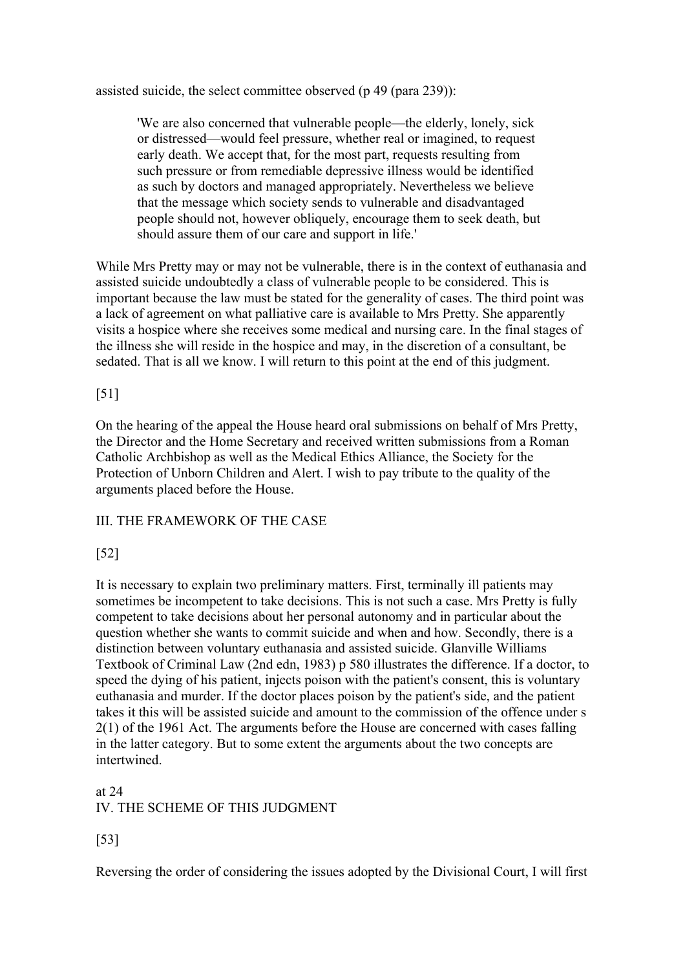assisted suicide, the select committee observed (p 49 (para 239)):

'We are also concerned that vulnerable people—the elderly, lonely, sick or distressed—would feel pressure, whether real or imagined, to request early death. We accept that, for the most part, requests resulting from such pressure or from remediable depressive illness would be identified as such by doctors and managed appropriately. Nevertheless we believe that the message which society sends to vulnerable and disadvantaged people should not, however obliquely, encourage them to seek death, but should assure them of our care and support in life.'

While Mrs Pretty may or may not be vulnerable, there is in the context of euthanasia and assisted suicide undoubtedly a class of vulnerable people to be considered. This is important because the law must be stated for the generality of cases. The third point was a lack of agreement on what palliative care is available to Mrs Pretty. She apparently visits a hospice where she receives some medical and nursing care. In the final stages of the illness she will reside in the hospice and may, in the discretion of a consultant, be sedated. That is all we know. I will return to this point at the end of this judgment.

[51]

On the hearing of the appeal the House heard oral submissions on behalf of Mrs Pretty, the Director and the Home Secretary and received written submissions from a Roman Catholic Archbishop as well as the Medical Ethics Alliance, the Society for the Protection of Unborn Children and Alert. I wish to pay tribute to the quality of the arguments placed before the House.

III. THE FRAMEWORK OF THE CASE

# [52]

It is necessary to explain two preliminary matters. First, terminally ill patients may sometimes be incompetent to take decisions. This is not such a case. Mrs Pretty is fully competent to take decisions about her personal autonomy and in particular about the question whether she wants to commit suicide and when and how. Secondly, there is a distinction between voluntary euthanasia and assisted suicide. Glanville Williams Textbook of Criminal Law (2nd edn, 1983) p 580 illustrates the difference. If a doctor, to speed the dying of his patient, injects poison with the patient's consent, this is voluntary euthanasia and murder. If the doctor places poison by the patient's side, and the patient takes it this will be assisted suicide and amount to the commission of the offence under s 2(1) of the 1961 Act. The arguments before the House are concerned with cases falling in the latter category. But to some extent the arguments about the two concepts are intertwined.

# at 24 IV. THE SCHEME OF THIS JUDGMENT

# [53]

Reversing the order of considering the issues adopted by the Divisional Court, I will first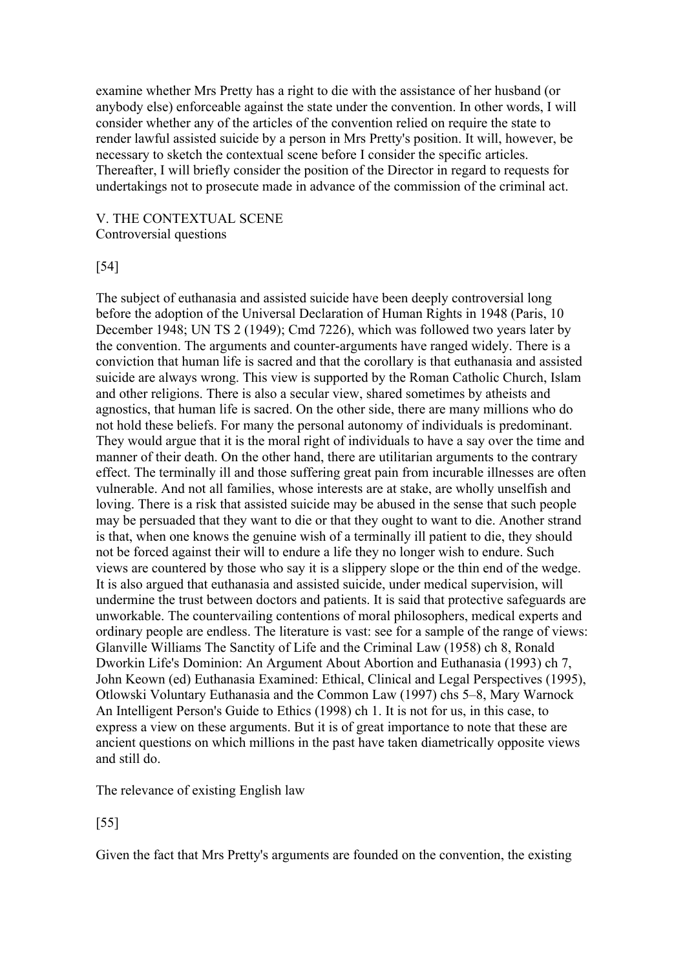examine whether Mrs Pretty has a right to die with the assistance of her husband (or anybody else) enforceable against the state under the convention. In other words, I will consider whether any of the articles of the convention relied on require the state to render lawful assisted suicide by a person in Mrs Pretty's position. It will, however, be necessary to sketch the contextual scene before I consider the specific articles. Thereafter, I will briefly consider the position of the Director in regard to requests for undertakings not to prosecute made in advance of the commission of the criminal act.

V. THE CONTEXTUAL SCENE Controversial questions

#### [54]

The subject of euthanasia and assisted suicide have been deeply controversial long before the adoption of the Universal Declaration of Human Rights in 1948 (Paris, 10 December 1948; UN TS 2 (1949); Cmd 7226), which was followed two years later by the convention. The arguments and counter-arguments have ranged widely. There is a conviction that human life is sacred and that the corollary is that euthanasia and assisted suicide are always wrong. This view is supported by the Roman Catholic Church, Islam and other religions. There is also a secular view, shared sometimes by atheists and agnostics, that human life is sacred. On the other side, there are many millions who do not hold these beliefs. For many the personal autonomy of individuals is predominant. They would argue that it is the moral right of individuals to have a say over the time and manner of their death. On the other hand, there are utilitarian arguments to the contrary effect. The terminally ill and those suffering great pain from incurable illnesses are often vulnerable. And not all families, whose interests are at stake, are wholly unselfish and loving. There is a risk that assisted suicide may be abused in the sense that such people may be persuaded that they want to die or that they ought to want to die. Another strand is that, when one knows the genuine wish of a terminally ill patient to die, they should not be forced against their will to endure a life they no longer wish to endure. Such views are countered by those who say it is a slippery slope or the thin end of the wedge. It is also argued that euthanasia and assisted suicide, under medical supervision, will undermine the trust between doctors and patients. It is said that protective safeguards are unworkable. The countervailing contentions of moral philosophers, medical experts and ordinary people are endless. The literature is vast: see for a sample of the range of views: Glanville Williams The Sanctity of Life and the Criminal Law (1958) ch 8, Ronald Dworkin Life's Dominion: An Argument About Abortion and Euthanasia (1993) ch 7, John Keown (ed) Euthanasia Examined: Ethical, Clinical and Legal Perspectives (1995), Otlowski Voluntary Euthanasia and the Common Law (1997) chs 5–8, Mary Warnock An Intelligent Person's Guide to Ethics (1998) ch 1. It is not for us, in this case, to express a view on these arguments. But it is of great importance to note that these are ancient questions on which millions in the past have taken diametrically opposite views and still do.

The relevance of existing English law

## [55]

Given the fact that Mrs Pretty's arguments are founded on the convention, the existing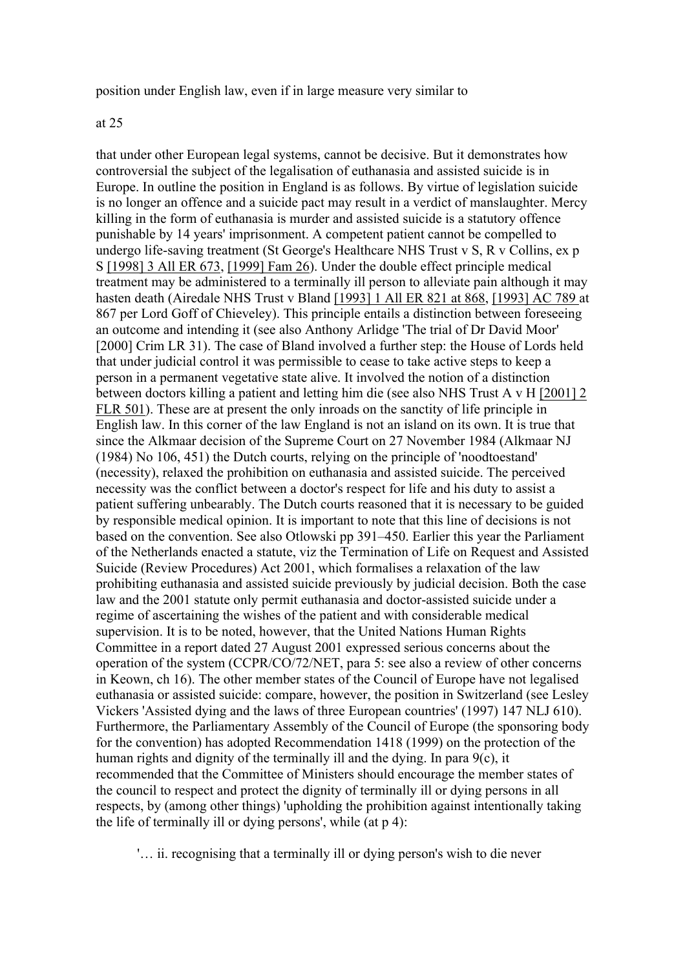position under English law, even if in large measure very similar to

at 25

that under other European legal systems, cannot be decisive. But it demonstrates how controversial the subject of the legalisation of euthanasia and assisted suicide is in Europe. In outline the position in England is as follows. By virtue of legislation suicide is no longer an offence and a suicide pact may result in a verdict of manslaughter. Mercy killing in the form of euthanasia is murder and assisted suicide is a statutory offence punishable by 14 years' imprisonment. A competent patient cannot be compelled to undergo life-saving treatment (St George's Healthcare NHS Trust v S, R v Collins, ex p S [1998] 3 All ER 673, [1999] Fam 26). Under the double effect principle medical treatment may be administered to a terminally ill person to alleviate pain although it may hasten death (Airedale NHS Trust v Bland [1993] 1 All ER 821 at 868, [1993] AC 789 at 867 per Lord Goff of Chieveley). This principle entails a distinction between foreseeing an outcome and intending it (see also Anthony Arlidge 'The trial of Dr David Moor' [2000] Crim LR 31). The case of Bland involved a further step: the House of Lords held that under judicial control it was permissible to cease to take active steps to keep a person in a permanent vegetative state alive. It involved the notion of a distinction between doctors killing a patient and letting him die (see also NHS Trust A v H [2001] 2 FLR 501). These are at present the only inroads on the sanctity of life principle in English law. In this corner of the law England is not an island on its own. It is true that since the Alkmaar decision of the Supreme Court on 27 November 1984 (Alkmaar NJ (1984) No 106, 451) the Dutch courts, relying on the principle of 'noodtoestand' (necessity), relaxed the prohibition on euthanasia and assisted suicide. The perceived necessity was the conflict between a doctor's respect for life and his duty to assist a patient suffering unbearably. The Dutch courts reasoned that it is necessary to be guided by responsible medical opinion. It is important to note that this line of decisions is not based on the convention. See also Otlowski pp 391–450. Earlier this year the Parliament of the Netherlands enacted a statute, viz the Termination of Life on Request and Assisted Suicide (Review Procedures) Act 2001, which formalises a relaxation of the law prohibiting euthanasia and assisted suicide previously by judicial decision. Both the case law and the 2001 statute only permit euthanasia and doctor-assisted suicide under a regime of ascertaining the wishes of the patient and with considerable medical supervision. It is to be noted, however, that the United Nations Human Rights Committee in a report dated 27 August 2001 expressed serious concerns about the operation of the system (CCPR/CO/72/NET, para 5: see also a review of other concerns in Keown, ch 16). The other member states of the Council of Europe have not legalised euthanasia or assisted suicide: compare, however, the position in Switzerland (see Lesley Vickers 'Assisted dying and the laws of three European countries' (1997) 147 NLJ 610). Furthermore, the Parliamentary Assembly of the Council of Europe (the sponsoring body for the convention) has adopted Recommendation 1418 (1999) on the protection of the human rights and dignity of the terminally ill and the dying. In para 9(c), it recommended that the Committee of Ministers should encourage the member states of the council to respect and protect the dignity of terminally ill or dying persons in all respects, by (among other things) 'upholding the prohibition against intentionally taking the life of terminally ill or dying persons', while (at p 4):

'… ii. recognising that a terminally ill or dying person's wish to die never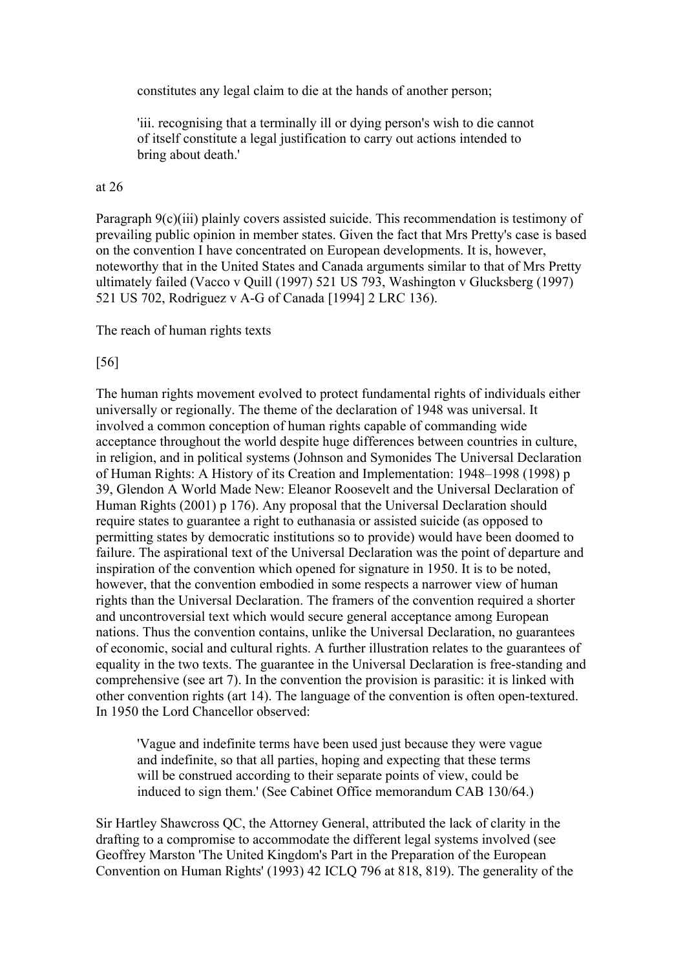constitutes any legal claim to die at the hands of another person;

'iii. recognising that a terminally ill or dying person's wish to die cannot of itself constitute a legal justification to carry out actions intended to bring about death.'

#### at 26

Paragraph 9(c)(iii) plainly covers assisted suicide. This recommendation is testimony of prevailing public opinion in member states. Given the fact that Mrs Pretty's case is based on the convention I have concentrated on European developments. It is, however, noteworthy that in the United States and Canada arguments similar to that of Mrs Pretty ultimately failed (Vacco v Quill (1997) 521 US 793, Washington v Glucksberg (1997) 521 US 702, Rodriguez v A-G of Canada [1994] 2 LRC 136).

The reach of human rights texts

#### [56]

The human rights movement evolved to protect fundamental rights of individuals either universally or regionally. The theme of the declaration of 1948 was universal. It involved a common conception of human rights capable of commanding wide acceptance throughout the world despite huge differences between countries in culture, in religion, and in political systems (Johnson and Symonides The Universal Declaration of Human Rights: A History of its Creation and Implementation: 1948–1998 (1998) p 39, Glendon A World Made New: Eleanor Roosevelt and the Universal Declaration of Human Rights (2001) p 176). Any proposal that the Universal Declaration should require states to guarantee a right to euthanasia or assisted suicide (as opposed to permitting states by democratic institutions so to provide) would have been doomed to failure. The aspirational text of the Universal Declaration was the point of departure and inspiration of the convention which opened for signature in 1950. It is to be noted, however, that the convention embodied in some respects a narrower view of human rights than the Universal Declaration. The framers of the convention required a shorter and uncontroversial text which would secure general acceptance among European nations. Thus the convention contains, unlike the Universal Declaration, no guarantees of economic, social and cultural rights. A further illustration relates to the guarantees of equality in the two texts. The guarantee in the Universal Declaration is free-standing and comprehensive (see art 7). In the convention the provision is parasitic: it is linked with other convention rights (art 14). The language of the convention is often open-textured. In 1950 the Lord Chancellor observed:

'Vague and indefinite terms have been used just because they were vague and indefinite, so that all parties, hoping and expecting that these terms will be construed according to their separate points of view, could be induced to sign them.' (See Cabinet Office memorandum CAB 130/64.)

Sir Hartley Shawcross QC, the Attorney General, attributed the lack of clarity in the drafting to a compromise to accommodate the different legal systems involved (see Geoffrey Marston 'The United Kingdom's Part in the Preparation of the European Convention on Human Rights' (1993) 42 ICLQ 796 at 818, 819). The generality of the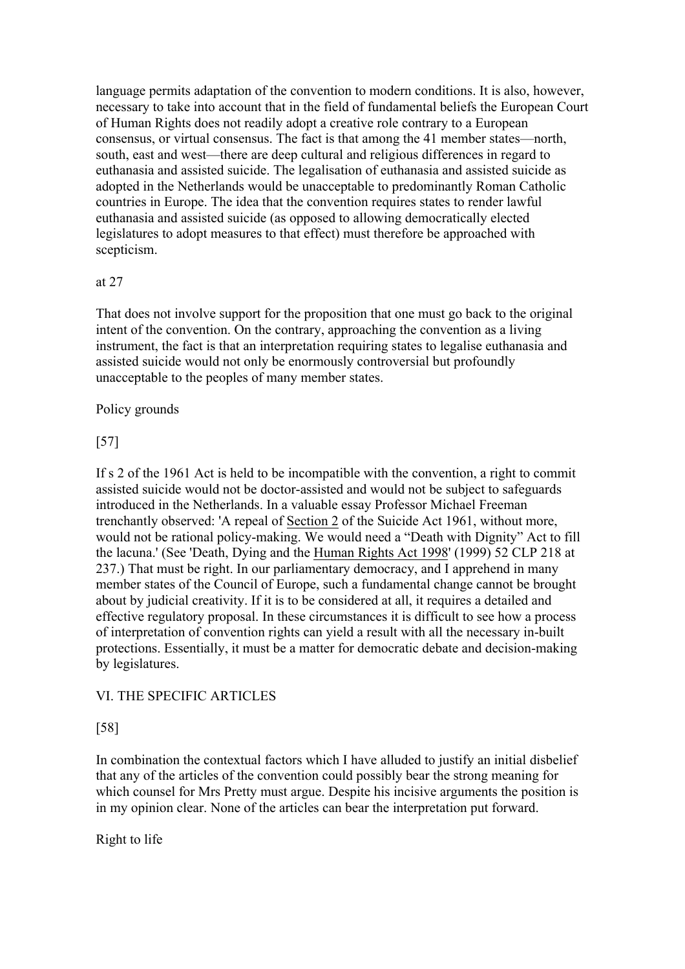language permits adaptation of the convention to modern conditions. It is also, however, necessary to take into account that in the field of fundamental beliefs the European Court of Human Rights does not readily adopt a creative role contrary to a European consensus, or virtual consensus. The fact is that among the 41 member states—north, south, east and west—there are deep cultural and religious differences in regard to euthanasia and assisted suicide. The legalisation of euthanasia and assisted suicide as adopted in the Netherlands would be unacceptable to predominantly Roman Catholic countries in Europe. The idea that the convention requires states to render lawful euthanasia and assisted suicide (as opposed to allowing democratically elected legislatures to adopt measures to that effect) must therefore be approached with scepticism.

### at 27

That does not involve support for the proposition that one must go back to the original intent of the convention. On the contrary, approaching the convention as a living instrument, the fact is that an interpretation requiring states to legalise euthanasia and assisted suicide would not only be enormously controversial but profoundly unacceptable to the peoples of many member states.

### Policy grounds

## [57]

If s 2 of the 1961 Act is held to be incompatible with the convention, a right to commit assisted suicide would not be doctor-assisted and would not be subject to safeguards introduced in the Netherlands. In a valuable essay Professor Michael Freeman trenchantly observed: 'A repeal of Section 2 of the Suicide Act 1961, without more, would not be rational policy-making. We would need a "Death with Dignity" Act to fill the lacuna.' (See 'Death, Dying and the Human Rights Act 1998' (1999) 52 CLP 218 at 237.) That must be right. In our parliamentary democracy, and I apprehend in many member states of the Council of Europe, such a fundamental change cannot be brought about by judicial creativity. If it is to be considered at all, it requires a detailed and effective regulatory proposal. In these circumstances it is difficult to see how a process of interpretation of convention rights can yield a result with all the necessary in-built protections. Essentially, it must be a matter for democratic debate and decision-making by legislatures.

## VI. THE SPECIFIC ARTICLES

# [58]

In combination the contextual factors which I have alluded to justify an initial disbelief that any of the articles of the convention could possibly bear the strong meaning for which counsel for Mrs Pretty must argue. Despite his incisive arguments the position is in my opinion clear. None of the articles can bear the interpretation put forward.

## Right to life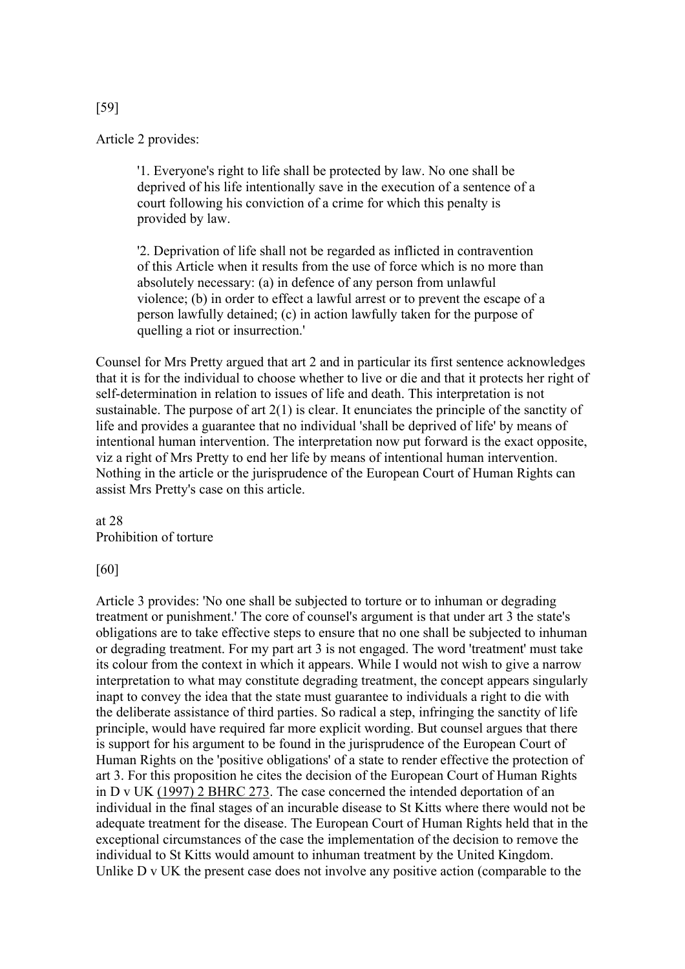#### Article 2 provides:

'1. Everyone's right to life shall be protected by law. No one shall be deprived of his life intentionally save in the execution of a sentence of a court following his conviction of a crime for which this penalty is provided by law.

'2. Deprivation of life shall not be regarded as inflicted in contravention of this Article when it results from the use of force which is no more than absolutely necessary: (a) in defence of any person from unlawful violence; (b) in order to effect a lawful arrest or to prevent the escape of a person lawfully detained; (c) in action lawfully taken for the purpose of quelling a riot or insurrection.'

Counsel for Mrs Pretty argued that art 2 and in particular its first sentence acknowledges that it is for the individual to choose whether to live or die and that it protects her right of self-determination in relation to issues of life and death. This interpretation is not sustainable. The purpose of art  $2(1)$  is clear. It enunciates the principle of the sanctity of life and provides a guarantee that no individual 'shall be deprived of life' by means of intentional human intervention. The interpretation now put forward is the exact opposite, viz a right of Mrs Pretty to end her life by means of intentional human intervention. Nothing in the article or the jurisprudence of the European Court of Human Rights can assist Mrs Pretty's case on this article.

at 28 Prohibition of torture

[60]

Article 3 provides: 'No one shall be subjected to torture or to inhuman or degrading treatment or punishment.' The core of counsel's argument is that under art 3 the state's obligations are to take effective steps to ensure that no one shall be subjected to inhuman or degrading treatment. For my part art 3 is not engaged. The word 'treatment' must take its colour from the context in which it appears. While I would not wish to give a narrow interpretation to what may constitute degrading treatment, the concept appears singularly inapt to convey the idea that the state must guarantee to individuals a right to die with the deliberate assistance of third parties. So radical a step, infringing the sanctity of life principle, would have required far more explicit wording. But counsel argues that there is support for his argument to be found in the jurisprudence of the European Court of Human Rights on the 'positive obligations' of a state to render effective the protection of art 3. For this proposition he cites the decision of the European Court of Human Rights in D v UK (1997) 2 BHRC 273. The case concerned the intended deportation of an individual in the final stages of an incurable disease to St Kitts where there would not be adequate treatment for the disease. The European Court of Human Rights held that in the exceptional circumstances of the case the implementation of the decision to remove the individual to St Kitts would amount to inhuman treatment by the United Kingdom. Unlike D v UK the present case does not involve any positive action (comparable to the

## [59]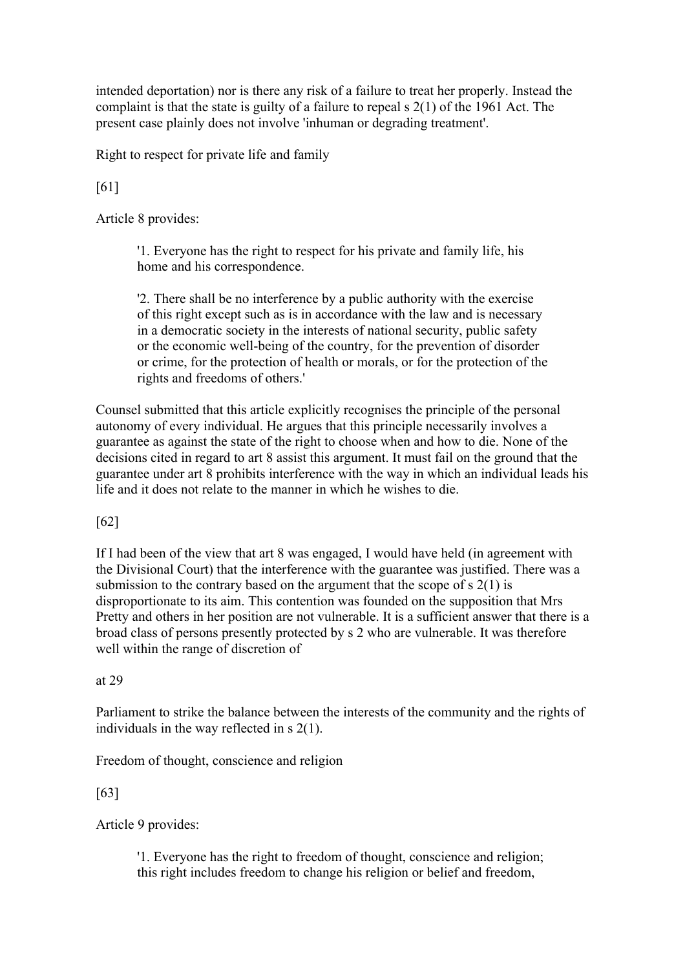intended deportation) nor is there any risk of a failure to treat her properly. Instead the complaint is that the state is guilty of a failure to repeal s 2(1) of the 1961 Act. The present case plainly does not involve 'inhuman or degrading treatment'.

Right to respect for private life and family

# [61]

Article 8 provides:

'1. Everyone has the right to respect for his private and family life, his home and his correspondence.

'2. There shall be no interference by a public authority with the exercise of this right except such as is in accordance with the law and is necessary in a democratic society in the interests of national security, public safety or the economic well-being of the country, for the prevention of disorder or crime, for the protection of health or morals, or for the protection of the rights and freedoms of others.'

Counsel submitted that this article explicitly recognises the principle of the personal autonomy of every individual. He argues that this principle necessarily involves a guarantee as against the state of the right to choose when and how to die. None of the decisions cited in regard to art 8 assist this argument. It must fail on the ground that the guarantee under art 8 prohibits interference with the way in which an individual leads his life and it does not relate to the manner in which he wishes to die.

[62]

If I had been of the view that art 8 was engaged, I would have held (in agreement with the Divisional Court) that the interference with the guarantee was justified. There was a submission to the contrary based on the argument that the scope of  $s$  2(1) is disproportionate to its aim. This contention was founded on the supposition that Mrs Pretty and others in her position are not vulnerable. It is a sufficient answer that there is a broad class of persons presently protected by s 2 who are vulnerable. It was therefore well within the range of discretion of

## at 29

Parliament to strike the balance between the interests of the community and the rights of individuals in the way reflected in s 2(1).

Freedom of thought, conscience and religion

# [63]

Article 9 provides:

'1. Everyone has the right to freedom of thought, conscience and religion; this right includes freedom to change his religion or belief and freedom,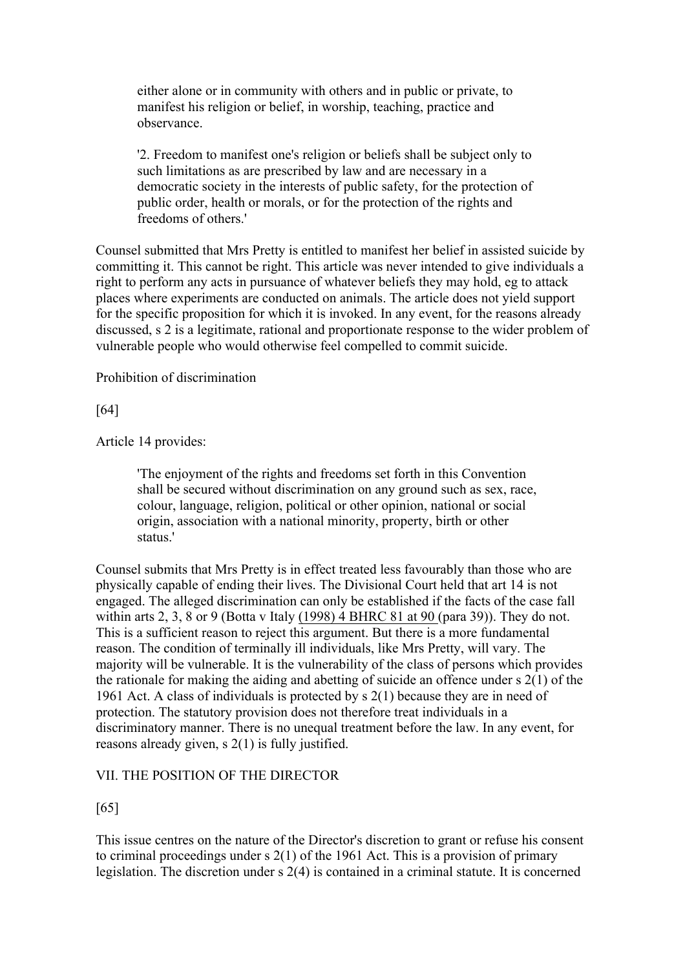either alone or in community with others and in public or private, to manifest his religion or belief, in worship, teaching, practice and observance.

'2. Freedom to manifest one's religion or beliefs shall be subject only to such limitations as are prescribed by law and are necessary in a democratic society in the interests of public safety, for the protection of public order, health or morals, or for the protection of the rights and freedoms of others.'

Counsel submitted that Mrs Pretty is entitled to manifest her belief in assisted suicide by committing it. This cannot be right. This article was never intended to give individuals a right to perform any acts in pursuance of whatever beliefs they may hold, eg to attack places where experiments are conducted on animals. The article does not yield support for the specific proposition for which it is invoked. In any event, for the reasons already discussed, s 2 is a legitimate, rational and proportionate response to the wider problem of vulnerable people who would otherwise feel compelled to commit suicide.

Prohibition of discrimination

[64]

Article 14 provides:

'The enjoyment of the rights and freedoms set forth in this Convention shall be secured without discrimination on any ground such as sex, race, colour, language, religion, political or other opinion, national or social origin, association with a national minority, property, birth or other status.'

Counsel submits that Mrs Pretty is in effect treated less favourably than those who are physically capable of ending their lives. The Divisional Court held that art 14 is not engaged. The alleged discrimination can only be established if the facts of the case fall within arts 2, 3, 8 or 9 (Botta v Italy (1998) 4 BHRC 81 at 90 (para 39)). They do not. This is a sufficient reason to reject this argument. But there is a more fundamental reason. The condition of terminally ill individuals, like Mrs Pretty, will vary. The majority will be vulnerable. It is the vulnerability of the class of persons which provides the rationale for making the aiding and abetting of suicide an offence under s 2(1) of the 1961 Act. A class of individuals is protected by s 2(1) because they are in need of protection. The statutory provision does not therefore treat individuals in a discriminatory manner. There is no unequal treatment before the law. In any event, for reasons already given, s 2(1) is fully justified.

## VII. THE POSITION OF THE DIRECTOR

[65]

This issue centres on the nature of the Director's discretion to grant or refuse his consent to criminal proceedings under s 2(1) of the 1961 Act. This is a provision of primary legislation. The discretion under s 2(4) is contained in a criminal statute. It is concerned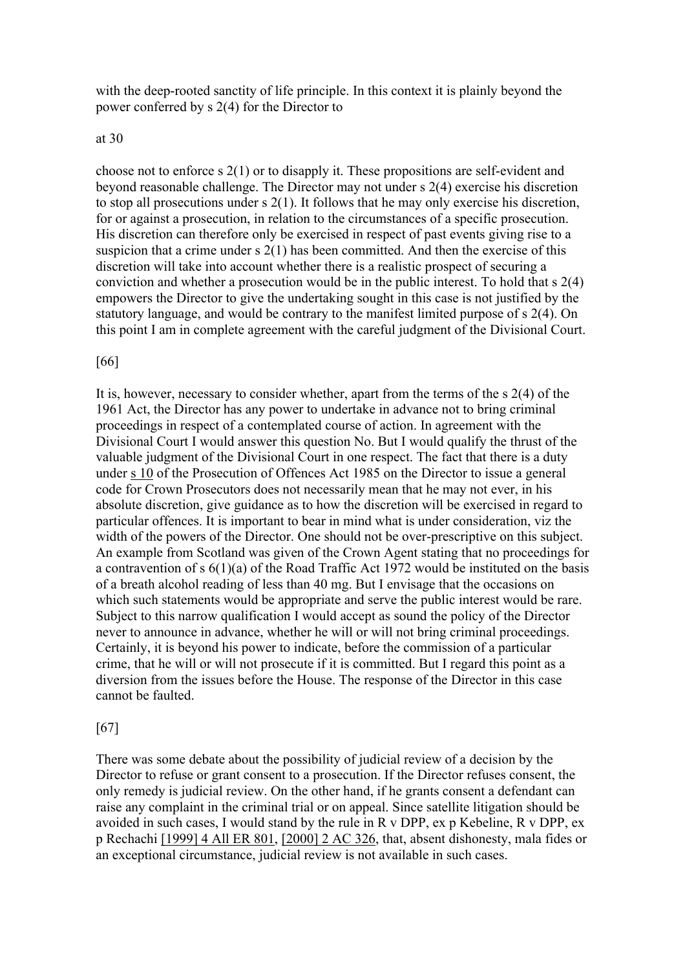with the deep-rooted sanctity of life principle. In this context it is plainly beyond the power conferred by s 2(4) for the Director to

#### at 30

choose not to enforce s 2(1) or to disapply it. These propositions are self-evident and beyond reasonable challenge. The Director may not under s 2(4) exercise his discretion to stop all prosecutions under s 2(1). It follows that he may only exercise his discretion, for or against a prosecution, in relation to the circumstances of a specific prosecution. His discretion can therefore only be exercised in respect of past events giving rise to a suspicion that a crime under s 2(1) has been committed. And then the exercise of this discretion will take into account whether there is a realistic prospect of securing a conviction and whether a prosecution would be in the public interest. To hold that s 2(4) empowers the Director to give the undertaking sought in this case is not justified by the statutory language, and would be contrary to the manifest limited purpose of s 2(4). On this point I am in complete agreement with the careful judgment of the Divisional Court.

#### [66]

It is, however, necessary to consider whether, apart from the terms of the s 2(4) of the 1961 Act, the Director has any power to undertake in advance not to bring criminal proceedings in respect of a contemplated course of action. In agreement with the Divisional Court I would answer this question No. But I would qualify the thrust of the valuable judgment of the Divisional Court in one respect. The fact that there is a duty under s 10 of the Prosecution of Offences Act 1985 on the Director to issue a general code for Crown Prosecutors does not necessarily mean that he may not ever, in his absolute discretion, give guidance as to how the discretion will be exercised in regard to particular offences. It is important to bear in mind what is under consideration, viz the width of the powers of the Director. One should not be over-prescriptive on this subject. An example from Scotland was given of the Crown Agent stating that no proceedings for a contravention of s 6(1)(a) of the Road Traffic Act 1972 would be instituted on the basis of a breath alcohol reading of less than 40 mg. But I envisage that the occasions on which such statements would be appropriate and serve the public interest would be rare. Subject to this narrow qualification I would accept as sound the policy of the Director never to announce in advance, whether he will or will not bring criminal proceedings. Certainly, it is beyond his power to indicate, before the commission of a particular crime, that he will or will not prosecute if it is committed. But I regard this point as a diversion from the issues before the House. The response of the Director in this case cannot be faulted.

#### [67]

There was some debate about the possibility of judicial review of a decision by the Director to refuse or grant consent to a prosecution. If the Director refuses consent, the only remedy is judicial review. On the other hand, if he grants consent a defendant can raise any complaint in the criminal trial or on appeal. Since satellite litigation should be avoided in such cases, I would stand by the rule in R v DPP, ex p Kebeline, R v DPP, ex p Rechachi [1999] 4 All ER 801, [2000] 2 AC 326, that, absent dishonesty, mala fides or an exceptional circumstance, judicial review is not available in such cases.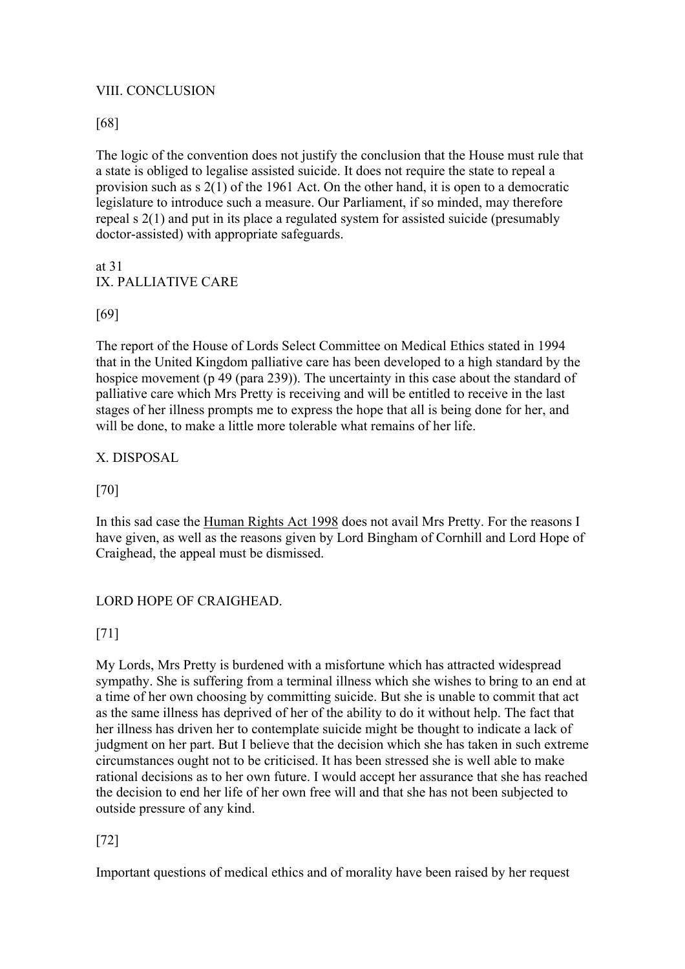# VIII. CONCLUSION

[68]

The logic of the convention does not justify the conclusion that the House must rule that a state is obliged to legalise assisted suicide. It does not require the state to repeal a provision such as s 2(1) of the 1961 Act. On the other hand, it is open to a democratic legislature to introduce such a measure. Our Parliament, if so minded, may therefore repeal s 2(1) and put in its place a regulated system for assisted suicide (presumably doctor-assisted) with appropriate safeguards.

at 31 IX. PALLIATIVE CARE

[69]

The report of the House of Lords Select Committee on Medical Ethics stated in 1994 that in the United Kingdom palliative care has been developed to a high standard by the hospice movement (p 49 (para 239)). The uncertainty in this case about the standard of palliative care which Mrs Pretty is receiving and will be entitled to receive in the last stages of her illness prompts me to express the hope that all is being done for her, and will be done, to make a little more tolerable what remains of her life.

X. DISPOSAL

[70]

In this sad case the Human Rights Act 1998 does not avail Mrs Pretty. For the reasons I have given, as well as the reasons given by Lord Bingham of Cornhill and Lord Hope of Craighead, the appeal must be dismissed.

# LORD HOPE OF CRAIGHEAD.

[71]

My Lords, Mrs Pretty is burdened with a misfortune which has attracted widespread sympathy. She is suffering from a terminal illness which she wishes to bring to an end at a time of her own choosing by committing suicide. But she is unable to commit that act as the same illness has deprived of her of the ability to do it without help. The fact that her illness has driven her to contemplate suicide might be thought to indicate a lack of judgment on her part. But I believe that the decision which she has taken in such extreme circumstances ought not to be criticised. It has been stressed she is well able to make rational decisions as to her own future. I would accept her assurance that she has reached the decision to end her life of her own free will and that she has not been subjected to outside pressure of any kind.

# [72]

Important questions of medical ethics and of morality have been raised by her request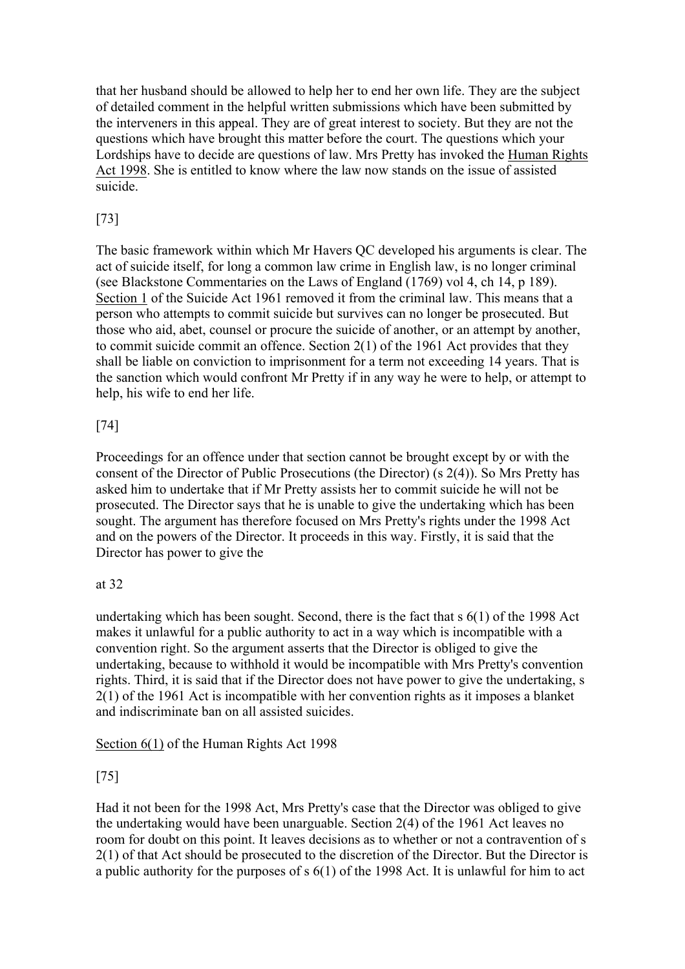that her husband should be allowed to help her to end her own life. They are the subject of detailed comment in the helpful written submissions which have been submitted by the interveners in this appeal. They are of great interest to society. But they are not the questions which have brought this matter before the court. The questions which your Lordships have to decide are questions of law. Mrs Pretty has invoked the Human Rights Act 1998. She is entitled to know where the law now stands on the issue of assisted suicide.

# [73]

The basic framework within which Mr Havers QC developed his arguments is clear. The act of suicide itself, for long a common law crime in English law, is no longer criminal (see Blackstone Commentaries on the Laws of England (1769) vol 4, ch 14, p 189). Section 1 of the Suicide Act 1961 removed it from the criminal law. This means that a person who attempts to commit suicide but survives can no longer be prosecuted. But those who aid, abet, counsel or procure the suicide of another, or an attempt by another, to commit suicide commit an offence. Section 2(1) of the 1961 Act provides that they shall be liable on conviction to imprisonment for a term not exceeding 14 years. That is the sanction which would confront Mr Pretty if in any way he were to help, or attempt to help, his wife to end her life.

# [74]

Proceedings for an offence under that section cannot be brought except by or with the consent of the Director of Public Prosecutions (the Director) (s 2(4)). So Mrs Pretty has asked him to undertake that if Mr Pretty assists her to commit suicide he will not be prosecuted. The Director says that he is unable to give the undertaking which has been sought. The argument has therefore focused on Mrs Pretty's rights under the 1998 Act and on the powers of the Director. It proceeds in this way. Firstly, it is said that the Director has power to give the

# at 32

undertaking which has been sought. Second, there is the fact that s 6(1) of the 1998 Act makes it unlawful for a public authority to act in a way which is incompatible with a convention right. So the argument asserts that the Director is obliged to give the undertaking, because to withhold it would be incompatible with Mrs Pretty's convention rights. Third, it is said that if the Director does not have power to give the undertaking, s 2(1) of the 1961 Act is incompatible with her convention rights as it imposes a blanket and indiscriminate ban on all assisted suicides.

# Section 6(1) of the Human Rights Act 1998

# [75]

Had it not been for the 1998 Act, Mrs Pretty's case that the Director was obliged to give the undertaking would have been unarguable. Section 2(4) of the 1961 Act leaves no room for doubt on this point. It leaves decisions as to whether or not a contravention of s 2(1) of that Act should be prosecuted to the discretion of the Director. But the Director is a public authority for the purposes of s 6(1) of the 1998 Act. It is unlawful for him to act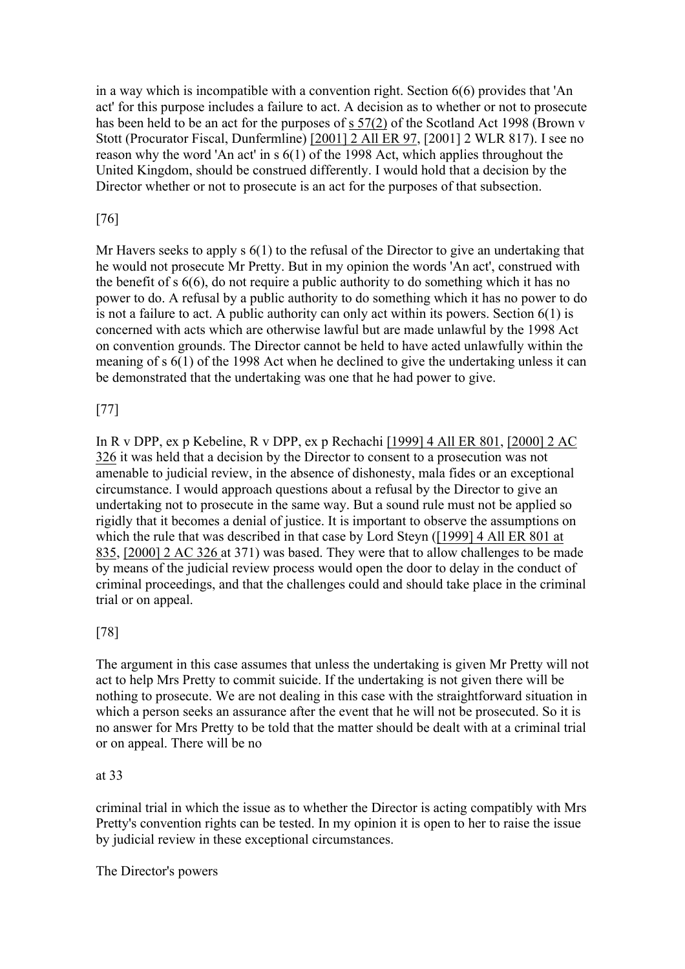in a way which is incompatible with a convention right. Section 6(6) provides that 'An act' for this purpose includes a failure to act. A decision as to whether or not to prosecute has been held to be an act for the purposes of s 57(2) of the Scotland Act 1998 (Brown v Stott (Procurator Fiscal, Dunfermline) [2001] 2 All ER 97, [2001] 2 WLR 817). I see no reason why the word 'An act' in s 6(1) of the 1998 Act, which applies throughout the United Kingdom, should be construed differently. I would hold that a decision by the Director whether or not to prosecute is an act for the purposes of that subsection.

# [76]

Mr Havers seeks to apply s 6(1) to the refusal of the Director to give an undertaking that he would not prosecute Mr Pretty. But in my opinion the words 'An act', construed with the benefit of s 6(6), do not require a public authority to do something which it has no power to do. A refusal by a public authority to do something which it has no power to do is not a failure to act. A public authority can only act within its powers. Section 6(1) is concerned with acts which are otherwise lawful but are made unlawful by the 1998 Act on convention grounds. The Director cannot be held to have acted unlawfully within the meaning of s 6(1) of the 1998 Act when he declined to give the undertaking unless it can be demonstrated that the undertaking was one that he had power to give.

# [77]

In R v DPP, ex p Kebeline, R v DPP, ex p Rechachi [1999] 4 All ER 801, [2000] 2 AC 326 it was held that a decision by the Director to consent to a prosecution was not amenable to judicial review, in the absence of dishonesty, mala fides or an exceptional circumstance. I would approach questions about a refusal by the Director to give an undertaking not to prosecute in the same way. But a sound rule must not be applied so rigidly that it becomes a denial of justice. It is important to observe the assumptions on which the rule that was described in that case by Lord Steyn ([1999] 4 All ER 801 at 835, [2000] 2 AC 326 at 371) was based. They were that to allow challenges to be made by means of the judicial review process would open the door to delay in the conduct of criminal proceedings, and that the challenges could and should take place in the criminal trial or on appeal.

# [78]

The argument in this case assumes that unless the undertaking is given Mr Pretty will not act to help Mrs Pretty to commit suicide. If the undertaking is not given there will be nothing to prosecute. We are not dealing in this case with the straightforward situation in which a person seeks an assurance after the event that he will not be prosecuted. So it is no answer for Mrs Pretty to be told that the matter should be dealt with at a criminal trial or on appeal. There will be no

# at 33

criminal trial in which the issue as to whether the Director is acting compatibly with Mrs Pretty's convention rights can be tested. In my opinion it is open to her to raise the issue by judicial review in these exceptional circumstances.

The Director's powers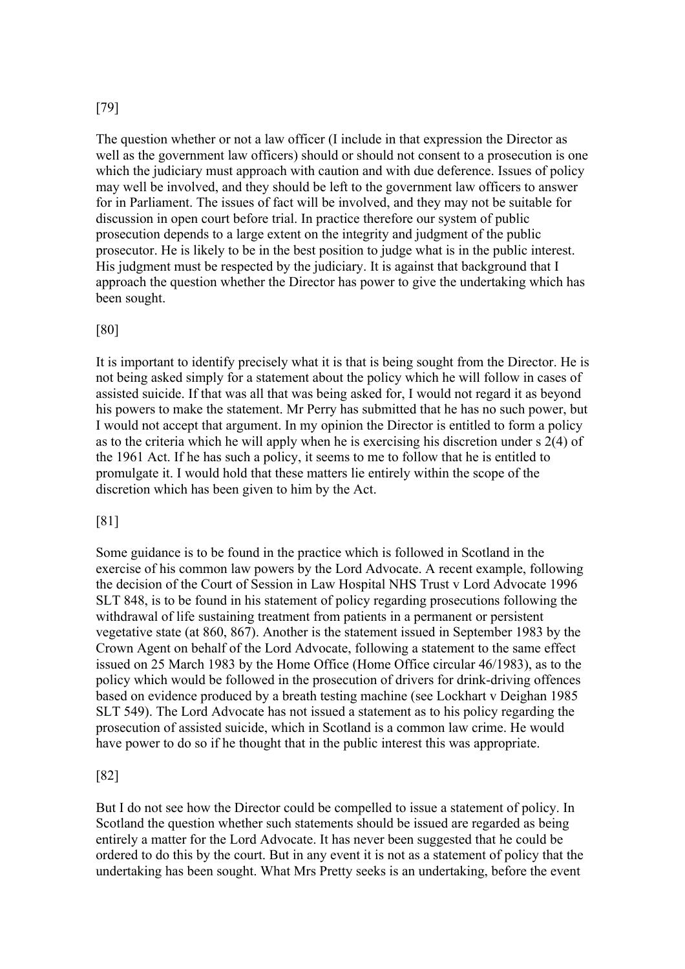## [79]

The question whether or not a law officer (I include in that expression the Director as well as the government law officers) should or should not consent to a prosecution is one which the judiciary must approach with caution and with due deference. Issues of policy may well be involved, and they should be left to the government law officers to answer for in Parliament. The issues of fact will be involved, and they may not be suitable for discussion in open court before trial. In practice therefore our system of public prosecution depends to a large extent on the integrity and judgment of the public prosecutor. He is likely to be in the best position to judge what is in the public interest. His judgment must be respected by the judiciary. It is against that background that I approach the question whether the Director has power to give the undertaking which has been sought.

### [80]

It is important to identify precisely what it is that is being sought from the Director. He is not being asked simply for a statement about the policy which he will follow in cases of assisted suicide. If that was all that was being asked for, I would not regard it as beyond his powers to make the statement. Mr Perry has submitted that he has no such power, but I would not accept that argument. In my opinion the Director is entitled to form a policy as to the criteria which he will apply when he is exercising his discretion under s 2(4) of the 1961 Act. If he has such a policy, it seems to me to follow that he is entitled to promulgate it. I would hold that these matters lie entirely within the scope of the discretion which has been given to him by the Act.

## [81]

Some guidance is to be found in the practice which is followed in Scotland in the exercise of his common law powers by the Lord Advocate. A recent example, following the decision of the Court of Session in Law Hospital NHS Trust v Lord Advocate 1996 SLT 848, is to be found in his statement of policy regarding prosecutions following the withdrawal of life sustaining treatment from patients in a permanent or persistent vegetative state (at 860, 867). Another is the statement issued in September 1983 by the Crown Agent on behalf of the Lord Advocate, following a statement to the same effect issued on 25 March 1983 by the Home Office (Home Office circular 46/1983), as to the policy which would be followed in the prosecution of drivers for drink-driving offences based on evidence produced by a breath testing machine (see Lockhart v Deighan 1985 SLT 549). The Lord Advocate has not issued a statement as to his policy regarding the prosecution of assisted suicide, which in Scotland is a common law crime. He would have power to do so if he thought that in the public interest this was appropriate.

## [82]

But I do not see how the Director could be compelled to issue a statement of policy. In Scotland the question whether such statements should be issued are regarded as being entirely a matter for the Lord Advocate. It has never been suggested that he could be ordered to do this by the court. But in any event it is not as a statement of policy that the undertaking has been sought. What Mrs Pretty seeks is an undertaking, before the event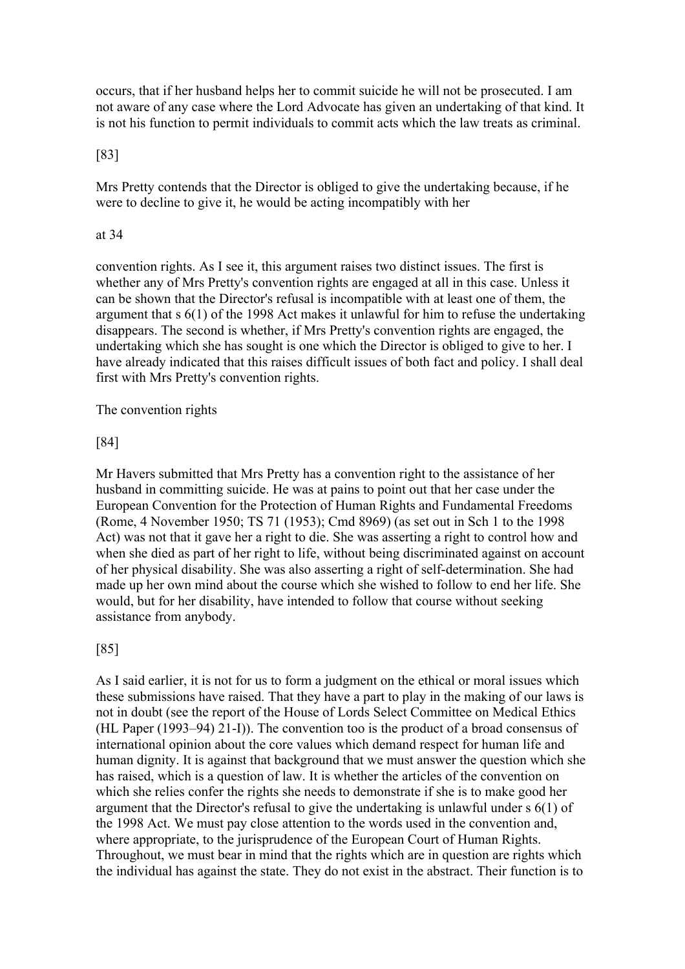occurs, that if her husband helps her to commit suicide he will not be prosecuted. I am not aware of any case where the Lord Advocate has given an undertaking of that kind. It is not his function to permit individuals to commit acts which the law treats as criminal.

### [83]

Mrs Pretty contends that the Director is obliged to give the undertaking because, if he were to decline to give it, he would be acting incompatibly with her

#### at 34

convention rights. As I see it, this argument raises two distinct issues. The first is whether any of Mrs Pretty's convention rights are engaged at all in this case. Unless it can be shown that the Director's refusal is incompatible with at least one of them, the argument that s 6(1) of the 1998 Act makes it unlawful for him to refuse the undertaking disappears. The second is whether, if Mrs Pretty's convention rights are engaged, the undertaking which she has sought is one which the Director is obliged to give to her. I have already indicated that this raises difficult issues of both fact and policy. I shall deal first with Mrs Pretty's convention rights.

The convention rights

## [84]

Mr Havers submitted that Mrs Pretty has a convention right to the assistance of her husband in committing suicide. He was at pains to point out that her case under the European Convention for the Protection of Human Rights and Fundamental Freedoms (Rome, 4 November 1950; TS 71 (1953); Cmd 8969) (as set out in Sch 1 to the 1998 Act) was not that it gave her a right to die. She was asserting a right to control how and when she died as part of her right to life, without being discriminated against on account of her physical disability. She was also asserting a right of self-determination. She had made up her own mind about the course which she wished to follow to end her life. She would, but for her disability, have intended to follow that course without seeking assistance from anybody.

# [85]

As I said earlier, it is not for us to form a judgment on the ethical or moral issues which these submissions have raised. That they have a part to play in the making of our laws is not in doubt (see the report of the House of Lords Select Committee on Medical Ethics (HL Paper (1993–94) 21-I)). The convention too is the product of a broad consensus of international opinion about the core values which demand respect for human life and human dignity. It is against that background that we must answer the question which she has raised, which is a question of law. It is whether the articles of the convention on which she relies confer the rights she needs to demonstrate if she is to make good her argument that the Director's refusal to give the undertaking is unlawful under s 6(1) of the 1998 Act. We must pay close attention to the words used in the convention and, where appropriate, to the jurisprudence of the European Court of Human Rights. Throughout, we must bear in mind that the rights which are in question are rights which the individual has against the state. They do not exist in the abstract. Their function is to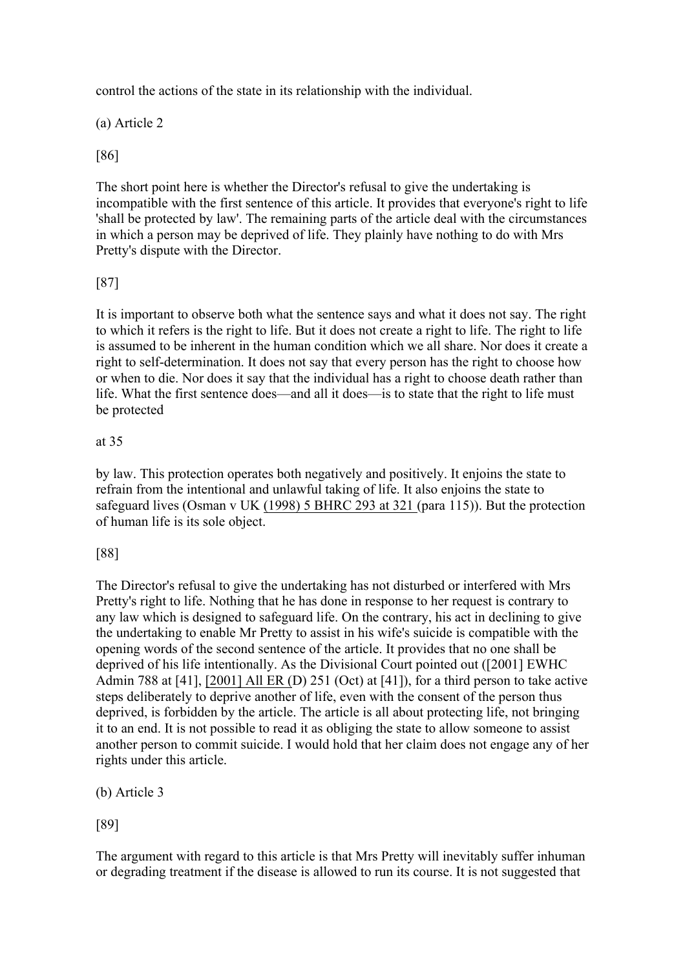control the actions of the state in its relationship with the individual.

(a) Article 2

[86]

The short point here is whether the Director's refusal to give the undertaking is incompatible with the first sentence of this article. It provides that everyone's right to life 'shall be protected by law'. The remaining parts of the article deal with the circumstances in which a person may be deprived of life. They plainly have nothing to do with Mrs Pretty's dispute with the Director.

# [87]

It is important to observe both what the sentence says and what it does not say. The right to which it refers is the right to life. But it does not create a right to life. The right to life is assumed to be inherent in the human condition which we all share. Nor does it create a right to self-determination. It does not say that every person has the right to choose how or when to die. Nor does it say that the individual has a right to choose death rather than life. What the first sentence does—and all it does—is to state that the right to life must be protected

# at 35

by law. This protection operates both negatively and positively. It enjoins the state to refrain from the intentional and unlawful taking of life. It also enjoins the state to safeguard lives (Osman v UK (1998) 5 BHRC 293 at 321 (para 115)). But the protection of human life is its sole object.

# [88]

The Director's refusal to give the undertaking has not disturbed or interfered with Mrs Pretty's right to life. Nothing that he has done in response to her request is contrary to any law which is designed to safeguard life. On the contrary, his act in declining to give the undertaking to enable Mr Pretty to assist in his wife's suicide is compatible with the opening words of the second sentence of the article. It provides that no one shall be deprived of his life intentionally. As the Divisional Court pointed out ([2001] EWHC Admin 788 at [41], [2001] All ER (D) 251 (Oct) at [41]), for a third person to take active steps deliberately to deprive another of life, even with the consent of the person thus deprived, is forbidden by the article. The article is all about protecting life, not bringing it to an end. It is not possible to read it as obliging the state to allow someone to assist another person to commit suicide. I would hold that her claim does not engage any of her rights under this article.

(b) Article 3

[89]

The argument with regard to this article is that Mrs Pretty will inevitably suffer inhuman or degrading treatment if the disease is allowed to run its course. It is not suggested that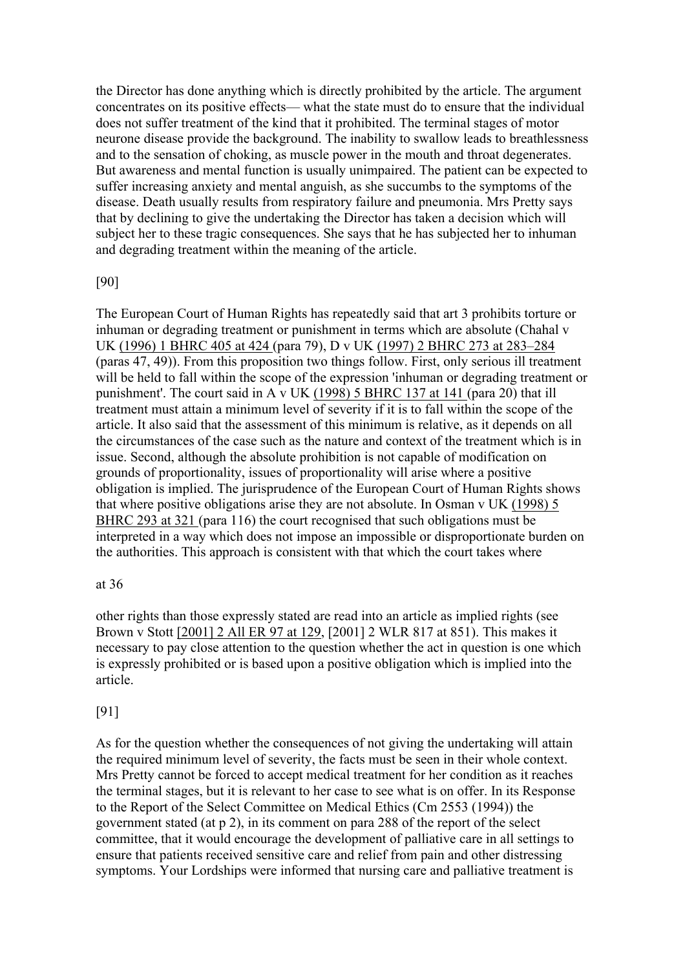the Director has done anything which is directly prohibited by the article. The argument concentrates on its positive effects— what the state must do to ensure that the individual does not suffer treatment of the kind that it prohibited. The terminal stages of motor neurone disease provide the background. The inability to swallow leads to breathlessness and to the sensation of choking, as muscle power in the mouth and throat degenerates. But awareness and mental function is usually unimpaired. The patient can be expected to suffer increasing anxiety and mental anguish, as she succumbs to the symptoms of the disease. Death usually results from respiratory failure and pneumonia. Mrs Pretty says that by declining to give the undertaking the Director has taken a decision which will subject her to these tragic consequences. She says that he has subjected her to inhuman and degrading treatment within the meaning of the article.

### [90]

The European Court of Human Rights has repeatedly said that art 3 prohibits torture or inhuman or degrading treatment or punishment in terms which are absolute (Chahal v UK (1996) 1 BHRC 405 at 424 (para 79), D v UK (1997) 2 BHRC 273 at 283–284 (paras 47, 49)). From this proposition two things follow. First, only serious ill treatment will be held to fall within the scope of the expression 'inhuman or degrading treatment or punishment'. The court said in A v UK (1998) 5 BHRC 137 at 141 (para 20) that ill treatment must attain a minimum level of severity if it is to fall within the scope of the article. It also said that the assessment of this minimum is relative, as it depends on all the circumstances of the case such as the nature and context of the treatment which is in issue. Second, although the absolute prohibition is not capable of modification on grounds of proportionality, issues of proportionality will arise where a positive obligation is implied. The jurisprudence of the European Court of Human Rights shows that where positive obligations arise they are not absolute. In Osman v UK (1998) 5 BHRC 293 at 321 (para 116) the court recognised that such obligations must be interpreted in a way which does not impose an impossible or disproportionate burden on the authorities. This approach is consistent with that which the court takes where

#### at 36

other rights than those expressly stated are read into an article as implied rights (see Brown v Stott [2001] 2 All ER 97 at 129, [2001] 2 WLR 817 at 851). This makes it necessary to pay close attention to the question whether the act in question is one which is expressly prohibited or is based upon a positive obligation which is implied into the article.

## [91]

As for the question whether the consequences of not giving the undertaking will attain the required minimum level of severity, the facts must be seen in their whole context. Mrs Pretty cannot be forced to accept medical treatment for her condition as it reaches the terminal stages, but it is relevant to her case to see what is on offer. In its Response to the Report of the Select Committee on Medical Ethics (Cm 2553 (1994)) the government stated (at p 2), in its comment on para 288 of the report of the select committee, that it would encourage the development of palliative care in all settings to ensure that patients received sensitive care and relief from pain and other distressing symptoms. Your Lordships were informed that nursing care and palliative treatment is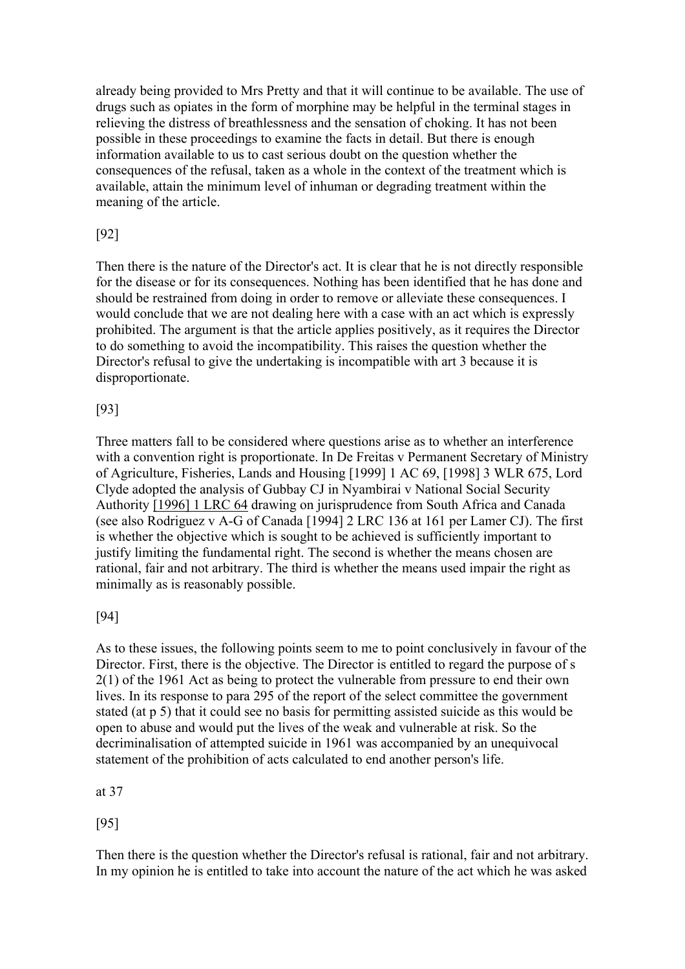already being provided to Mrs Pretty and that it will continue to be available. The use of drugs such as opiates in the form of morphine may be helpful in the terminal stages in relieving the distress of breathlessness and the sensation of choking. It has not been possible in these proceedings to examine the facts in detail. But there is enough information available to us to cast serious doubt on the question whether the consequences of the refusal, taken as a whole in the context of the treatment which is available, attain the minimum level of inhuman or degrading treatment within the meaning of the article.

# [92]

Then there is the nature of the Director's act. It is clear that he is not directly responsible for the disease or for its consequences. Nothing has been identified that he has done and should be restrained from doing in order to remove or alleviate these consequences. I would conclude that we are not dealing here with a case with an act which is expressly prohibited. The argument is that the article applies positively, as it requires the Director to do something to avoid the incompatibility. This raises the question whether the Director's refusal to give the undertaking is incompatible with art 3 because it is disproportionate.

## [93]

Three matters fall to be considered where questions arise as to whether an interference with a convention right is proportionate. In De Freitas v Permanent Secretary of Ministry of Agriculture, Fisheries, Lands and Housing [1999] 1 AC 69, [1998] 3 WLR 675, Lord Clyde adopted the analysis of Gubbay CJ in Nyambirai v National Social Security Authority [1996] 1 LRC 64 drawing on jurisprudence from South Africa and Canada (see also Rodriguez v A-G of Canada [1994] 2 LRC 136 at 161 per Lamer CJ). The first is whether the objective which is sought to be achieved is sufficiently important to justify limiting the fundamental right. The second is whether the means chosen are rational, fair and not arbitrary. The third is whether the means used impair the right as minimally as is reasonably possible.

# [94]

As to these issues, the following points seem to me to point conclusively in favour of the Director. First, there is the objective. The Director is entitled to regard the purpose of s 2(1) of the 1961 Act as being to protect the vulnerable from pressure to end their own lives. In its response to para 295 of the report of the select committee the government stated (at p 5) that it could see no basis for permitting assisted suicide as this would be open to abuse and would put the lives of the weak and vulnerable at risk. So the decriminalisation of attempted suicide in 1961 was accompanied by an unequivocal statement of the prohibition of acts calculated to end another person's life.

# at 37

[95]

Then there is the question whether the Director's refusal is rational, fair and not arbitrary. In my opinion he is entitled to take into account the nature of the act which he was asked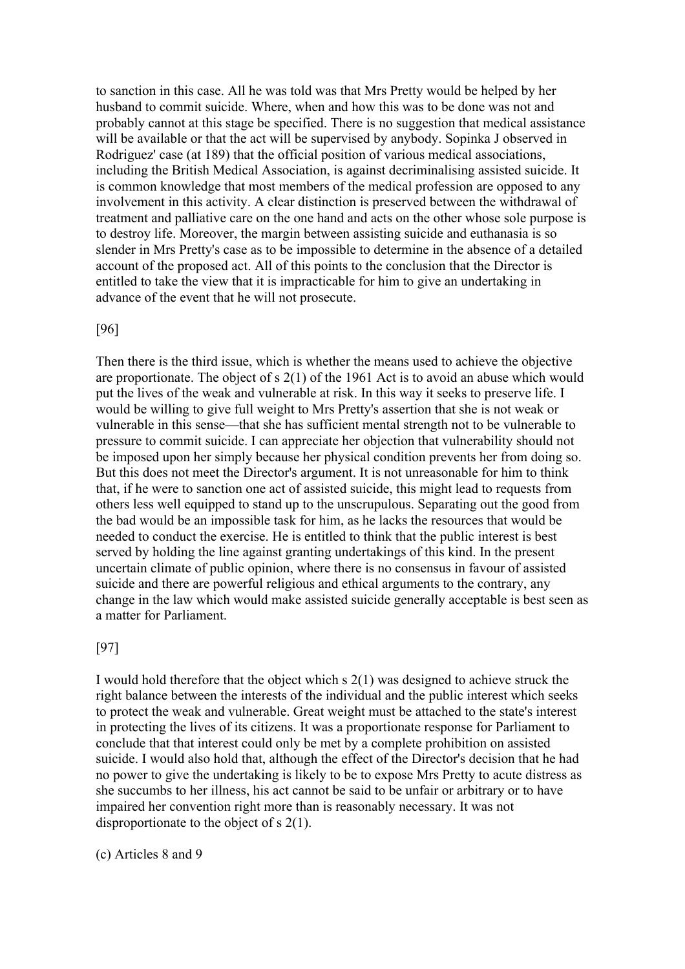to sanction in this case. All he was told was that Mrs Pretty would be helped by her husband to commit suicide. Where, when and how this was to be done was not and probably cannot at this stage be specified. There is no suggestion that medical assistance will be available or that the act will be supervised by anybody. Sopinka J observed in Rodriguez' case (at 189) that the official position of various medical associations, including the British Medical Association, is against decriminalising assisted suicide. It is common knowledge that most members of the medical profession are opposed to any involvement in this activity. A clear distinction is preserved between the withdrawal of treatment and palliative care on the one hand and acts on the other whose sole purpose is to destroy life. Moreover, the margin between assisting suicide and euthanasia is so slender in Mrs Pretty's case as to be impossible to determine in the absence of a detailed account of the proposed act. All of this points to the conclusion that the Director is entitled to take the view that it is impracticable for him to give an undertaking in advance of the event that he will not prosecute.

#### [96]

Then there is the third issue, which is whether the means used to achieve the objective are proportionate. The object of s 2(1) of the 1961 Act is to avoid an abuse which would put the lives of the weak and vulnerable at risk. In this way it seeks to preserve life. I would be willing to give full weight to Mrs Pretty's assertion that she is not weak or vulnerable in this sense—that she has sufficient mental strength not to be vulnerable to pressure to commit suicide. I can appreciate her objection that vulnerability should not be imposed upon her simply because her physical condition prevents her from doing so. But this does not meet the Director's argument. It is not unreasonable for him to think that, if he were to sanction one act of assisted suicide, this might lead to requests from others less well equipped to stand up to the unscrupulous. Separating out the good from the bad would be an impossible task for him, as he lacks the resources that would be needed to conduct the exercise. He is entitled to think that the public interest is best served by holding the line against granting undertakings of this kind. In the present uncertain climate of public opinion, where there is no consensus in favour of assisted suicide and there are powerful religious and ethical arguments to the contrary, any change in the law which would make assisted suicide generally acceptable is best seen as a matter for Parliament.

## [97]

I would hold therefore that the object which s 2(1) was designed to achieve struck the right balance between the interests of the individual and the public interest which seeks to protect the weak and vulnerable. Great weight must be attached to the state's interest in protecting the lives of its citizens. It was a proportionate response for Parliament to conclude that that interest could only be met by a complete prohibition on assisted suicide. I would also hold that, although the effect of the Director's decision that he had no power to give the undertaking is likely to be to expose Mrs Pretty to acute distress as she succumbs to her illness, his act cannot be said to be unfair or arbitrary or to have impaired her convention right more than is reasonably necessary. It was not disproportionate to the object of s 2(1).

#### (c) Articles 8 and 9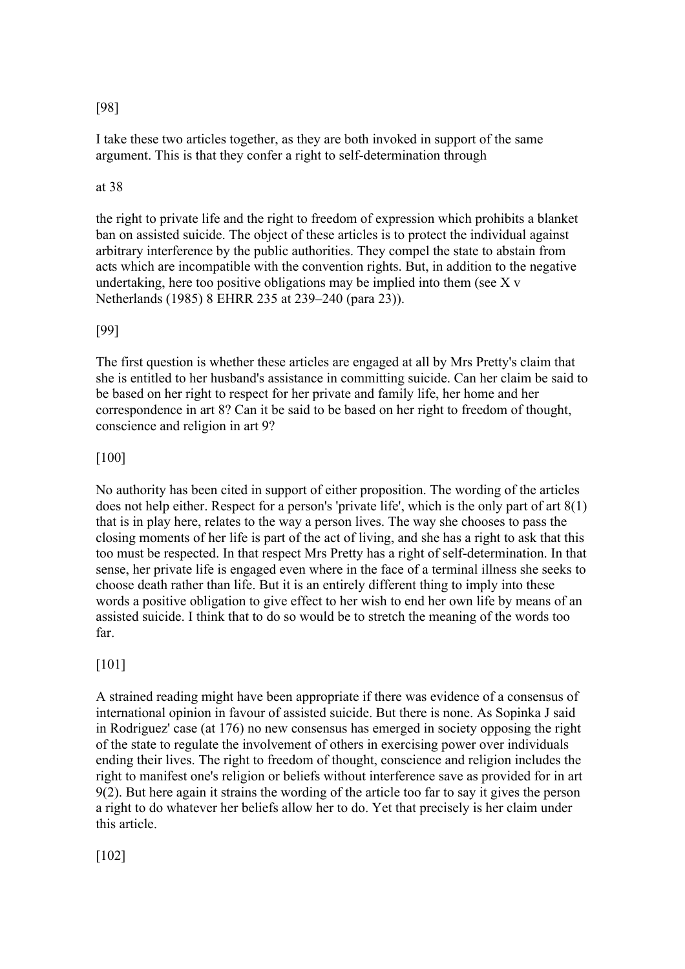# [98]

I take these two articles together, as they are both invoked in support of the same argument. This is that they confer a right to self-determination through

## at 38

the right to private life and the right to freedom of expression which prohibits a blanket ban on assisted suicide. The object of these articles is to protect the individual against arbitrary interference by the public authorities. They compel the state to abstain from acts which are incompatible with the convention rights. But, in addition to the negative undertaking, here too positive obligations may be implied into them (see X v Netherlands (1985) 8 EHRR 235 at 239–240 (para 23)).

# [99]

The first question is whether these articles are engaged at all by Mrs Pretty's claim that she is entitled to her husband's assistance in committing suicide. Can her claim be said to be based on her right to respect for her private and family life, her home and her correspondence in art 8? Can it be said to be based on her right to freedom of thought, conscience and religion in art 9?

# [100]

No authority has been cited in support of either proposition. The wording of the articles does not help either. Respect for a person's 'private life', which is the only part of art 8(1) that is in play here, relates to the way a person lives. The way she chooses to pass the closing moments of her life is part of the act of living, and she has a right to ask that this too must be respected. In that respect Mrs Pretty has a right of self-determination. In that sense, her private life is engaged even where in the face of a terminal illness she seeks to choose death rather than life. But it is an entirely different thing to imply into these words a positive obligation to give effect to her wish to end her own life by means of an assisted suicide. I think that to do so would be to stretch the meaning of the words too far.

# [101]

A strained reading might have been appropriate if there was evidence of a consensus of international opinion in favour of assisted suicide. But there is none. As Sopinka J said in Rodriguez' case (at 176) no new consensus has emerged in society opposing the right of the state to regulate the involvement of others in exercising power over individuals ending their lives. The right to freedom of thought, conscience and religion includes the right to manifest one's religion or beliefs without interference save as provided for in art 9(2). But here again it strains the wording of the article too far to say it gives the person a right to do whatever her beliefs allow her to do. Yet that precisely is her claim under this article.

[102]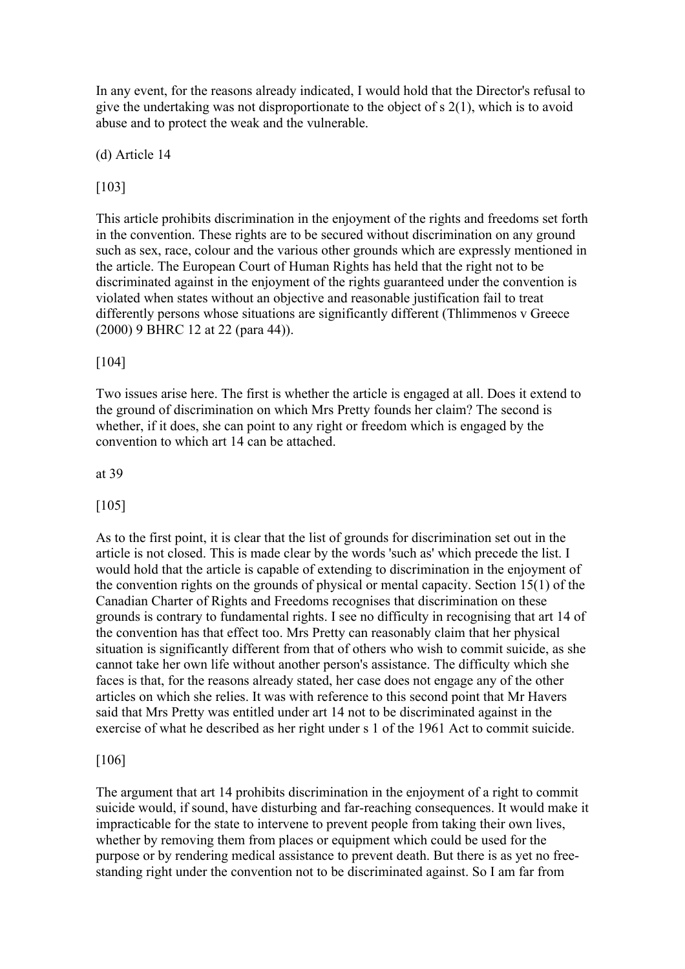In any event, for the reasons already indicated, I would hold that the Director's refusal to give the undertaking was not disproportionate to the object of s 2(1), which is to avoid abuse and to protect the weak and the vulnerable.

(d) Article 14

[103]

This article prohibits discrimination in the enjoyment of the rights and freedoms set forth in the convention. These rights are to be secured without discrimination on any ground such as sex, race, colour and the various other grounds which are expressly mentioned in the article. The European Court of Human Rights has held that the right not to be discriminated against in the enjoyment of the rights guaranteed under the convention is violated when states without an objective and reasonable justification fail to treat differently persons whose situations are significantly different (Thlimmenos v Greece (2000) 9 BHRC 12 at 22 (para 44)).

## [104]

Two issues arise here. The first is whether the article is engaged at all. Does it extend to the ground of discrimination on which Mrs Pretty founds her claim? The second is whether, if it does, she can point to any right or freedom which is engaged by the convention to which art 14 can be attached.

at 39

[105]

As to the first point, it is clear that the list of grounds for discrimination set out in the article is not closed. This is made clear by the words 'such as' which precede the list. I would hold that the article is capable of extending to discrimination in the enjoyment of the convention rights on the grounds of physical or mental capacity. Section 15(1) of the Canadian Charter of Rights and Freedoms recognises that discrimination on these grounds is contrary to fundamental rights. I see no difficulty in recognising that art 14 of the convention has that effect too. Mrs Pretty can reasonably claim that her physical situation is significantly different from that of others who wish to commit suicide, as she cannot take her own life without another person's assistance. The difficulty which she faces is that, for the reasons already stated, her case does not engage any of the other articles on which she relies. It was with reference to this second point that Mr Havers said that Mrs Pretty was entitled under art 14 not to be discriminated against in the exercise of what he described as her right under s 1 of the 1961 Act to commit suicide.

# [106]

The argument that art 14 prohibits discrimination in the enjoyment of a right to commit suicide would, if sound, have disturbing and far-reaching consequences. It would make it impracticable for the state to intervene to prevent people from taking their own lives, whether by removing them from places or equipment which could be used for the purpose or by rendering medical assistance to prevent death. But there is as yet no freestanding right under the convention not to be discriminated against. So I am far from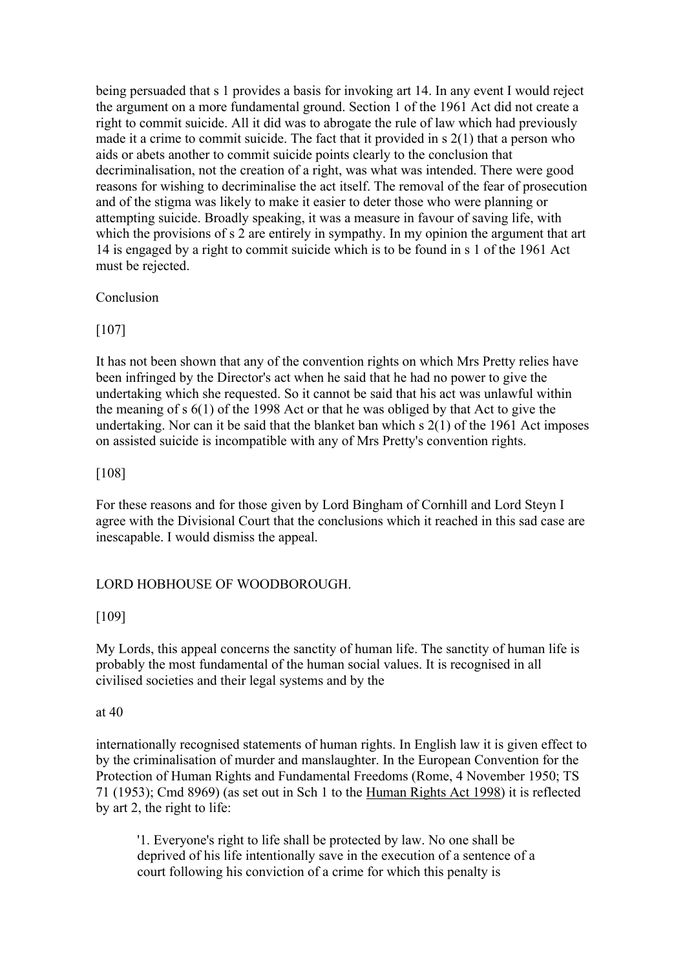being persuaded that s 1 provides a basis for invoking art 14. In any event I would reject the argument on a more fundamental ground. Section 1 of the 1961 Act did not create a right to commit suicide. All it did was to abrogate the rule of law which had previously made it a crime to commit suicide. The fact that it provided in s 2(1) that a person who aids or abets another to commit suicide points clearly to the conclusion that decriminalisation, not the creation of a right, was what was intended. There were good reasons for wishing to decriminalise the act itself. The removal of the fear of prosecution and of the stigma was likely to make it easier to deter those who were planning or attempting suicide. Broadly speaking, it was a measure in favour of saving life, with which the provisions of s 2 are entirely in sympathy. In my opinion the argument that art 14 is engaged by a right to commit suicide which is to be found in s 1 of the 1961 Act must be rejected.

Conclusion

#### [107]

It has not been shown that any of the convention rights on which Mrs Pretty relies have been infringed by the Director's act when he said that he had no power to give the undertaking which she requested. So it cannot be said that his act was unlawful within the meaning of s 6(1) of the 1998 Act or that he was obliged by that Act to give the undertaking. Nor can it be said that the blanket ban which s  $2(1)$  of the 1961 Act imposes on assisted suicide is incompatible with any of Mrs Pretty's convention rights.

#### [108]

For these reasons and for those given by Lord Bingham of Cornhill and Lord Steyn I agree with the Divisional Court that the conclusions which it reached in this sad case are inescapable. I would dismiss the appeal.

#### LORD HOBHOUSE OF WOODBOROUGH.

#### [109]

My Lords, this appeal concerns the sanctity of human life. The sanctity of human life is probably the most fundamental of the human social values. It is recognised in all civilised societies and their legal systems and by the

#### at 40

internationally recognised statements of human rights. In English law it is given effect to by the criminalisation of murder and manslaughter. In the European Convention for the Protection of Human Rights and Fundamental Freedoms (Rome, 4 November 1950; TS 71 (1953); Cmd 8969) (as set out in Sch 1 to the Human Rights Act 1998) it is reflected by art 2, the right to life:

'1. Everyone's right to life shall be protected by law. No one shall be deprived of his life intentionally save in the execution of a sentence of a court following his conviction of a crime for which this penalty is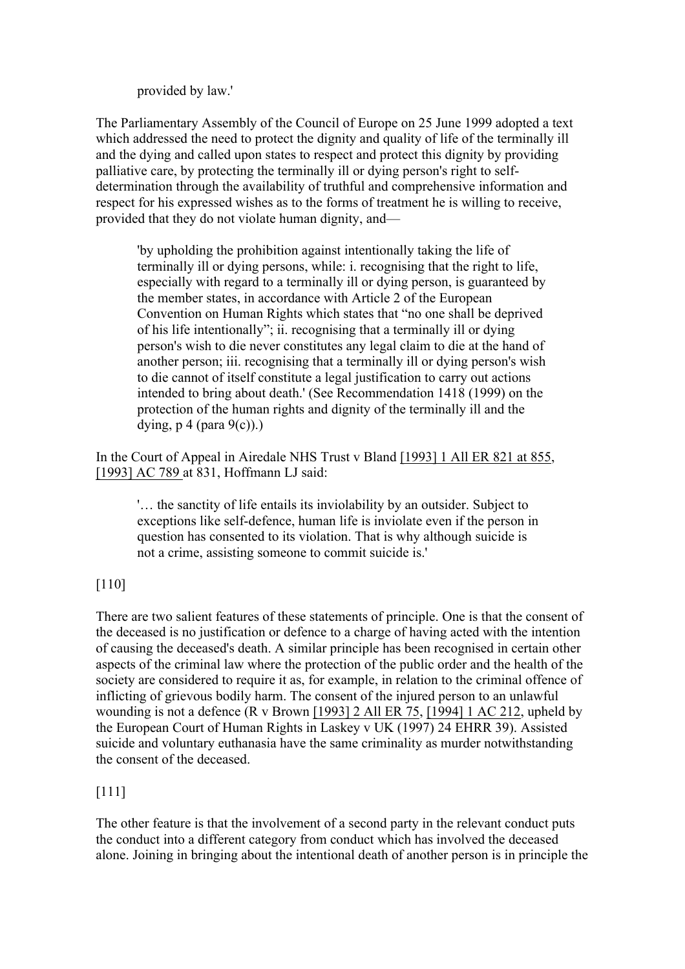provided by law.'

The Parliamentary Assembly of the Council of Europe on 25 June 1999 adopted a text which addressed the need to protect the dignity and quality of life of the terminally ill and the dying and called upon states to respect and protect this dignity by providing palliative care, by protecting the terminally ill or dying person's right to selfdetermination through the availability of truthful and comprehensive information and respect for his expressed wishes as to the forms of treatment he is willing to receive, provided that they do not violate human dignity, and—

'by upholding the prohibition against intentionally taking the life of terminally ill or dying persons, while: i. recognising that the right to life, especially with regard to a terminally ill or dying person, is guaranteed by the member states, in accordance with Article 2 of the European Convention on Human Rights which states that "no one shall be deprived of his life intentionally"; ii. recognising that a terminally ill or dying person's wish to die never constitutes any legal claim to die at the hand of another person; iii. recognising that a terminally ill or dying person's wish to die cannot of itself constitute a legal justification to carry out actions intended to bring about death.' (See Recommendation 1418 (1999) on the protection of the human rights and dignity of the terminally ill and the dying,  $p \, 4 \, (para \, 9(c))$ .

In the Court of Appeal in Airedale NHS Trust v Bland [1993] 1 All ER 821 at 855, [1993] AC 789 at 831, Hoffmann LJ said:

'… the sanctity of life entails its inviolability by an outsider. Subject to exceptions like self-defence, human life is inviolate even if the person in question has consented to its violation. That is why although suicide is not a crime, assisting someone to commit suicide is.'

## [110]

There are two salient features of these statements of principle. One is that the consent of the deceased is no justification or defence to a charge of having acted with the intention of causing the deceased's death. A similar principle has been recognised in certain other aspects of the criminal law where the protection of the public order and the health of the society are considered to require it as, for example, in relation to the criminal offence of inflicting of grievous bodily harm. The consent of the injured person to an unlawful wounding is not a defence (R v Brown [1993] 2 All ER 75, [1994] 1 AC 212, upheld by the European Court of Human Rights in Laskey v UK (1997) 24 EHRR 39). Assisted suicide and voluntary euthanasia have the same criminality as murder notwithstanding the consent of the deceased.

# [111]

The other feature is that the involvement of a second party in the relevant conduct puts the conduct into a different category from conduct which has involved the deceased alone. Joining in bringing about the intentional death of another person is in principle the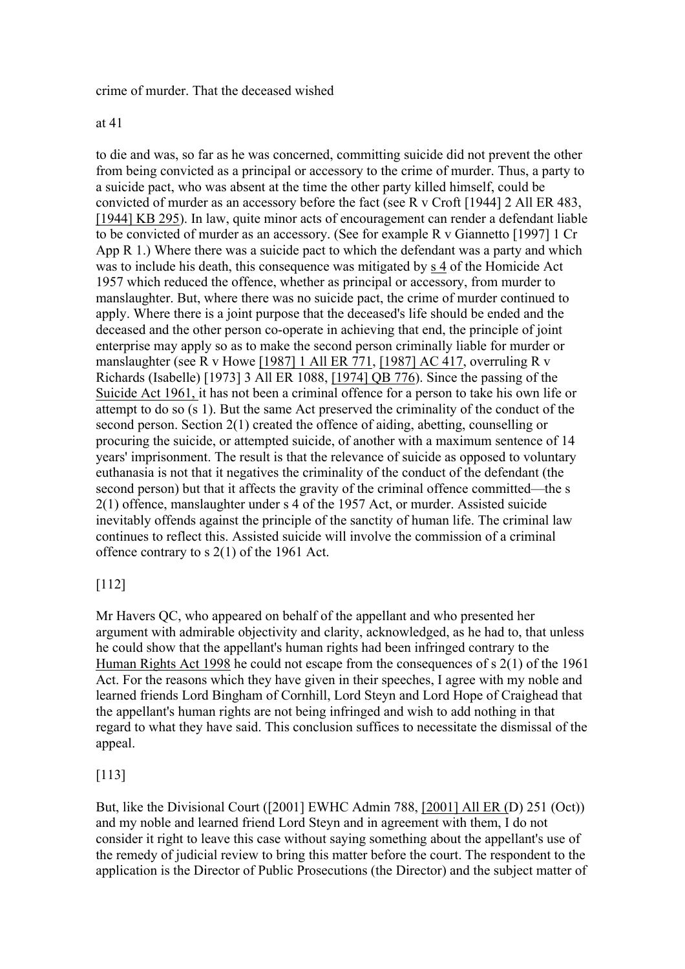crime of murder. That the deceased wished

#### at 41

to die and was, so far as he was concerned, committing suicide did not prevent the other from being convicted as a principal or accessory to the crime of murder. Thus, a party to a suicide pact, who was absent at the time the other party killed himself, could be convicted of murder as an accessory before the fact (see R v Croft [1944] 2 All ER 483, [1944] KB 295). In law, quite minor acts of encouragement can render a defendant liable to be convicted of murder as an accessory. (See for example R v Giannetto [1997] 1 Cr App R 1.) Where there was a suicide pact to which the defendant was a party and which was to include his death, this consequence was mitigated by s 4 of the Homicide Act 1957 which reduced the offence, whether as principal or accessory, from murder to manslaughter. But, where there was no suicide pact, the crime of murder continued to apply. Where there is a joint purpose that the deceased's life should be ended and the deceased and the other person co-operate in achieving that end, the principle of joint enterprise may apply so as to make the second person criminally liable for murder or manslaughter (see R v Howe [1987] 1 All ER 771, [1987] AC 417, overruling R v Richards (Isabelle) [1973] 3 All ER 1088, [1974] QB 776). Since the passing of the Suicide Act 1961, it has not been a criminal offence for a person to take his own life or attempt to do so (s 1). But the same Act preserved the criminality of the conduct of the second person. Section 2(1) created the offence of aiding, abetting, counselling or procuring the suicide, or attempted suicide, of another with a maximum sentence of 14 years' imprisonment. The result is that the relevance of suicide as opposed to voluntary euthanasia is not that it negatives the criminality of the conduct of the defendant (the second person) but that it affects the gravity of the criminal offence committed—the s 2(1) offence, manslaughter under s 4 of the 1957 Act, or murder. Assisted suicide inevitably offends against the principle of the sanctity of human life. The criminal law continues to reflect this. Assisted suicide will involve the commission of a criminal offence contrary to s 2(1) of the 1961 Act.

## [112]

Mr Havers OC, who appeared on behalf of the appellant and who presented her argument with admirable objectivity and clarity, acknowledged, as he had to, that unless he could show that the appellant's human rights had been infringed contrary to the Human Rights Act 1998 he could not escape from the consequences of s 2(1) of the 1961 Act. For the reasons which they have given in their speeches, I agree with my noble and learned friends Lord Bingham of Cornhill, Lord Steyn and Lord Hope of Craighead that the appellant's human rights are not being infringed and wish to add nothing in that regard to what they have said. This conclusion suffices to necessitate the dismissal of the appeal.

## [113]

But, like the Divisional Court ([2001] EWHC Admin 788, [2001] All ER (D) 251 (Oct)) and my noble and learned friend Lord Steyn and in agreement with them, I do not consider it right to leave this case without saying something about the appellant's use of the remedy of judicial review to bring this matter before the court. The respondent to the application is the Director of Public Prosecutions (the Director) and the subject matter of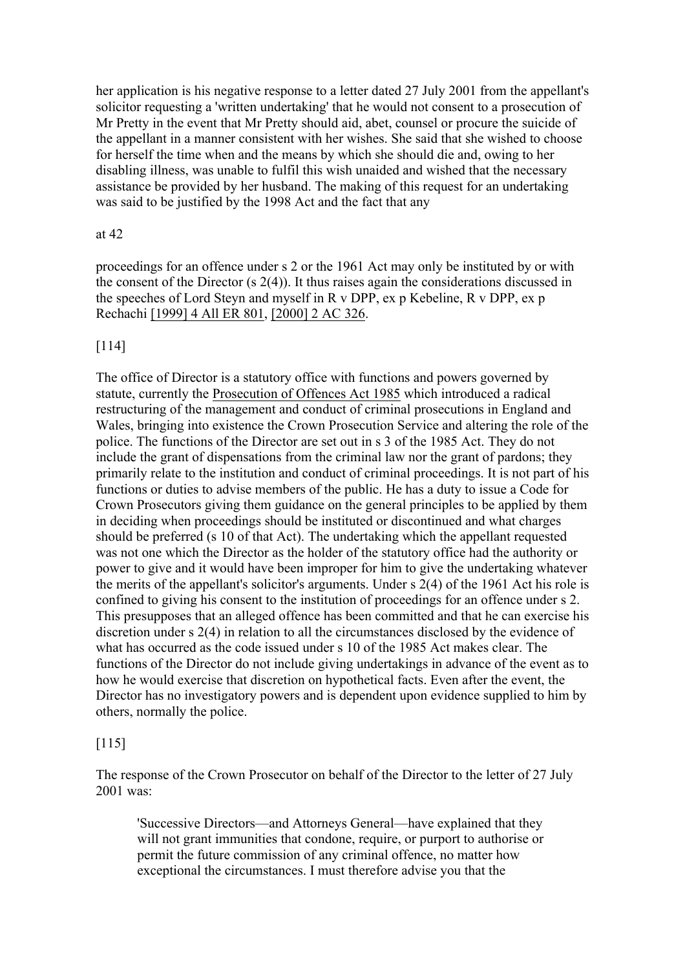her application is his negative response to a letter dated 27 July 2001 from the appellant's solicitor requesting a 'written undertaking' that he would not consent to a prosecution of Mr Pretty in the event that Mr Pretty should aid, abet, counsel or procure the suicide of the appellant in a manner consistent with her wishes. She said that she wished to choose for herself the time when and the means by which she should die and, owing to her disabling illness, was unable to fulfil this wish unaided and wished that the necessary assistance be provided by her husband. The making of this request for an undertaking was said to be justified by the 1998 Act and the fact that any

#### at 42

proceedings for an offence under s 2 or the 1961 Act may only be instituted by or with the consent of the Director (s 2(4)). It thus raises again the considerations discussed in the speeches of Lord Steyn and myself in R v DPP, ex p Kebeline, R v DPP, ex p Rechachi [1999] 4 All ER 801, [2000] 2 AC 326.

### [114]

The office of Director is a statutory office with functions and powers governed by statute, currently the Prosecution of Offences Act 1985 which introduced a radical restructuring of the management and conduct of criminal prosecutions in England and Wales, bringing into existence the Crown Prosecution Service and altering the role of the police. The functions of the Director are set out in s 3 of the 1985 Act. They do not include the grant of dispensations from the criminal law nor the grant of pardons; they primarily relate to the institution and conduct of criminal proceedings. It is not part of his functions or duties to advise members of the public. He has a duty to issue a Code for Crown Prosecutors giving them guidance on the general principles to be applied by them in deciding when proceedings should be instituted or discontinued and what charges should be preferred (s 10 of that Act). The undertaking which the appellant requested was not one which the Director as the holder of the statutory office had the authority or power to give and it would have been improper for him to give the undertaking whatever the merits of the appellant's solicitor's arguments. Under s 2(4) of the 1961 Act his role is confined to giving his consent to the institution of proceedings for an offence under s 2. This presupposes that an alleged offence has been committed and that he can exercise his discretion under s 2(4) in relation to all the circumstances disclosed by the evidence of what has occurred as the code issued under s 10 of the 1985 Act makes clear. The functions of the Director do not include giving undertakings in advance of the event as to how he would exercise that discretion on hypothetical facts. Even after the event, the Director has no investigatory powers and is dependent upon evidence supplied to him by others, normally the police.

#### [115]

The response of the Crown Prosecutor on behalf of the Director to the letter of 27 July 2001 was:

'Successive Directors—and Attorneys General—have explained that they will not grant immunities that condone, require, or purport to authorise or permit the future commission of any criminal offence, no matter how exceptional the circumstances. I must therefore advise you that the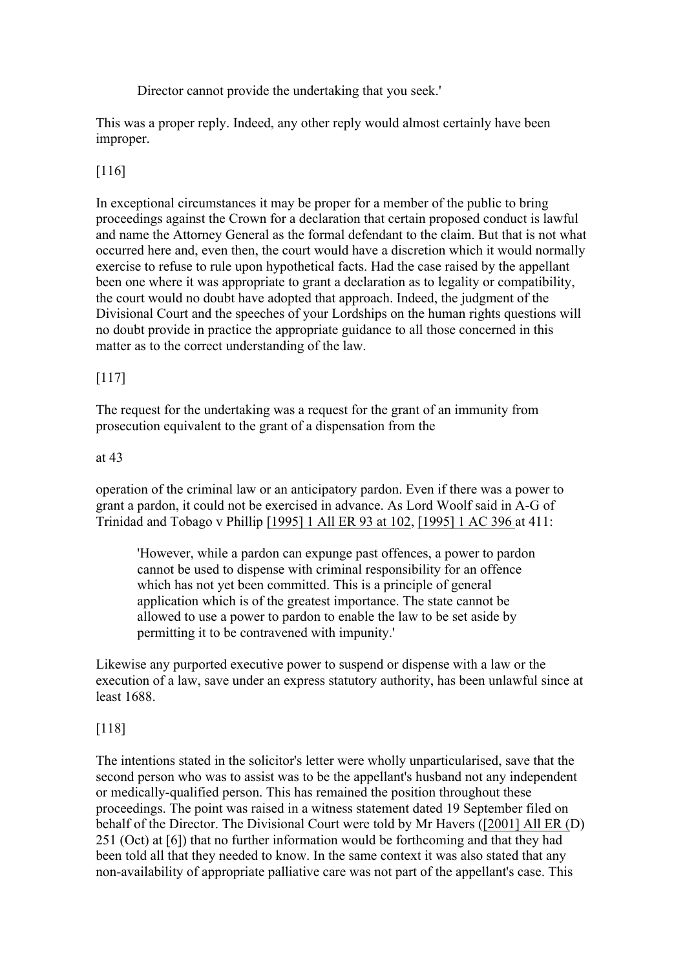Director cannot provide the undertaking that you seek.'

This was a proper reply. Indeed, any other reply would almost certainly have been improper.

# [116]

In exceptional circumstances it may be proper for a member of the public to bring proceedings against the Crown for a declaration that certain proposed conduct is lawful and name the Attorney General as the formal defendant to the claim. But that is not what occurred here and, even then, the court would have a discretion which it would normally exercise to refuse to rule upon hypothetical facts. Had the case raised by the appellant been one where it was appropriate to grant a declaration as to legality or compatibility, the court would no doubt have adopted that approach. Indeed, the judgment of the Divisional Court and the speeches of your Lordships on the human rights questions will no doubt provide in practice the appropriate guidance to all those concerned in this matter as to the correct understanding of the law.

# [117]

The request for the undertaking was a request for the grant of an immunity from prosecution equivalent to the grant of a dispensation from the

### at 43

operation of the criminal law or an anticipatory pardon. Even if there was a power to grant a pardon, it could not be exercised in advance. As Lord Woolf said in A-G of Trinidad and Tobago v Phillip [1995] 1 All ER 93 at 102, [1995] 1 AC 396 at 411:

'However, while a pardon can expunge past offences, a power to pardon cannot be used to dispense with criminal responsibility for an offence which has not yet been committed. This is a principle of general application which is of the greatest importance. The state cannot be allowed to use a power to pardon to enable the law to be set aside by permitting it to be contravened with impunity.'

Likewise any purported executive power to suspend or dispense with a law or the execution of a law, save under an express statutory authority, has been unlawful since at least 1688.

## [118]

The intentions stated in the solicitor's letter were wholly unparticularised, save that the second person who was to assist was to be the appellant's husband not any independent or medically-qualified person. This has remained the position throughout these proceedings. The point was raised in a witness statement dated 19 September filed on behalf of the Director. The Divisional Court were told by Mr Havers ([2001] All ER (D) 251 (Oct) at [6]) that no further information would be forthcoming and that they had been told all that they needed to know. In the same context it was also stated that any non-availability of appropriate palliative care was not part of the appellant's case. This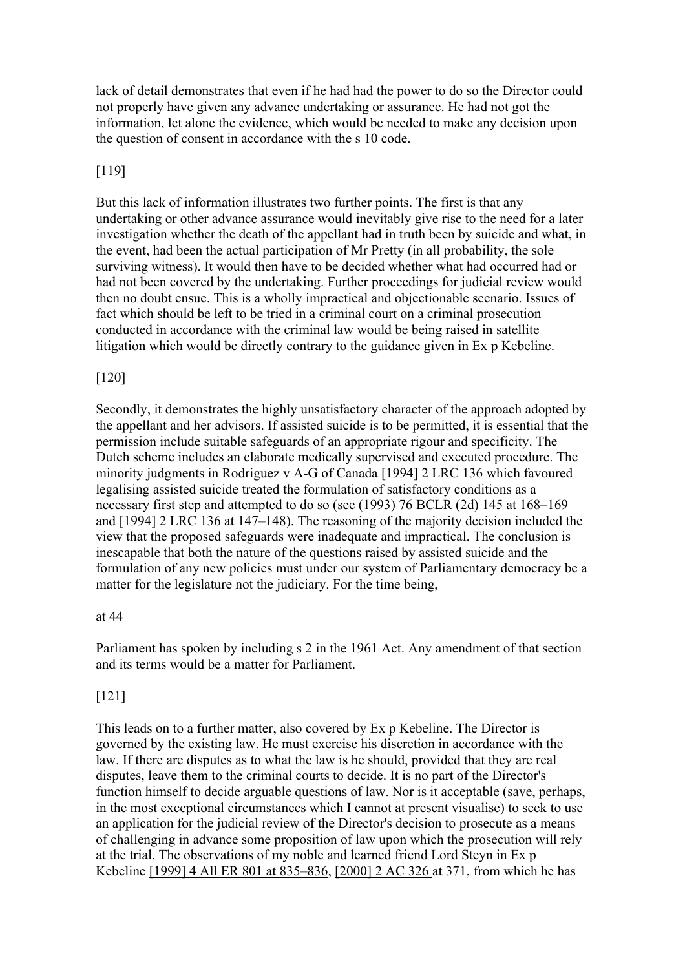lack of detail demonstrates that even if he had had the power to do so the Director could not properly have given any advance undertaking or assurance. He had not got the information, let alone the evidence, which would be needed to make any decision upon the question of consent in accordance with the s 10 code.

## [119]

But this lack of information illustrates two further points. The first is that any undertaking or other advance assurance would inevitably give rise to the need for a later investigation whether the death of the appellant had in truth been by suicide and what, in the event, had been the actual participation of Mr Pretty (in all probability, the sole surviving witness). It would then have to be decided whether what had occurred had or had not been covered by the undertaking. Further proceedings for judicial review would then no doubt ensue. This is a wholly impractical and objectionable scenario. Issues of fact which should be left to be tried in a criminal court on a criminal prosecution conducted in accordance with the criminal law would be being raised in satellite litigation which would be directly contrary to the guidance given in Ex p Kebeline.

## [120]

Secondly, it demonstrates the highly unsatisfactory character of the approach adopted by the appellant and her advisors. If assisted suicide is to be permitted, it is essential that the permission include suitable safeguards of an appropriate rigour and specificity. The Dutch scheme includes an elaborate medically supervised and executed procedure. The minority judgments in Rodriguez v A-G of Canada [1994] 2 LRC 136 which favoured legalising assisted suicide treated the formulation of satisfactory conditions as a necessary first step and attempted to do so (see (1993) 76 BCLR (2d) 145 at 168–169 and [1994] 2 LRC 136 at 147–148). The reasoning of the majority decision included the view that the proposed safeguards were inadequate and impractical. The conclusion is inescapable that both the nature of the questions raised by assisted suicide and the formulation of any new policies must under our system of Parliamentary democracy be a matter for the legislature not the judiciary. For the time being,

#### at 44

Parliament has spoken by including s 2 in the 1961 Act. Any amendment of that section and its terms would be a matter for Parliament.

## [121]

This leads on to a further matter, also covered by Ex p Kebeline. The Director is governed by the existing law. He must exercise his discretion in accordance with the law. If there are disputes as to what the law is he should, provided that they are real disputes, leave them to the criminal courts to decide. It is no part of the Director's function himself to decide arguable questions of law. Nor is it acceptable (save, perhaps, in the most exceptional circumstances which I cannot at present visualise) to seek to use an application for the judicial review of the Director's decision to prosecute as a means of challenging in advance some proposition of law upon which the prosecution will rely at the trial. The observations of my noble and learned friend Lord Steyn in Ex p Kebeline [1999] 4 All ER 801 at 835–836, [2000] 2 AC 326 at 371, from which he has